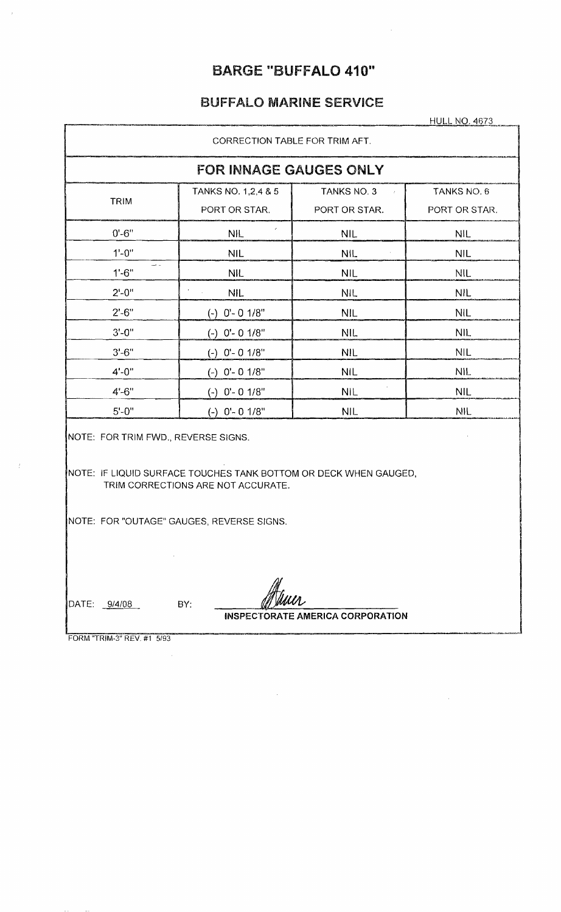## BARGE "BUFFALO 410"

 $\ddot{\phantom{a}}$ 

# BUFFALO MARINE SERVICE

**HULL NO. 4673** 

| CORRECTION TABLE FOR TRIM AFT.                                                                                    |                                                                                                        |                                               |                              |  |  |  |  |  |  |  |  |  |  |  |
|-------------------------------------------------------------------------------------------------------------------|--------------------------------------------------------------------------------------------------------|-----------------------------------------------|------------------------------|--|--|--|--|--|--|--|--|--|--|--|
|                                                                                                                   | <b>FOR INNAGE GAUGES ONLY</b>                                                                          |                                               |                              |  |  |  |  |  |  |  |  |  |  |  |
| TRIM                                                                                                              | TANKS NO. 1,2,4 & 5<br>PORT OR STAR.                                                                   | TANKS NO. 3<br>$\mathcal{L}$<br>PORT OR STAR. | TANKS NO. 6<br>PORT OR STAR. |  |  |  |  |  |  |  |  |  |  |  |
| $0' - 6"$                                                                                                         | <b>NIL</b>                                                                                             | <b>NIL</b>                                    | <b>NIL</b>                   |  |  |  |  |  |  |  |  |  |  |  |
| $1'-0''$                                                                                                          | <b>NIL</b>                                                                                             | NIL.                                          | <b>NIL</b>                   |  |  |  |  |  |  |  |  |  |  |  |
| د ف<br>$1' - 6"$                                                                                                  | <b>NIL</b>                                                                                             | <b>NIL</b>                                    | <b>NIL</b>                   |  |  |  |  |  |  |  |  |  |  |  |
| $2^{\circ} - 0^{\prime\prime}$                                                                                    | <b>NIL</b>                                                                                             | <b>NIL</b>                                    | <b>NIL</b>                   |  |  |  |  |  |  |  |  |  |  |  |
| $2' - 6"$<br>$(-)$ 0'- 0 1/8"<br><b>NIL</b><br><b>NIL</b><br>$3' - 0''$<br>NIL.<br><b>NIL</b><br>$(-)$ 0'- 0 1/8" |                                                                                                        |                                               |                              |  |  |  |  |  |  |  |  |  |  |  |
|                                                                                                                   |                                                                                                        |                                               |                              |  |  |  |  |  |  |  |  |  |  |  |
| $3'-6''$<br><b>NIL</b><br>$(-)$ 0'- 0 1/8"<br><b>NIL</b>                                                          |                                                                                                        |                                               |                              |  |  |  |  |  |  |  |  |  |  |  |
| $4' - 0''$                                                                                                        | $(-)$ 0'- 0 1/8"                                                                                       | <b>NIL</b>                                    | <b>NIL</b>                   |  |  |  |  |  |  |  |  |  |  |  |
| $4 - 6"$                                                                                                          | $(-)$ 0'- 0 1/8"                                                                                       | <b>NIL</b>                                    | <b>NIL</b>                   |  |  |  |  |  |  |  |  |  |  |  |
| $5' - 0''$                                                                                                        | $(-)$ 0'- 0 1/8"                                                                                       | <b>NIL</b>                                    | <b>NIL</b>                   |  |  |  |  |  |  |  |  |  |  |  |
| NOTE: FOR TRIM FWD., REVERSE SIGNS.                                                                               | NOTE: IF LIQUID SURFACE TOUCHES TANK BOTTOM OR DECK WHEN GAUGED,<br>TRIM CORRECTIONS ARE NOT ACCURATE. |                                               |                              |  |  |  |  |  |  |  |  |  |  |  |
|                                                                                                                   | NOTE: FOR "OUTAGE" GAUGES, REVERSE SIGNS.                                                              |                                               |                              |  |  |  |  |  |  |  |  |  |  |  |
| DATE: 9/4/08<br>FORM "TRIM-3" REV. #1 5/93                                                                        | BY:                                                                                                    | <b>INSPECTORATE AMERICA CORPORATION</b>       |                              |  |  |  |  |  |  |  |  |  |  |  |

 $\sim$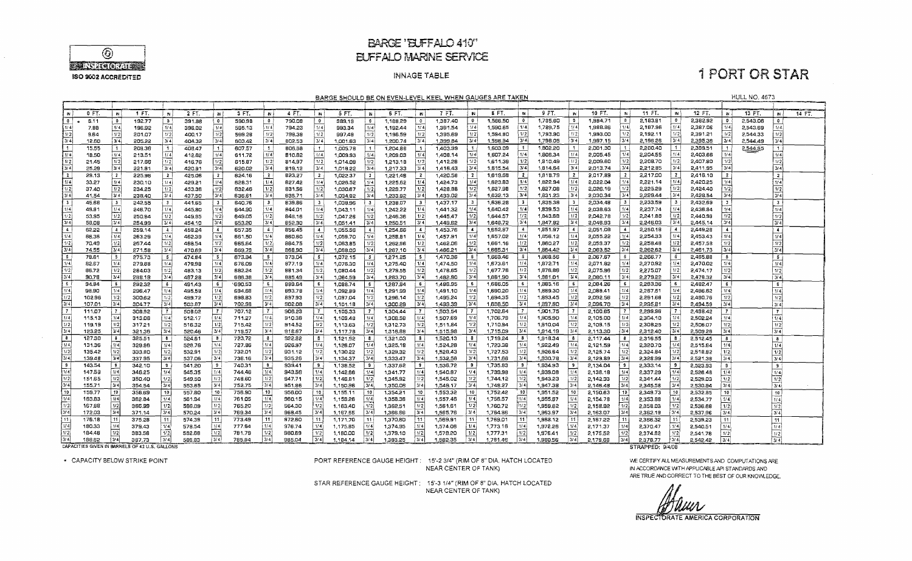

### **BARGE 'BUFFALO 410"** EUFFALO MARINE SERVICE

#### **INNAGE TABLE**

## **1 PORT OR STAR**

**HULL NO. 4673** 

BARGE SHOULD BE ON EVEN-LEVEL KEEL WHEN GAUGES ARE TAKEN

|                      | 0 FT.       | $\mathbf{N}$    | 1 FT.                                          | 'N               | 2 FT.  | 'N                | 3 FT.    | - IN 1                      | 4 FT.         |                                        | 5 FT.    | $\mathbb N$             | 6 FT.    | $\blacksquare$  | 7 FT.    | ₩.                      | 8 FT.    | $\mathbf{w}$            | 9.77.    | IN.                     | 10 FT.   | W.               | $11F$ T.         | <b>IN</b>      | 12 FT.   | $\sim$          | 13 FT.   | N.                   | 14 FT. |
|----------------------|-------------|-----------------|------------------------------------------------|------------------|--------|-------------------|----------|-----------------------------|---------------|----------------------------------------|----------|-------------------------|----------|-----------------|----------|-------------------------|----------|-------------------------|----------|-------------------------|----------|------------------|------------------|----------------|----------|-----------------|----------|----------------------|--------|
| $\mathbf{G}$         | <b>6.11</b> | ΙO              | 192.77                                         | <b>b</b>         | 391.88 | $\bullet$         | 590,98   | $\bullet$                   | 790.08        | $\mathbf{0}$                           | 989.19   | $\mathbf{0}$            | 1,168.29 | $\overline{0}$  | 1,387.40 | $\mathbf{0}$            | 1,566,50 | $\mathbf{0}$            | 1,735.60 | $\bullet$               | 1,994.71 | $\bullet$        | 2,183.81         | $\bullet$      | 2,382.92 | $^{\circ}$      | 2.543.06 | $^{\circ}$           |        |
| 11/4                 | 7.88        | 1/4             | 196.92                                         | 1/4              | 396,02 | 1/4               | 595.13   | 1/4                         | 794.23        | 1/4                                    | 993.34   | 1/4                     | 1,192.44 | 1/4             | 1,391.54 | 1/4                     | 1,590.65 | 1/4                     | 1,789.75 | 1/4                     | 1,988.86 | 1/4              | 2,187.96         | 1/4            | 2,387.06 | 1/4             | 2.543.69 | 1/4!                 |        |
| 1/2                  | 9.64        | 1/2             | 201.07                                         | 1/2              | 400.17 | 1/2               | 599.2B   | 1/2                         | 798.38        | 1/2                                    | 997,48   | 1/2                     | 1,196.59 | 1/2             | 1,395.69 | 1/2                     | 1,594.80 | 1/2                     | 1,793.90 | 1/2                     | 1,993.00 | 1/2              | 2,192.11         | 1/2            | 2,391.21 | 1/2             | 2,544.33 | 1/2                  |        |
| 3/4                  | 12.60       | 3/4             | 205,22                                         | 314              | 404.32 | ا 3/4             | 603.42   | 3/4                         | 802.53        | 3/41                                   | 1.001.63 | 3/4                     | 1,200.74 | 3/4             | 1.399.84 | 3/4                     | 1.598.94 | 3/4                     | 1.798.05 | 3/4                     | 1.997.15 | 3/4              | 2.196.26         | 3/4            | 2,395.36 | 3/4             | 2,544.49 | 3/4                  |        |
| $\vert$ 1            | 15.55       | l 1             | 209.36                                         | $\mathbf{1}$     | 408.47 | -11               | 607.57   | $\mathcal{L}$               | <b>BO6.58</b> | $\mathbf{1}$                           | 1,005.78 | $\vert$ 1               | 1,204.88 |                 | 1,403.99 | - 11                    | 1.603.09 |                         | 1,802.20 | $\ddot{\mathbf{1}}$     | 2.001.30 |                  | 2,200.40         |                | 2.399.51 | $\mathbf{1}$    | 2,544.85 | $\mathbf{1}$         |        |
| $\sqrt{1/4}$         | 18.50       | i 1/4           | 213.51                                         | 1/4              | 412.62 | 1/4               | 611.72   | 1/4                         | 810.82        | (1/4)                                  | 1.009.93 | 1/4                     | 1.209.03 | 1/4             | 1,408.14 | 1/4                     | 1,607.24 | 1/4                     | 1,806.34 | 1/4                     | 2,005.45 | 1/4              | 2,204.55         | 1/4            | 2,403.66 | 1/4             |          | 1/4                  |        |
| 1/2                  | 21.45       | $\sqrt{1/2}$    | 217.66                                         | $\sqrt{12}$      | 416.76 | 1/2               | 615.87   | 1/2                         | 814.97        | 1/2                                    | 1,014.09 | 1/2                     | 1,213.18 | 1/2             | 1,412.28 | 1/2                     | 1,611.39 | 1/2                     | 1,810.49 | 1/2                     | 2,009.60 | 1/2              | 2,208.70         | 1/2            | 2,407.80 | 1/2             |          | 1/2                  |        |
| $\sqrt{3/4}$         | 25.29       | 4 لا آ          | 221.81                                         | 3/4              | 420.91 | 3/4               | 620.02   | 13/41                       | 819.12        | 3/4                                    | 1,018.22 | 3/4                     | 1,217.33 | 3/4             | 1.416.43 | 3/4                     | 1.615.54 | 3/4                     | 1.814.64 | 3/4                     | 2.013.74 | 3/4              | 2,212.85         | 3/4            | 2.411.95 | 3/4             |          | 3/4                  |        |
| $\frac{1}{2}$        | 29.13       | $\frac{1}{2}$   | 225.96                                         | 12               | 425.06 | $\overline{2}$    | 624.16   | $\vert$ 2 $\vert$           | 823,27        | -2                                     | 1,022.37 | $\overline{2}$          | 1.221.48 | $\mathbf{2}$    | 1,420.58 | $\overline{2}$          | 1.619.58 | $\mathbf{z}$            | 1,818.79 | $\mathbf{2}$            | 2.017.89 |                  | 2,217.00         | $\overline{2}$ | 2,416.10 | $\mathbf{2}$    |          | $\overline{2}$       |        |
| 174                  | 33.27       | i 1/4 i         | 230.10                                         | 1/4              | 429.21 | 1/4               | 628.31   | 1/4                         | 827.42        | 1/4                                    | 1.026.52 | 1/4                     | 1,225,62 | 1/4             | 1,424.73 | 1/4                     | 1,623.83 | 1/4                     | 1,822.94 | 1/4                     | 2,022.04 | l 1/4 l          | 2,221.14         | 1/4            | 2,420.25 | 1/4             |          | 1/4                  |        |
| 1/2                  | 37.40       | 1/2             | 234.25                                         | 1/2              | 433.36 | 1/2               | 632.46   | 1/2                         | 831.56        | 1/21                                   | 1,030.67 | 1/2                     | 1,229.77 | 1/2             | 1,428.88 | 1/2                     | 1,627.98 | 1/2                     | 1,827.08 | 1/2                     | 2,026.19 | 1/2              | 2,225.29         | 1/2            | 2,424.40 | 1/2             |          | 1/2                  |        |
| 13/4                 | 41.54       | 3/4             | 238.40                                         | 3/4              | 437.50 | 3/4               | 636.61   | 314                         | 835.71        | 3/4                                    | 1.034.82 | 3/4                     | 1.233.92 | 3/4             | 1,433.02 | 3/4                     | 1,632.13 | $3/\overline{4}$        | 1,831.23 | 3/4                     | 2,030.34 | 3/4              | 2,229.44         | 3/4            | 2,428,54 | 3/4             |          | 3/4                  |        |
| $\mathbf{3}$         | 45.68       | i 3.            | 242.55                                         | 3                | 441.65 | $\mathbf{3}$      | 640.76   | $\mathbf{3}$                | 839.86        | $\mathbf{3}$                           | 1.038.96 | $\overline{\mathbf{3}}$ | 1.238.07 | 3 <sup>1</sup>  | 1437.17  | - 3- i                  | 1,636.28 | $\overline{\mathbf{3}}$ | 1,835.38 | $\overline{\mathbf{3}}$ | 2.034.48 | -3-1             | 2,233,59         | $\mathbf{3}$   | 2,432.69 | 3 <sup>1</sup>  |          | . .                  |        |
| 1/4                  | 49.81       | 1/4             | 246.70                                         | 1/4              | 445.80 | 1/4               | 644.90   | 1/4                         | 844.01        | 1/4                                    | 1,043,11 | 1/4                     | 1,242.22 | 1/4             | 1.441.32 | 1/4                     | 1,640.42 | 1/4                     | 1,839.53 | 1/4                     | 2.038.63 | 1/4              | 2,237.74         | 1/4            | 2,436.84 | 1/4             |          | 1/4                  |        |
| 1/2                  | 53.95       | 1/2             | 250.84                                         | 1/2              | 449.95 | 1/2               | 649.05   | 1/2                         | 848.16        | 1/2                                    | 1,047.26 | 1/2                     | 1,246.36 | 1/2             | 1,445.47 | 1/2                     | 1,644.57 | 1/2                     | 1,843.68 | 1/2                     | 2.042.78 | 1/2              | 2,241.88         | 1/2            | 2,440.99 | 1/2             |          | 1/2                  |        |
| 3/4                  | 58.OB       | 3/4             | 254,99                                         | 3/4              | 454.10 | 3/4               | 653.20   | 374)                        | 852.30        | 3/4                                    | 1.051.41 | 3/4                     | 1,250.51 | 3/4             | 1,449.62 | 3/4                     | 1,648.72 | 3/4                     | 1,847.82 | 3/4                     | 2,046.93 | 3/4              | 2,246.03         | 3/4            | 2.445.14 | 3/4             |          | 3/4                  |        |
| $\overline{4}$       | 62.22       | 14.             | 259.14                                         | $\sim$           | 458.24 | $\sim$            | 657.35   | -41                         | 856.45        | 4                                      | 1,055.56 | 4                       | 1,254.66 | $\overline{4}$  | 1.453.76 | $\ddot{\phantom{1}}$    | 1,652.87 |                         | 1,851.97 | $\blacktriangleleft$    | 2,051.0B | $\left  \right $ | 2,250.18         | $\overline{4}$ | 2,449.28 | $\overline{4}$  |          | $\blacktriangleleft$ |        |
| 11/4                 | 66.36       | 114             | 263.29                                         | 1/4              | 462.39 | 1/4               | 661.50   | l 1/4                       | 860.60        | 1/4                                    | 1,059.70 | 1/4                     | 1,258.81 | 1/4             | 1,457.91 | 1/4                     | 1,657.02 | 1/4                     | 1,856.12 | 1/4                     | 2,055.22 | 1/4              | 2,254.33         | 1/4            | 2,453.43 | 1/4             |          | 1/4                  |        |
| 1/2                  | 70.49       | 1/2             | 267.44                                         | 1/2              | 466.54 | 1/2               | 665.64   | 1/2                         | 864.75        | 1/2                                    | 1,063.85 | 1/2                     | 1,262,96 | 1/2             | 1,462.06 | 1/2                     | 1,661.16 | 1/2                     | 1,860.27 | 1/2                     | 2.059.37 | 1/2              | 2,258.48         | 1/2            | 2,457.58 | 1/2             |          | 1/2                  |        |
| 3/4                  | 74.55       | $\sqrt{3/4}$    | 271.58                                         | 314              | 470.69 | 3/4               | 669.79   | 3/4                         | 868.90        | 3/4                                    | 1,068.00 | 3/4                     | 1,267.10 | 3/4             | 1,466.21 | 3/4                     | 1,665.31 | 3/4                     | 1,864.42 | 3/4                     | 2.063.52 | 3/4              | 2,262.62         | 3/4            | 2,461.73 | 3/4             |          | 3/4                  |        |
| $\vert$ 5 $\vert$    | 78.61       | 5               | 275.73                                         | - 5              | 474.84 | 5                 | 673.94   | 5                           | 373.04        | -51                                    | 1,072.15 | 5 <sub>5</sub>          | 1.271.25 | $\sim$          | 1,470.36 | $5 -$                   | 1,669.46 |                         | 1,368.56 | -5                      | 2,067.67 |                  | 2,266.77         | 5.             | 2,465.88 | 5 <sup>1</sup>  |          | 5 <sup>1</sup>       |        |
| 1/4                  | 82.67       | 1/4             | 279.88                                         | 1/4              | 478.98 | 1/4               | 676.09   | 1/4                         | 877.19        | 1/4                                    | 1,076.30 | 1/4                     | 1,275.40 | 1/4             | 1,474.50 | $1/\overline{4}$        | 1,573.61 | 1/4                     | 1,872.71 | 1/4                     | 2.071.82 | 1/4              | 2,270.92         | 1/4            | 2,470.02 | 1/4             |          | 1/4                  |        |
| 1/2                  | 86.72       | 1/2             | 284.03                                         | 1/2              | 483.13 | 1/2               | 682.24   | 1/2                         | 881.34        | 1/2                                    | 1,080.44 | 1/2                     | 1,279.55 | 1/2             | 1,478.65 | 1/2                     | 1,677.76 | 1/2                     | 1,876,86 | 1/2                     | 2,075.96 | 1/2              | 2,275.07         | 1/2            | 2,474.17 | 1/2             |          | 1/2                  |        |
| 3/4                  | 90.78       | 3/4             | 288.18                                         | 3/4              | 487.28 | 3741              | 686.38   | 3/4                         | 885.49        | 3/4                                    | 1.084.59 | 3/4                     | 1,283.70 | 3/4             | 1,482.80 | 3/4                     | 1,681.90 | 3/4                     | 1.881.01 | 3/4                     | 2,080.11 | 3/4              | 2.279.22         | 3/4            | 2,478.32 | 3/4             |          | 3/4                  |        |
| Ιs                   | 94.84       | ŀБ              | 292.32                                         | - 6              | 491,43 | -61               | \$690.53 | -6                          | 889.64        | -6                                     | 1,088.74 | -6                      | 1,287,84 |                 | 1,486.95 | -6                      | 1,686.05 |                         | 1,885.16 | 6                       | 2,084.26 | - 6              | 2,283.36         | -6             | 2,482.47 | 6               |          | $6^{\circ}$          |        |
| 1/4                  | 98.90       | 1/ 4            | 296,47                                         | 1/4              | 495.58 | 1/4               | 694.68   | 1/4                         | 893.78        | 1/4                                    | 1.092.89 | 7/4                     | 1.291.99 | 1/4             | 1,491.10 | 1/4                     | 1,690.20 | 1/4                     | 1,889.30 | 1/4                     | 2,088.41 | 1/4              | 2,267.51         | 1/4            | 2,486.62 | 1/4             |          | 1/4                  |        |
| 1/2                  | 102.96      | 1/2             | 300.62                                         | 1/2              | 499.72 | 1/2               | 698.83   | 1/2                         | 897.93        | 1/2                                    | 1,097,04 | 1/2                     | 1,296.14 | 1/2             | 1,495.24 | 1/2                     | 1,694.35 | 1/21                    | 1,893.45 | 1/2                     | 2,092.56 | 1/2              | 2.291.66         | 1/2            | 2.490.76 | 1/2             |          | $1/\overline{2}$     |        |
| $\sqrt{3/4}$         | 107.01      | 3/4             | 304.77                                         | 3/4              | 503.87 | 13/41             | 702.98   | 3/4                         | <b>SO2.0B</b> | 3/4                                    | 1,101.18 | 3/4                     | 1,300.29 | 3/4             | 1,499.39 | 3/4                     | 1.698.50 | 3/4                     | 1.897.60 | 3/4                     | 2.096.70 | 3/4              | 2.295.81         | 3/4            | 2.494.59 | 3/4             |          | 3/4                  |        |
| $\overline{7}$       | 111.07      | 17              | 308.92                                         | $\overline{7}$   | 508.02 | $\vert$ 7 $\vert$ | 707.12   | - 7 I                       | 906.23        | $\overline{7}$                         | 1.105.33 | $\overline{7}$          | 1,304.44 | 7               | 1,503.54 | $\tau$                  | 1.702.64 | 7                       | 1,901.75 |                         | 2,100.65 |                  | 2,299.96         |                | 2.498.42 | -71             |          | $\mathbf{r}$         |        |
| 1/4                  | 115.13      | 1/4             | 313.06                                         | 1/4              | 512.17 | l 1/4             | 711.27   | 1/4                         | 910.38        | 1/4                                    | 1,109.48 | 1/4                     | 1,308.58 | 1/4             | 1,507.69 | 1/4                     | 1,706.79 | 1/4                     | 1,905.90 | 1/4                     | 2,105.00 | 1/4              | 2,304.10         | 1/4            | 2,502.24 | 1/4             |          | 1/4                  |        |
| 1/2                  | 119.19      | 1/2             | 317.21                                         | 1/2              | 516.32 | 1/2               | 715.42   | 1/2                         | 914.52        | $\left\lceil \frac{1}{2} \right\rceil$ | 1.113.63 | 1/2                     | 1,312.73 | 1/2             | 1,511.84 | 1/2                     | 1,710.94 | 1/2                     | 1,910.04 | 1/2                     | 2,109.15 | 1/2              | 2,308,25         | 1/2            | 2,506.07 | 1/2             |          | 1/2                  |        |
| 13/4                 | 123.25      | 3/4             | 321.36                                         | 3/4              | 520,46 | 3/4               | 719.57   | 3/4                         | 918.67        | 3/4                                    | 1,117.78 | 3/4                     | 1,316.88 | 3/4             | 1,515.98 | 3/4                     | 1,715.09 | 3/4                     | 1,914.19 | 3/4                     | 2,113.30 | 3/4              | 2,312.40         | 3/4            | 2,509.26 | 3/4             |          | 3/4                  |        |
| $\overline{\bullet}$ | 127.30      | ΙB.             | 325.51                                         | - 8              | 524.61 | 8                 | 723.72   | $\mathbf{B}$                | 922.82        | 8                                      | 1,121.92 | -8                      | 1,321,03 | -81             | 1,520.13 | $\overline{\mathbf{3}}$ | 1719.24  | $\mathbf{B}$            | 1,918.34 | -8 -                    | 2,117.44 | -8               | 2,316.55         | 8              | 2,512.45 | 8               |          | $\mathbf{a}$         |        |
| $\sqrt{1/4}$         | 131.36      | 114             | 329.56                                         | 1/4              | 528.76 | 1/4               | 727.86   | 1/4                         | 926.97        | 1/4                                    | 1,126.07 | 1/4                     | 1,325.18 | 1/4             | 1,524.28 | 1/4                     | 1,723.38 | 1/4                     | 1,922.49 | 1/4                     | 2,121.59 | 1/4              | 2,320.70         | 1/4            | 2,515.64 | 1/4             |          | 1/4                  |        |
| l v 21               | 135.42      | 1/2             | 333.80                                         | $\overline{1/2}$ | 532.91 | 1/2               | 732.01   | 1/2                         | 931.12        | 1/2                                    | 1,130.22 | 1/2                     | 1.329.32 | 1/2             | 1,528.43 | 1/2                     | 1,727.53 | 1/2                     | 1,926.64 | 1/2                     | 2,125.74 | 1/2              | 2.324.B4         | 1/2            | 2.518.82 | 1/2             |          | 1/2                  |        |
| 3/4                  | 139.48      | <b>3/4</b>      | 337.95                                         | 3/4              | 537.06 | 3/4               | 736.16   | 3/4                         | 935.26        | 3/4                                    | 1,134.37 | 3/4                     | 1333.47  | 3/4             | 1,532.58 | 3/4                     | 1,731.68 | 3/4                     | 1,930.78 | 3/4                     | 2,129.89 | 3/4              | 2,328.99         | 3/4            | 2,521.38 | 3/41            |          | 3/4                  |        |
| -9                   | 143.54      | $\bullet$       | 342.10                                         | -91              | 541.20 | -9                | 740.31   | $\overline{9}$              | 939.41        | 9                                      | 1,138.52 | $^{\circ}$              | 1,337.62 | 9               | 1,536.72 | -9                      | 1,735.83 | -91                     | 1.934.93 | 9                       | 2,134.04 | -9               | 2,333.14         | $\cdot$        | 2.523.93 | $\mathbf{B}$    |          | -91                  |        |
| 11/4                 | 147.59      | 1/4             | 346.25                                         | 1/4              | 545.35 | 1/4               | 744.46   | 1/4                         | 943.56        | 1/4                                    | 1,142.66 | 1/4                     | 1341.77  | 1/4             | 1,540.87 | (14)                    | 1,739,98 | 1/4                     | 1,939.08 | 1/4                     | 2,138,18 | 1/4              | 2,337.29         | 1/4            | 2,526.48 | 1/4             |          | 1/4                  |        |
| 1/2                  | 151.65      | 1/2             | 350.40                                         | 1/2              | 549.50 | 1/2               | 748.60   | $\lceil \frac{1}{2} \rceil$ | 947.71        | 1/2                                    | 1,146.81 | 1/2                     | 1,345.92 | 1/2             | 1,545.02 | 1/2                     | 1,744.12 | 1/2                     | 1,943.23 | 1/2                     | 2,142.33 | 1/2              | 2,341.44         | 1/2            | 2,529.03 | 1/2             |          | 1/2                  |        |
| 3/4                  | 155.71      | ا 24 ا          | 354.54                                         | ا 3/4            | 553.65 | ا 3/4             | 752.75   | 3/4                         | 951.86        | 3/4                                    | 1,150.96 | 3/4                     | 1,350.06 | 3/4             | 1,549.17 | 3/4                     | 1,748.27 | 3/4                     | 1,947.38 | 3/4                     | 2.146.48 | 3/4              | 2,345.58         | 3/4            | 2.530.94 | 3/4             |          | أعادا                |        |
| l 10                 | 159.77      | 10 <sub>1</sub> | 358.69                                         | 10               | 557.80 | 10 <sub>1</sub>   | 756.90   | 10 <sup>1</sup>             | 956.00        | 10 <sub>1</sub>                        | 1.155.11 | 10 <sup>1</sup>         | 1.354.21 | 10 <sup>1</sup> | 1.553.32 | 10 <sup>1</sup>         | 1.752.42 | 10 i                    | 1,951.52 | 10 <sub>1</sub>         | 2.150.63 | 10 <sup>1</sup>  | 2.349.73         | 10             | 2.532.85 | 10 <sup>1</sup> |          | 10                   |        |
| 1/4                  | 163.83      | ا 114           | 362.84                                         | 1/4              | 561.94 | 1/4               | 761.05   | 1/4                         | 960.15        | 1/4                                    | 1.159.26 | 1/4                     | 1,358.36 | 1/4             | 1,557.46 | 1/4                     | 1,756.57 | (1/4)                   | 1,955.67 | 1/4                     | 2.154.78 | 1/4              | 2.353.88         | 1/4            | 2.534.77 | 1/4             |          | 1/4                  |        |
| $\sqrt{1/2}$         | 167.89      | 1/2             | 366.99                                         | 1/2              | 566.09 | 1/2               | 765.20   | 1/2                         | 964,30        | 1/2                                    | 1,163,40 | 1/2                     | 1,362.51 | 1/2             | 1,561,61 | 1/2                     | 1,760.72 | 1/2                     | 1,959,82 | 1/2                     | 2,158.92 | 1/2              | 2,358.03         | 1/2            | 2,536.68 | 1/2             |          | 1/2                  |        |
| 314                  | 172.03      | ا 3/4           | 371.14                                         | 3/4              | 570.24 | 3/4               | 769.34   | 3/4                         | 968.45        | 3/4                                    | 1.167.55 | 3/4                     | 1.366.66 | 3/4             | 1.565.76 | 3/4                     | 1,764.86 | 3/4                     | 1,963.97 | 3/4                     | 2,163.07 | 3/4              | 2,362.19         | 3/4            | 2,537.96 | 3/4             |          | 3/4                  |        |
| l 11.                | 176.18      | 11              | 375.28                                         | 11.              | 574.39 | 11                | 773.49   | - 11                        | 972.60        | 11 I                                   | 1,171.70 | 11.1                    | 1,370.80 | 11!             | 1,569,91 | 11                      | 1.769.01 | 11                      | 1.968.12 | 11                      | 2.167.22 |                  | 2,366,32         | 111            | 2,539,23 | 11              |          | 11                   |        |
| 1/4                  | 180.33      | l 1/4 l         | 379.43                                         | 1/4              | 578.54 | 1/4               | 777.64   | 1/4                         | 976.74        | 1/4                                    | 1,175.85 | 1/4                     | 1,374.95 | 1/4             | 1,574.06 | 1/4                     | 1,773.16 | 1/4                     | 1,972.26 | 1/4                     | 2,171.37 | 1/4              | 2,370.47         | 1/4            | 2,540.51 | 1/4             |          | (14)                 |        |
| 1/2                  | 184.48      | 1/2             | 383.58                                         | 1/21             | 582.68 | 1/2               | 781.79   | 1/2                         | 980.89        | 1/2                                    | 1,180.00 | 1/2                     | 1,379.10 | 1/2             | 1,578.20 | 1/2                     | 1.777.31 | 1/2                     | 1,976.41 | 1/2                     | 2,175.52 | 1/2              | 2.374.62         | 1/2            | 2,541.78 | 1/2             |          | 1/2                  |        |
| 314                  | 188.62      | 13/41           | 387.73                                         | 3/4              | 586.83 | 3/4               | 785.94   | 3/4                         | 985.04        | 3/4                                    | 1.184.14 | 3/4                     | 1.383.25 | 3/4             | 1.582.35 | 3/4                     | 1.781.46 | 3/4                     | 1.980.56 | 3/4                     | 2,179.66 | 3/4              | 2.378.77         | 3/4            | 2,542.42 | 3/4             |          | 3/4                  |        |
|                      |             |                 | CAPACITIES GIVEN IN BARRELS OF 42 U.S. GALLONS |                  |        |                   |          |                             |               |                                        |          |                         |          |                 |          |                         |          |                         |          |                         |          |                  | STRAPPED: 9/4/08 |                |          |                 |          |                      |        |

\* CAPACITY BELOW STRIKE POINT

PORT REFERENCE GAUGE HEIGHT: 15'-2 3/4" (RIM OF 8" DIA. HATCH LOCATED NEAR CENTER OF TANK)

STAR REFERENCE GAUGE HEIGHT: 15'-3 1/4" (RIM OF 8" DIA. HATCH LOCATED NEAR CENTER OF TANK)

WE CERTIFY ALL MEASUREMENTS AND COMPUTATIONS ARE IN ACCORDANCE WITH APPLICABLE API STANDARDS AND ARE TRUE AND CORRECT TO THE BEST OF OUR KNOWLEDGE.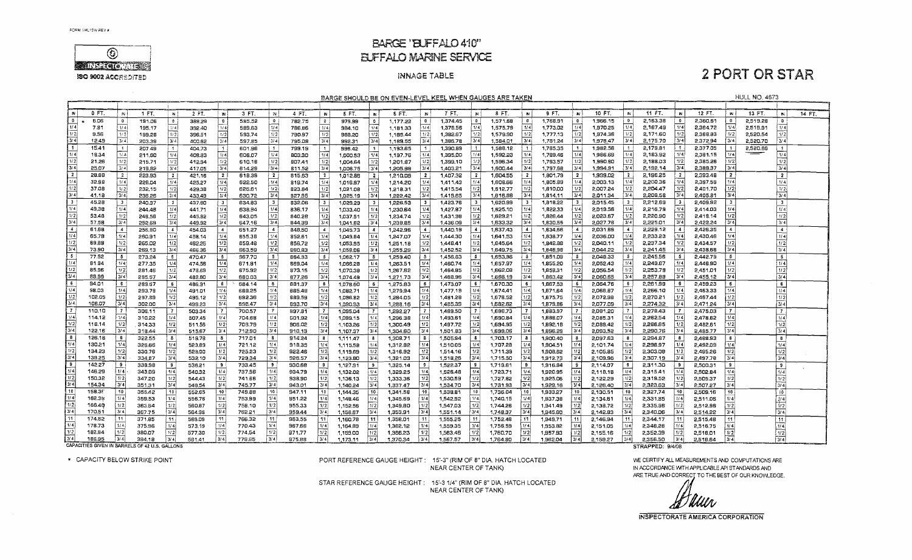

 $\sim 10^{-1}$ 

### **BARGE 'BLFFALO 410" EUFFALO MARINE SERVICE**

#### INNAGE TABLE

## **2 PORT OR STAR**

**HULL NO. 4673** 

BARGE SHOULD BE ON EVEN-LEVEL KEEL WHEN GAUGES ARE TAKEN

| 0 FT<br>7 FT.<br>9 FT.<br>10 FT.<br>11 FT.<br>12 FT.<br>SFT.<br>8 FT.<br>13 FT.<br>1 FT.<br>2 FT.<br>3 FT.<br>4 FT<br>5 FT.<br>N<br>$\mathbf{N}$<br>$\boldsymbol{N}$<br><b>N</b><br><b>N</b><br><b>IN</b><br>14 FT.<br><b>W</b><br>- IN<br>14<br><b>N</b><br>$\mathbf{0}$<br>6.06<br>1,374.45<br>$\overline{\mathbf{0}}$<br>1.571.68<br>$\mathbf{0}$<br>1.768.91<br>1,966.15<br>2,163.38<br>$\mathbf{0}$<br>2,360.61<br>2.519.28<br>$\mathbf{0}$<br>585,52<br>782.75<br>979.99<br>$\mathbf{0}$<br>$\mathbf{0}$<br>$\mathbf{0}$<br>$\overline{0}$<br>191.06<br>$\bullet$<br>389.29<br>$\mathbf{0}$<br>$\mathbf{0}$<br>$\theta$<br>1,177.22<br>$\mathbf{0}$<br>$\bullet$<br>1/4<br>2,167.49<br>1/4<br>1/4<br>  1/4 <br>1/4<br>7.81<br>  1/4<br>1/4<br>1,378.56<br>1,575.79<br>1/4<br>1,773.02<br>1,970.25<br>2,364.72<br>2,519.91<br>1/4<br>195,17<br>1/4<br>589.63<br>786,86<br>1/4<br>1,181.33<br>1/4<br>392.40<br>1/4<br>984.10<br>1/2<br>  1/2 <br>1/2<br>1/2<br>1/2<br>1/2<br>  1/ 2<br>2.171.60<br>2,520.54<br>1/2<br>  1/2<br>1/2<br>1/2<br>1/2<br>1,579.90<br>1.777.13<br>1/2<br>1.974.36<br>2,368.83<br>1/2<br>9.56<br>593.74<br>1,382.67<br>199.28<br>396.51<br>790.97<br>988.20<br>1,185.44<br>ا4 ، 3 أ<br>3/4<br>3/4<br>3/4<br>3/4<br>3/4<br>3/4<br>3/4<br>3/4<br>3/4<br>3/4<br>2.175.70<br>2.372.94<br>3/4<br>2.520.70<br>3/4<br>12.49<br>3/4<br>1,386.78<br>1,584.01<br>1,781.24<br>1,978.47<br>203.39<br>400.62<br>597.85<br>795.08<br>1,189.55<br>992.31<br>$\vert$ 1.<br>15.41<br>2,179.81<br>$\mathbf{1}$<br>2.377.05<br>2,520.86<br>1,390.89<br>1,588.12<br>1,785.35<br>1,982.58<br>$\overline{1}$<br>$\overline{\mathbf{1}}$<br>799.19<br>996.42<br>1,193.65<br>$\mathbf{1}$<br>$\mathbf{1}$<br>207.49<br>404.73<br>$\overline{1}$<br>601.96<br>$\lceil$ 1<br>$\mathbf{1}$<br>$\mathbf{1}$<br>——<br>81/4<br>ا 1/ 4<br>1/4<br>1/4<br>1/4<br>2,183.92<br>  1/4 <br>2.381.15<br>18.34<br>1/4<br>  1/4 <br>1,395,00<br>1,592.23<br>1/4<br>1.789.46<br>1,986.69<br>1/4<br>1/4<br>606.07<br>803,30<br>  1/4<br>1/4<br>211.60<br>408.83<br>1,000.53<br>1/4<br>1,197.76<br>$\left[ \frac{1}{2} \right]$<br>$\boxed{1/2}$<br> 1/2 <br> 1/2 <br>1/2<br>W <sub>2</sub><br>1/2<br>1/2<br> 1/2 <br>1/2<br>i 1/21<br>11/2<br>1/2<br>1/2<br>1,596.34<br>1,793.57<br>1/2<br>2,188.03<br>2,385.26<br>21,26<br>610.18<br>807.41<br>1,201.87<br>1,399.10<br>1,990.60<br>215.71<br>412.94<br>1,004.64<br>3/4<br>3/4<br>3/4<br>3/4<br>3/4<br>3/4<br>3/4<br>3/4<br>ا3/41<br>3/41<br>i 3/4 l<br>3/4<br>13/41<br>25.07<br>3/4<br>1,797.68<br>3/4<br>1,994.91<br>2,192.14<br>2,389.37<br>219,82<br>614.29<br>811,52<br>1,008.75<br>1,205,98<br>1,403.21<br>1,600.44<br>417.05<br>$\overline{2}$<br>$\overline{2}$<br>28.88<br>1.407.32<br>$\overline{2}$<br>$\mathbf{z}$<br>2,196,25<br>$\mathbf{2}$<br>$\overline{2}$<br>223.93<br>$\overline{2}$<br>618.39<br>815.63<br>$\overline{2}$<br>1.012.86<br>1,210.09<br>$\overline{z}$<br>1,604.55<br>1,801.79<br>-2<br>1,999.02<br>$\mathbf{z}$<br>2,393.48<br>$\overline{2}$<br>$\overline{2}$<br>421.16<br>$^{\dagger}$ 2<br>$\mathbf{z}$<br>I 1/4 I<br>1/4<br>  1/4 !<br>2,200.36<br>1/4<br>1/4<br>32.98<br>1/4<br>1/4<br>1/4<br>1/4<br>1/4<br>1/4<br>l 1/41<br>1,805.89<br>1/4<br>2,397.59<br>1/4<br>228.04<br>425,27<br>622.50<br>1,016.97<br>  1/4<br>1,214.20<br>1,411.43<br>1,608.66<br>2,003.13<br>819.74<br> 1/2 <br>1/2<br>1/2<br>V <sub>2</sub><br>1/2<br>1/2<br>1/2<br>1/2<br> 1/2 <br>37.08<br>1/2<br> 1/2 <br>1/2<br>1/2<br>2,204.47<br>1/2<br>1,415.54<br>1.612.77<br>1,810,00<br>1/2<br>2,007.24<br>2,401,70<br>232.15<br>429.38<br>626.61<br>823.84<br>1.021.08<br>1,218.31<br>3/4<br>$\sqrt{3/4}$<br>3/4<br>3/4<br>3/4<br>3/4<br>3/4<br>أ4 لا أ<br>3/4<br>3/4<br>3/4<br>3/4<br> 3/4 <br>3/4<br>2,208.58<br>41.18<br>ا 3/4<br>1.814.11<br>2.405.81<br>236.26<br>630.72<br>827.95<br>1,419.65<br>1.616.88<br>2.011.34<br>433.49<br>1,025.19<br>1,222.42<br>IЗ.<br>45.28<br>$\overline{\mathbf{3}}$<br>2,212.69<br>1,423.76<br>1,620.99<br>$\mathbf{3}$<br>1.818.22<br>$\mathbf{3}$<br>2.015.45<br>-31<br>$\overline{\mathbf{3}}$<br>$\overline{\mathbf{3}}$<br>$\mathbf{3}$<br>  3<br><b>в</b><br>$\mathbf{3}$<br>3 <sup>1</sup><br>2.409.92<br>240.37<br>$\overline{\mathbf{3}}$<br>437.60<br>$\overline{\mathbf{3}}$<br>634.83<br>832.06<br>1,029.29<br>$\mathbf{a}$<br>1,226.53<br>1/4<br>1/4<br>1/4<br>1/4<br>49,38<br>  1/4<br>1/4<br>  1/4 <br>  1/4  <br>2,216.79<br>11/4<br>1/4<br>1/4<br>1/4<br>1,427.87<br>1,625.10<br>i 1/4 l<br>1,822.33<br>2.019.56<br>2.414.03<br>244.48<br>441.71<br>638.94<br>B36.17<br>1,033,40<br>1/4<br>1,230.64<br>1/4<br> 1/2 <br> 1/2 <br>1/2<br> 1/2 <br> 1/2 <br> 1/2 <br>53.48<br>1/2<br>1/2<br>1/2<br>1/2<br>i 1/21<br>1.826.44<br>2.023.67<br>l 1/2 l<br>2,220.90<br>2.418.14<br>1/2<br>1/2<br>1.629.21<br>248.58<br>643.05<br>840.28<br>1,234.74<br>1,431.98<br>445.92<br>1,037.51<br>3/4<br>3/4<br>3/4<br>3/4<br>$3/4$<br>3/4<br>3/4<br>3/4<br>3/4<br>3/4<br>$3/\overline{4}$<br>3/4<br>3/4<br>57.58<br>3/4<br>3/4<br>2,225.01<br>1,633.32<br>1,830,55<br>2,027.78<br>2.422.24<br>252.65<br>449.92<br>647.16<br>844.39<br>1,041.62<br>1,238.85<br>1,436.09<br>$\frac{1}{4}$<br>61.68<br>2,229.12<br>$\mathbf{A}$<br>$\overline{4}$<br>$\sim$<br>$\overline{4}$<br>$\overline{4}$<br>1,440.19<br>$\ddot{ }$<br>$\overline{4}$<br>1,834.66<br>2,031.89<br>2,426.35<br>256.90<br>454.03<br>651.27<br>$\overline{4}$<br>848.50<br>$\overline{4}$<br>1.045.73<br>1,242.96<br>1,637.43<br>-4-1<br>$\overline{4}$<br>-4<br>-41<br>$\mathbf{A}$<br>1/4<br>1/4<br>1/4<br>1/4<br> 1/4 <br>i 1/4l<br>1/4<br>2,233.23<br>65.78<br>  1/4<br>655.38<br>1/4<br>1,444.30<br>11/4<br>1,641,53<br>1,838.77<br>2,036.00<br>114<br>2,430.46<br>1/4<br>  1/4 <br>260.91<br>458.14<br>852.61<br>1.049.84<br> 1/4 <br>1.247.07<br>1/41<br>$\frac{1}{2}$<br>1/2<br>1/2<br>$\overline{1/2}$<br>1/2<br> 1/2 <br>1/2<br>69.88<br>1/2<br>1/2<br> 1/2 <br> 1/2 <br>1/2<br>1/2<br>2,237.34<br>265.02<br>$\left\lfloor \frac{1}{2} \right\rfloor$<br>1,448.41<br>1,842.88<br>2,434.57<br>1/2<br>462.25<br>559.48<br>856,72<br>1,053.95<br>1,645.64<br>2,040.11<br>1,251.18<br>3/4<br>3/4<br>3/4<br>3/4<br>3/4<br>3/4<br>3/4<br>3/4<br>3/4<br>3/4<br>3/4<br>3/4<br> 3/4 <br>3/4<br>73,90<br>  3/4 <br>1.452.52<br>1,846.98<br>2,241.45<br>2,438.68<br>269.13<br>663.59<br>1,058.06<br>1,255.29<br>1,649.75<br>2.044.22<br>466.36<br>860.83<br>I 5<br>77.92<br>- 5<br><b>S67.70</b><br>5 <sub>5</sub><br>5<br>1,456,63<br>1,851.09<br>2.245.56<br>2.442.79<br>5 <sub>5</sub><br>-5<br>273.24<br>$\sqrt{5}$<br>470.47<br>5<br>864.93<br>1,062.17<br>-5<br>5 <sup>1</sup><br>1,653,36<br>5<br>$\overline{5}$<br>2,048.33<br>-5<br>5<br>1,259.40<br>- 5<br>1/4<br> 1/4 <br>1/4<br>1/4<br>1/4<br>  1/ 4<br>  1/4 <br>  1/4 <br>1/4<br>1/4<br>2.249.67<br>1/4<br>81.94<br>277.35<br>474.58<br>671.81<br>1,066.28<br> 1/4 <br>l 1/4 i<br>1,460.74<br>1,657.97<br>1,855.20<br>2,052.43<br>1/4<br>2,446.90<br>i 1/4<br>869.04<br>1.263.51<br>1/2<br>1/2<br>$\overline{1/2}$<br>1/2<br>1/2<br>  1/2 <br>1/2<br>  1/2 <br>$1/2$<br>1/2<br>1/2<br>1/2<br> 1/2 <br>85.96<br> 1/2 <br>1,859,31<br>2,056.54<br>2,253.78<br>1/2<br>281.46<br>478.69<br>675.92<br>873.15<br>1,070,38<br>1,267.62<br>1,464.85<br>1,662,08<br>2,451.01<br>3/4<br>$\overline{3}/4$<br>3/4<br>3/4<br>ا 4 /3 أ<br>3/4<br>(з/4)<br>3/4<br>3/4<br>3/4<br>89.99<br>3/4<br>3/4<br>374<br>3/4<br>  3/4 <br>2,257.88<br>285.57<br>482,80<br>680.03<br>877.26<br>1,074.49<br>1.271.73<br>1,468.96<br>1,666.19<br>1,863.42<br>2,060.65<br>2,455.12<br>$\overline{\phantom{a}}$<br>94.01<br>6<br>5<br>  6<br>∣ S<br>6<br>2,261,99<br>6<br>289.67<br>486.91<br>684.14<br>6<br>1,078.60<br>1.275.83<br>1,473.07<br>6<br>1,670.30<br>1.867.53<br>2.064.76<br>2,459.23<br>6<br>881.37<br>-5<br>6<br>6 <sup>1</sup><br>1/4<br>1/4<br>  1/4<br>98.03<br>1/4<br>1/4<br>1/4<br>1/4<br>1/4<br>  1/4 <br>  1/4 <br>1,477.18<br>1.674.41<br>1/4<br>1,871.64<br>2.068.87<br>1/4<br>2,266.10<br>1/4<br>2.463.33<br>1/4<br>114<br>293.78<br>491.01<br>688,25<br>885.48<br>1,082.71<br>1,279.94<br> 1/2<br>1/2<br>  1/2<br> 1/2 <br>1/2<br> 1/2 <br>1/2<br>102.05<br>11/2<br>1/2<br>1/2<br>1/2<br>1/2<br>2,270.21<br>  1/2  <br>1/2<br>l t/2l<br>692.36<br>1.481.28<br>1.678.52<br>1.875.75<br>2,072.98<br>2.467.44<br>297.89<br>495.12<br>889.59<br>1,096.82<br>1,284.05<br>$\overline{3/4}$<br>3/4<br>3/4<br>3/4<br>3/4<br>3/4<br>3/4<br>3/4<br>3/4<br>3/4<br>3/4<br>3/4<br>106.07<br>2,274.32<br>3/4<br>302.00<br>499.23<br>696.47<br>893.70<br>1,090.93<br>3/4<br>1,288.16<br>1,485.39<br>1,682.62<br>1,879.86<br>2,077.09<br>2,471.24<br>Γž<br>110.10<br>$\overline{7}$<br>306.11<br>700.57<br>$\overline{7}$<br>-71<br>1,489.50<br>$\mathbf{7}$<br>1.686.73<br>1.883.97<br>2.081.20<br>2,278.43<br>$\overline{r}$<br>2.475.03<br>7 <sup>1</sup><br>-71<br>i 7<br>503.34<br>$\overline{7}$<br>897.B1<br>$\overline{7}$<br>1,095.04<br>$\mathbf{7}$<br>$\mathbf{7}$<br>$\mathbf{7}$<br>1,292.27<br>ا ۱٬۱<br>1/4<br>$\lceil$ 1/4<br>1/4<br>  1/4  <br>1/4<br>114.12<br>1/4<br>[1/4]<br>1/4<br>1/4<br>2,282.54<br>1/4<br>1/4<br>1141<br>310,22<br>507.45<br>704.68<br>901,92<br>1,099.15<br>  1/4 <br>1,493.61<br>1,690.84<br>  1/4<br>1,888.07<br>2,085.31<br>2.478.82<br>1,296.38<br>$\overline{1/2}$<br>$\sqrt{1/2}$<br>1/2<br>$1/2$<br>1/2<br>1/2<br>  1/2 <br>1/2<br>1/2<br>1/2<br>1/2<br>1/2<br>1/2<br>118.14<br>708.79<br>1/2<br>1,497.72<br>1,892.18<br>2,286.65<br>314.33<br>511.56<br>906.02<br>1,300.49<br>1,694.95<br>2,089,42<br>2,482,61<br>1,103.26<br>$\sqrt{3/4}$<br>3/4<br> 3/4 <br>3/4<br>3/4<br>122.16<br>3/4<br>3/4<br> 3/4 <br>3/4<br>314<br>3/4<br>3/4<br>2,290.76<br>3/4<br>712.90<br>3/4<br>1,501.83<br>3/4<br>1,896.29<br>2,093.52<br>318.44<br>515.67<br>910.13<br>1,107.37<br>1,304.60<br>1,699.06<br>2,485.77<br>Γв<br>126.18<br>18<br>8<br>322.55<br>İΒ<br>İΒ<br>$\overline{b}$<br>1,505.94<br>a<br>2,294.87<br>8<br>$\mathbf{8}$<br>$\mathbf{B}$<br>513.78<br>717.01<br>914.24<br>$\blacksquare$<br>1,111.47<br>1,308.71<br>-8<br>1,703.17<br>1,900.40<br>8<br>8<br>2,097.63<br>-8<br>2,468.93<br>1/4<br>1/4<br>1/4<br>130.21<br>1/4<br>1/4<br>1/4<br>1/4<br>2.298.97<br>1/4<br>1/4<br>326.66<br>523.89<br>721.12<br>918.35<br>1/4<br>1.510.05<br>1/4<br>1.707.28<br>1/4<br>1.904.51<br>2,101.74<br>1/4<br>1/4<br>2.492.09<br>1,115,58<br>1/4<br>1.312.32<br>1/2<br>1/2<br>$\sqrt{1/2}$<br>$\sqrt{1/2}$<br> 1/2 <br> 1/2 <br>1/2<br>1/2<br>1/2<br>1/2<br>134.23<br>1/2<br>1/2<br>1/2<br>1/2<br>2,303.08<br>1/2<br>330.76<br>725.23<br>922.46<br>1,119.69<br>1.316.92<br>1,514.16<br>1,711.39<br>1,908.62<br>2,105.85<br>2,495.26<br>528,00<br>3/4<br>3/4<br>3/4<br>3/4<br>3/4<br>3/4<br>3/4<br>3/4<br>138.25<br>3/4<br>3/4<br>3/4<br>3/4<br>3/4<br>3/4<br>3/4<br>2,307.19<br>334,87<br>532.10<br>729.34<br>926.57<br>1,123.80<br>1,518.26<br>1,715.50<br>1,912.73<br>2,109,96<br>2,497.78<br>1,321.03<br><b>9</b><br>142.27<br>-9<br>9<br>9<br>9<br>338.98<br>- 9<br>536.21<br>-9<br>733.45<br>930.68<br>1,127.91<br>$^{\circ}$<br>1,325.14<br>1,522.37<br>1,719.61<br>9<br>1,916.84<br>-9<br>2,114.07<br>9<br>2.311.30<br>9<br>2,500.31<br>∤ 9⊦<br>-9<br>-9<br>1/4<br>  1/4 <br>146.29<br>1/4<br>  1/41<br>1/4<br>737.56<br>1/4<br>1/4<br>1/4<br>343.09<br>114<br>  1/4 <br>i 1/4 l<br>1/4<br>2,315.41<br>1/4<br>540.32<br>934.79<br>1.132.02<br>1,526.48<br>1,723.71<br>1/4<br>1,920.95<br>2,118.18<br>2,502.84<br>1,329.25<br>$\sqrt{1/2}$<br>1/2<br>1/2<br>150,32<br>  1/ 2  <br>1/2<br>1/2<br>1/2<br> 1/2 <br> 1/2 <br>1/2<br>1/2<br>1/2<br>1/2<br>112<br>347.20<br>1,530,59<br> 1/2 <br>1,925.06<br>2,319.52<br>544.43<br>741.66<br>938,90<br>1,333,36<br>1,727.62<br>2,122.29<br>2,505.37<br>1.136.13<br>، رو (<br>3/4<br>3/4<br> 3/4 <br>3/4<br>3/4<br>3/4<br>3/4<br>3/4<br>ا 3/4<br>3/4<br>3/4<br>3/4<br>154.34<br>3/4<br>3/4<br>2,323.63<br>351.31<br>745.77<br>943.01<br>1,140.24<br>1.337.47<br>1,534.70<br>1,731.93<br>1,929.16<br>2.126.40<br>2,507.27<br>548.54<br>10<br>158.36<br>10<br>355.42<br>749.88<br>10<br>1.538.81<br>1,736.04<br>1.933.27<br>2,327.74<br>10 <sub>1</sub><br>10<br> 10 <br>552.65<br>10<br>947.11<br>10<br>1.144.35<br>10 <sub>1</sub><br>1.341.58<br><b>10</b><br>10<br>10 <sup>1</sup><br>10 <sub>1</sub><br>2.130.51<br>- 10 I<br>10<br>2.509.16<br>1/4<br>1/4<br>162.38<br> 1/4 <br>1/4<br>1/4<br>  1/4 <br>1/4<br> 1/4 <br>  174.<br>1/4<br>1/4<br>1/4<br>1/4<br>359.53<br>556,76<br>753.99<br>951.22<br>1.148.46<br>1/4<br>1,542.92<br>1,740.15<br>1,937.38<br>2,134.61<br>2,331.85<br>1.345.69<br>l 1/4<br>2,511.06<br>l 1/2.<br>1/2<br>  1/ 2  <br>1/2<br>1/2<br>166.40<br>1/2<br>1/2<br>1/2<br>1/2<br>$ y_2 $<br>1/2<br>758.10<br>1/2<br>2,335.96<br> 1/2 <br>363.54<br>560.87<br>955.33<br>1/2<br>1,152.56<br>1,349,80<br>1/2<br>1,547.03<br>1.744.26<br>1.941.49<br>2,138.72<br>2.512.96<br>$\sqrt{3/4}$<br>3/4<br>3/4<br>3/4<br>3/4<br>3/4<br>3/4<br>170.51<br>3/4<br>13/41<br>3/4<br>3/4<br>3/4<br>3/4<br>3/4<br>3/4<br>367.75<br>762.21<br>959.44<br>1,156,67<br>1,353.91<br>1,551.14<br>1,748.37<br>1,945.60<br>2,340.06<br>564.98<br>2.142.83<br>2,514.22<br>l 11<br>11<br>174.52<br>11<br>11 <br>371.85<br>766.32<br>963.55<br>11<br>1,160.78<br>1,555.25<br>1,752.48<br>2,515,48<br>11<br>11<br>569.09<br>111<br>1,358.01<br>111<br>11 <sub>1</sub><br>1.949.71<br>11<br>2.146.94<br>11<br>2,344.17<br>11 <sup>1</sup><br>11<br>1/4<br>1/4<br>1/4<br>i 1/4 l<br>1/4<br>178.73<br>375.96<br>1/4<br>770.43<br>1/4<br>1/4<br>1/4<br>1,559.35<br>1,756.59<br>1/4<br>1,953.82<br>1/4<br>1/4<br>1/4<br>1/4<br>573.19<br>967.66<br>1,164.89<br>1,362.12<br>2,151.05<br>2.348.28<br>2,516.75<br>1/4<br> 1/2 <br>1/2<br>1/2<br>  1/2 <br>1/2<br>1/2<br>182.84<br>1/2<br> 1/2 <br>1/2<br>1/2<br>1/2<br>1/2<br>1/2<br>1/2<br>380.07<br>577.30<br>774.54<br>971.77<br>1,356.23<br>1,563.46<br>1,760.70<br>1,957.93<br>1/2<br>2,352.39<br>1,169.00<br>2,155.16<br>2,518,01<br>3/4<br>3/4<br>3/4<br>3/4<br>3/4<br>3/4<br>3/4<br>3/4<br>3/4<br>$\sqrt{3/4}$<br>3/4<br>3/4<br>3/4<br>3/4<br>3/4<br>186.95<br>384.18<br>778.65<br>975.88<br>1,567.57<br>2,356.50<br>581.41<br>1.173.11<br>1,370.34<br>1,764.80<br>1,962.04<br>2.159.27<br>2,518,64<br>CAPACITIES GIVEN IN BARRELS OF 42 U.S. GALLONS<br>STRAPPED: 9/4/08 |  |  |  |  |  |  |  |  |  |  |  |  |  |  |  |
|----------------------------------------------------------------------------------------------------------------------------------------------------------------------------------------------------------------------------------------------------------------------------------------------------------------------------------------------------------------------------------------------------------------------------------------------------------------------------------------------------------------------------------------------------------------------------------------------------------------------------------------------------------------------------------------------------------------------------------------------------------------------------------------------------------------------------------------------------------------------------------------------------------------------------------------------------------------------------------------------------------------------------------------------------------------------------------------------------------------------------------------------------------------------------------------------------------------------------------------------------------------------------------------------------------------------------------------------------------------------------------------------------------------------------------------------------------------------------------------------------------------------------------------------------------------------------------------------------------------------------------------------------------------------------------------------------------------------------------------------------------------------------------------------------------------------------------------------------------------------------------------------------------------------------------------------------------------------------------------------------------------------------------------------------------------------------------------------------------------------------------------------------------------------------------------------------------------------------------------------------------------------------------------------------------------------------------------------------------------------------------------------------------------------------------------------------------------------------------------------------------------------------------------------------------------------------------------------------------------------------------------------------------------------------------------------------------------------------------------------------------------------------------------------------------------------------------------------------------------------------------------------------------------------------------------------------------------------------------------------------------------------------------------------------------------------------------------------------------------------------------------------------------------------------------------------------------------------------------------------------------------------------------------------------------------------------------------------------------------------------------------------------------------------------------------------------------------------------------------------------------------------------------------------------------------------------------------------------------------------------------------------------------------------------------------------------------------------------------------------------------------------------------------------------------------------------------------------------------------------------------------------------------------------------------------------------------------------------------------------------------------------------------------------------------------------------------------------------------------------------------------------------------------------------------------------------------------------------------------------------------------------------------------------------------------------------------------------------------------------------------------------------------------------------------------------------------------------------------------------------------------------------------------------------------------------------------------------------------------------------------------------------------------------------------------------------------------------------------------------------------------------------------------------------------------------------------------------------------------------------------------------------------------------------------------------------------------------------------------------------------------------------------------------------------------------------------------------------------------------------------------------------------------------------------------------------------------------------------------------------------------------------------------------------------------------------------------------------------------------------------------------------------------------------------------------------------------------------------------------------------------------------------------------------------------------------------------------------------------------------------------------------------------------------------------------------------------------------------------------------------------------------------------------------------------------------------------------------------------------------------------------------------------------------------------------------------------------------------------------------------------------------------------------------------------------------------------------------------------------------------------------------------------------------------------------------------------------------------------------------------------------------------------------------------------------------------------------------------------------------------------------------------------------------------------------------------------------------------------------------------------------------------------------------------------------------------------------------------------------------------------------------------------------------------------------------------------------------------------------------------------------------------------------------------------------------------------------------------------------------------------------------------------------------------------------------------------------------------------------------------------------------------------------------------------------------------------------------------------------------------------------------------------------------------------------------------------------------------------------------------------------------------------------------------------------------------------------------------------------------------------------------------------------------------------------------------------------------------------------------------------------------------------------------------------------------------------------------------------------------------------------------------------------------------------------------------------------------------------------------------------------------------------------------------------------------------------------------------------------------------------------------------------------------------------------------------------------------------------------------------------------------------------------------------------------------------------------------------------------------------------------------------------------------------------------------------------------------------------------------------------------------------------------------------------------------------------------------------------------------------------------------------------------------------------------------------------------------------------------------------------------------------------------------------------------------------------------------------------------------------------------------------------------------------------------------------------------------------------------------------------------------------------------------------------------------------------------------------------------------------------------------------------------------------------------------------------------------------------------------------------------------------------------------------------------------------------------------------------------------------------------------------------------------------------------------------------------------------------------------------------------------------------------------------------------------------------------------------------------------------------------------------------------------------------------------------------------------------------------------------------------------------------------------------------------------------------------------------------------------------------------------------------------------------------------------------------------------------------------------------------------------------------------------------------------------------------------------------------------------------------------------------------------------------------------------------------------------------------------------------------------------------------------------------------------------------------------------------------------------------------------------------------------------------------------------------------------------------------------------------------------------------------------------------------------------------------------------------------------------------------------------------------------------------------------------------------------------------------------------------------------------------------------------------------------------------------------------------------------------------------------------------------------------------------------------------------------------------------------------------------------------------------------------------------------------------------------------------------------------------------------------------------------------------------------------------------------------------------------------------------------------------------------------------------------------------------------------------------------------------------------------------------------------------------------------------------------------------------------------------------------------------------------------------------------------------------------------------------------------------------------------------------------------------------------------------------------------------------------------------------------------------------------------------------------------------------------------------------------------------------------------------------------------------------------------------------------------------------------------------------------------------------------------------------------------------------------------------------------------------------------------------------------------------------------------------------------------------------------------------------------------------------------------------------------------------------------------------------------------------------------------------------------------------------------------------------------------------------------------------------------------------------------------------------------------------------------------------------------------------------------------------------------------------------------------------------------------------------------------------------------------------------------------------------------------------------------------------------------------------------------------------------------------------------------------------------------------------------------------------------------------------------------------------------------------------------------------------------------------------------------------------------------------------------------------------------------------------------------------------------------------------------------------------------------------------------------------------------------------------------------------------------------------------------------------------------------------------------------------------------------------------------------------------------------------------------------------------------------------------------------------------------------------------------------------------------------------------------------------------------------------------------------------------------------------------------------------------------------------------------------------------------------------------------------------------------------------------------------------------------------------------------------------------------------------------------------------------------------------------------------------------------------------------------------------------------------------------------------------------------------------------------------------------------------------------------------------------------------------------------------------------------------------------------------------------------------------------------------------------------------------------------------------------|--|--|--|--|--|--|--|--|--|--|--|--|--|--|--|
|                                                                                                                                                                                                                                                                                                                                                                                                                                                                                                                                                                                                                                                                                                                                                                                                                                                                                                                                                                                                                                                                                                                                                                                                                                                                                                                                                                                                                                                                                                                                                                                                                                                                                                                                                                                                                                                                                                                                                                                                                                                                                                                                                                                                                                                                                                                                                                                                                                                                                                                                                                                                                                                                                                                                                                                                                                                                                                                                                                                                                                                                                                                                                                                                                                                                                                                                                                                                                                                                                                                                                                                                                                                                                                                                                                                                                                                                                                                                                                                                                                                                                                                                                                                                                                                                                                                                                                                                                                                                                                                                                                                                                                                                                                                                                                                                                                                                                                                                                                                                                                                                                                                                                                                                                                                                                                                                                                                                                                                                                                                                                                                                                                                                                                                                                                                                                                                                                                                                                                                                                                                                                                                                                                                                                                                                                                                                                                                                                                                                                                                                                                                                                                                                                                                                                                                                                                                                                                                                                                                                                                                                                                                                                                                                                                                                                                                                                                                                                                                                                                                                                                                                                                                                                                                                                                                                                                                                                                                                                                                                                                                                                                                                                                                                                                                                                                                                                                                                                                                                                                                                                                                                                                                                                                                                                                                                                                                                                                                                                                                                                                                                                                                                                                                                                                                                                                                                                                                                                                                                                                                                                                                                                                                                                                                                                                                                                                                                                                                                                                                                                                                                                                                                                                                                                                                                                                                                                                                                                                                                                                                                                                                                                                                                                                                                                                                                                                                                                                                                                                                                                                                                                                                                                                                                                                                                                                                                                                                                                                                                                                                                                                                                                                                                                                                                                                                                                                                                                                                                                                                                                                                                                                                                                                                                                                                                                                                                                                                                                                                                                                                                                                                                                                                                                                                                                                                                                                                                                                                                                                                                                                                                                                                                                                                                                                                                                                                                                                                                                                                                                                                                                                                                                                                                                                                                                                                                                                                                                                                                                                                                                                                                                                                                                                                                                                                                                                          |  |  |  |  |  |  |  |  |  |  |  |  |  |  |  |
|                                                                                                                                                                                                                                                                                                                                                                                                                                                                                                                                                                                                                                                                                                                                                                                                                                                                                                                                                                                                                                                                                                                                                                                                                                                                                                                                                                                                                                                                                                                                                                                                                                                                                                                                                                                                                                                                                                                                                                                                                                                                                                                                                                                                                                                                                                                                                                                                                                                                                                                                                                                                                                                                                                                                                                                                                                                                                                                                                                                                                                                                                                                                                                                                                                                                                                                                                                                                                                                                                                                                                                                                                                                                                                                                                                                                                                                                                                                                                                                                                                                                                                                                                                                                                                                                                                                                                                                                                                                                                                                                                                                                                                                                                                                                                                                                                                                                                                                                                                                                                                                                                                                                                                                                                                                                                                                                                                                                                                                                                                                                                                                                                                                                                                                                                                                                                                                                                                                                                                                                                                                                                                                                                                                                                                                                                                                                                                                                                                                                                                                                                                                                                                                                                                                                                                                                                                                                                                                                                                                                                                                                                                                                                                                                                                                                                                                                                                                                                                                                                                                                                                                                                                                                                                                                                                                                                                                                                                                                                                                                                                                                                                                                                                                                                                                                                                                                                                                                                                                                                                                                                                                                                                                                                                                                                                                                                                                                                                                                                                                                                                                                                                                                                                                                                                                                                                                                                                                                                                                                                                                                                                                                                                                                                                                                                                                                                                                                                                                                                                                                                                                                                                                                                                                                                                                                                                                                                                                                                                                                                                                                                                                                                                                                                                                                                                                                                                                                                                                                                                                                                                                                                                                                                                                                                                                                                                                                                                                                                                                                                                                                                                                                                                                                                                                                                                                                                                                                                                                                                                                                                                                                                                                                                                                                                                                                                                                                                                                                                                                                                                                                                                                                                                                                                                                                                                                                                                                                                                                                                                                                                                                                                                                                                                                                                                                                                                                                                                                                                                                                                                                                                                                                                                                                                                                                                                                                                                                                                                                                                                                                                                                                                                                                                                                                                                                                                                          |  |  |  |  |  |  |  |  |  |  |  |  |  |  |  |
|                                                                                                                                                                                                                                                                                                                                                                                                                                                                                                                                                                                                                                                                                                                                                                                                                                                                                                                                                                                                                                                                                                                                                                                                                                                                                                                                                                                                                                                                                                                                                                                                                                                                                                                                                                                                                                                                                                                                                                                                                                                                                                                                                                                                                                                                                                                                                                                                                                                                                                                                                                                                                                                                                                                                                                                                                                                                                                                                                                                                                                                                                                                                                                                                                                                                                                                                                                                                                                                                                                                                                                                                                                                                                                                                                                                                                                                                                                                                                                                                                                                                                                                                                                                                                                                                                                                                                                                                                                                                                                                                                                                                                                                                                                                                                                                                                                                                                                                                                                                                                                                                                                                                                                                                                                                                                                                                                                                                                                                                                                                                                                                                                                                                                                                                                                                                                                                                                                                                                                                                                                                                                                                                                                                                                                                                                                                                                                                                                                                                                                                                                                                                                                                                                                                                                                                                                                                                                                                                                                                                                                                                                                                                                                                                                                                                                                                                                                                                                                                                                                                                                                                                                                                                                                                                                                                                                                                                                                                                                                                                                                                                                                                                                                                                                                                                                                                                                                                                                                                                                                                                                                                                                                                                                                                                                                                                                                                                                                                                                                                                                                                                                                                                                                                                                                                                                                                                                                                                                                                                                                                                                                                                                                                                                                                                                                                                                                                                                                                                                                                                                                                                                                                                                                                                                                                                                                                                                                                                                                                                                                                                                                                                                                                                                                                                                                                                                                                                                                                                                                                                                                                                                                                                                                                                                                                                                                                                                                                                                                                                                                                                                                                                                                                                                                                                                                                                                                                                                                                                                                                                                                                                                                                                                                                                                                                                                                                                                                                                                                                                                                                                                                                                                                                                                                                                                                                                                                                                                                                                                                                                                                                                                                                                                                                                                                                                                                                                                                                                                                                                                                                                                                                                                                                                                                                                                                                                                                                                                                                                                                                                                                                                                                                                                                                                                                                                                                          |  |  |  |  |  |  |  |  |  |  |  |  |  |  |  |
|                                                                                                                                                                                                                                                                                                                                                                                                                                                                                                                                                                                                                                                                                                                                                                                                                                                                                                                                                                                                                                                                                                                                                                                                                                                                                                                                                                                                                                                                                                                                                                                                                                                                                                                                                                                                                                                                                                                                                                                                                                                                                                                                                                                                                                                                                                                                                                                                                                                                                                                                                                                                                                                                                                                                                                                                                                                                                                                                                                                                                                                                                                                                                                                                                                                                                                                                                                                                                                                                                                                                                                                                                                                                                                                                                                                                                                                                                                                                                                                                                                                                                                                                                                                                                                                                                                                                                                                                                                                                                                                                                                                                                                                                                                                                                                                                                                                                                                                                                                                                                                                                                                                                                                                                                                                                                                                                                                                                                                                                                                                                                                                                                                                                                                                                                                                                                                                                                                                                                                                                                                                                                                                                                                                                                                                                                                                                                                                                                                                                                                                                                                                                                                                                                                                                                                                                                                                                                                                                                                                                                                                                                                                                                                                                                                                                                                                                                                                                                                                                                                                                                                                                                                                                                                                                                                                                                                                                                                                                                                                                                                                                                                                                                                                                                                                                                                                                                                                                                                                                                                                                                                                                                                                                                                                                                                                                                                                                                                                                                                                                                                                                                                                                                                                                                                                                                                                                                                                                                                                                                                                                                                                                                                                                                                                                                                                                                                                                                                                                                                                                                                                                                                                                                                                                                                                                                                                                                                                                                                                                                                                                                                                                                                                                                                                                                                                                                                                                                                                                                                                                                                                                                                                                                                                                                                                                                                                                                                                                                                                                                                                                                                                                                                                                                                                                                                                                                                                                                                                                                                                                                                                                                                                                                                                                                                                                                                                                                                                                                                                                                                                                                                                                                                                                                                                                                                                                                                                                                                                                                                                                                                                                                                                                                                                                                                                                                                                                                                                                                                                                                                                                                                                                                                                                                                                                                                                                                                                                                                                                                                                                                                                                                                                                                                                                                                                                                                          |  |  |  |  |  |  |  |  |  |  |  |  |  |  |  |
|                                                                                                                                                                                                                                                                                                                                                                                                                                                                                                                                                                                                                                                                                                                                                                                                                                                                                                                                                                                                                                                                                                                                                                                                                                                                                                                                                                                                                                                                                                                                                                                                                                                                                                                                                                                                                                                                                                                                                                                                                                                                                                                                                                                                                                                                                                                                                                                                                                                                                                                                                                                                                                                                                                                                                                                                                                                                                                                                                                                                                                                                                                                                                                                                                                                                                                                                                                                                                                                                                                                                                                                                                                                                                                                                                                                                                                                                                                                                                                                                                                                                                                                                                                                                                                                                                                                                                                                                                                                                                                                                                                                                                                                                                                                                                                                                                                                                                                                                                                                                                                                                                                                                                                                                                                                                                                                                                                                                                                                                                                                                                                                                                                                                                                                                                                                                                                                                                                                                                                                                                                                                                                                                                                                                                                                                                                                                                                                                                                                                                                                                                                                                                                                                                                                                                                                                                                                                                                                                                                                                                                                                                                                                                                                                                                                                                                                                                                                                                                                                                                                                                                                                                                                                                                                                                                                                                                                                                                                                                                                                                                                                                                                                                                                                                                                                                                                                                                                                                                                                                                                                                                                                                                                                                                                                                                                                                                                                                                                                                                                                                                                                                                                                                                                                                                                                                                                                                                                                                                                                                                                                                                                                                                                                                                                                                                                                                                                                                                                                                                                                                                                                                                                                                                                                                                                                                                                                                                                                                                                                                                                                                                                                                                                                                                                                                                                                                                                                                                                                                                                                                                                                                                                                                                                                                                                                                                                                                                                                                                                                                                                                                                                                                                                                                                                                                                                                                                                                                                                                                                                                                                                                                                                                                                                                                                                                                                                                                                                                                                                                                                                                                                                                                                                                                                                                                                                                                                                                                                                                                                                                                                                                                                                                                                                                                                                                                                                                                                                                                                                                                                                                                                                                                                                                                                                                                                                                                                                                                                                                                                                                                                                                                                                                                                                                                                                                                                          |  |  |  |  |  |  |  |  |  |  |  |  |  |  |  |
|                                                                                                                                                                                                                                                                                                                                                                                                                                                                                                                                                                                                                                                                                                                                                                                                                                                                                                                                                                                                                                                                                                                                                                                                                                                                                                                                                                                                                                                                                                                                                                                                                                                                                                                                                                                                                                                                                                                                                                                                                                                                                                                                                                                                                                                                                                                                                                                                                                                                                                                                                                                                                                                                                                                                                                                                                                                                                                                                                                                                                                                                                                                                                                                                                                                                                                                                                                                                                                                                                                                                                                                                                                                                                                                                                                                                                                                                                                                                                                                                                                                                                                                                                                                                                                                                                                                                                                                                                                                                                                                                                                                                                                                                                                                                                                                                                                                                                                                                                                                                                                                                                                                                                                                                                                                                                                                                                                                                                                                                                                                                                                                                                                                                                                                                                                                                                                                                                                                                                                                                                                                                                                                                                                                                                                                                                                                                                                                                                                                                                                                                                                                                                                                                                                                                                                                                                                                                                                                                                                                                                                                                                                                                                                                                                                                                                                                                                                                                                                                                                                                                                                                                                                                                                                                                                                                                                                                                                                                                                                                                                                                                                                                                                                                                                                                                                                                                                                                                                                                                                                                                                                                                                                                                                                                                                                                                                                                                                                                                                                                                                                                                                                                                                                                                                                                                                                                                                                                                                                                                                                                                                                                                                                                                                                                                                                                                                                                                                                                                                                                                                                                                                                                                                                                                                                                                                                                                                                                                                                                                                                                                                                                                                                                                                                                                                                                                                                                                                                                                                                                                                                                                                                                                                                                                                                                                                                                                                                                                                                                                                                                                                                                                                                                                                                                                                                                                                                                                                                                                                                                                                                                                                                                                                                                                                                                                                                                                                                                                                                                                                                                                                                                                                                                                                                                                                                                                                                                                                                                                                                                                                                                                                                                                                                                                                                                                                                                                                                                                                                                                                                                                                                                                                                                                                                                                                                                                                                                                                                                                                                                                                                                                                                                                                                                                                                                                                                          |  |  |  |  |  |  |  |  |  |  |  |  |  |  |  |
|                                                                                                                                                                                                                                                                                                                                                                                                                                                                                                                                                                                                                                                                                                                                                                                                                                                                                                                                                                                                                                                                                                                                                                                                                                                                                                                                                                                                                                                                                                                                                                                                                                                                                                                                                                                                                                                                                                                                                                                                                                                                                                                                                                                                                                                                                                                                                                                                                                                                                                                                                                                                                                                                                                                                                                                                                                                                                                                                                                                                                                                                                                                                                                                                                                                                                                                                                                                                                                                                                                                                                                                                                                                                                                                                                                                                                                                                                                                                                                                                                                                                                                                                                                                                                                                                                                                                                                                                                                                                                                                                                                                                                                                                                                                                                                                                                                                                                                                                                                                                                                                                                                                                                                                                                                                                                                                                                                                                                                                                                                                                                                                                                                                                                                                                                                                                                                                                                                                                                                                                                                                                                                                                                                                                                                                                                                                                                                                                                                                                                                                                                                                                                                                                                                                                                                                                                                                                                                                                                                                                                                                                                                                                                                                                                                                                                                                                                                                                                                                                                                                                                                                                                                                                                                                                                                                                                                                                                                                                                                                                                                                                                                                                                                                                                                                                                                                                                                                                                                                                                                                                                                                                                                                                                                                                                                                                                                                                                                                                                                                                                                                                                                                                                                                                                                                                                                                                                                                                                                                                                                                                                                                                                                                                                                                                                                                                                                                                                                                                                                                                                                                                                                                                                                                                                                                                                                                                                                                                                                                                                                                                                                                                                                                                                                                                                                                                                                                                                                                                                                                                                                                                                                                                                                                                                                                                                                                                                                                                                                                                                                                                                                                                                                                                                                                                                                                                                                                                                                                                                                                                                                                                                                                                                                                                                                                                                                                                                                                                                                                                                                                                                                                                                                                                                                                                                                                                                                                                                                                                                                                                                                                                                                                                                                                                                                                                                                                                                                                                                                                                                                                                                                                                                                                                                                                                                                                                                                                                                                                                                                                                                                                                                                                                                                                                                                                                                                          |  |  |  |  |  |  |  |  |  |  |  |  |  |  |  |
|                                                                                                                                                                                                                                                                                                                                                                                                                                                                                                                                                                                                                                                                                                                                                                                                                                                                                                                                                                                                                                                                                                                                                                                                                                                                                                                                                                                                                                                                                                                                                                                                                                                                                                                                                                                                                                                                                                                                                                                                                                                                                                                                                                                                                                                                                                                                                                                                                                                                                                                                                                                                                                                                                                                                                                                                                                                                                                                                                                                                                                                                                                                                                                                                                                                                                                                                                                                                                                                                                                                                                                                                                                                                                                                                                                                                                                                                                                                                                                                                                                                                                                                                                                                                                                                                                                                                                                                                                                                                                                                                                                                                                                                                                                                                                                                                                                                                                                                                                                                                                                                                                                                                                                                                                                                                                                                                                                                                                                                                                                                                                                                                                                                                                                                                                                                                                                                                                                                                                                                                                                                                                                                                                                                                                                                                                                                                                                                                                                                                                                                                                                                                                                                                                                                                                                                                                                                                                                                                                                                                                                                                                                                                                                                                                                                                                                                                                                                                                                                                                                                                                                                                                                                                                                                                                                                                                                                                                                                                                                                                                                                                                                                                                                                                                                                                                                                                                                                                                                                                                                                                                                                                                                                                                                                                                                                                                                                                                                                                                                                                                                                                                                                                                                                                                                                                                                                                                                                                                                                                                                                                                                                                                                                                                                                                                                                                                                                                                                                                                                                                                                                                                                                                                                                                                                                                                                                                                                                                                                                                                                                                                                                                                                                                                                                                                                                                                                                                                                                                                                                                                                                                                                                                                                                                                                                                                                                                                                                                                                                                                                                                                                                                                                                                                                                                                                                                                                                                                                                                                                                                                                                                                                                                                                                                                                                                                                                                                                                                                                                                                                                                                                                                                                                                                                                                                                                                                                                                                                                                                                                                                                                                                                                                                                                                                                                                                                                                                                                                                                                                                                                                                                                                                                                                                                                                                                                                                                                                                                                                                                                                                                                                                                                                                                                                                                                                                                          |  |  |  |  |  |  |  |  |  |  |  |  |  |  |  |
|                                                                                                                                                                                                                                                                                                                                                                                                                                                                                                                                                                                                                                                                                                                                                                                                                                                                                                                                                                                                                                                                                                                                                                                                                                                                                                                                                                                                                                                                                                                                                                                                                                                                                                                                                                                                                                                                                                                                                                                                                                                                                                                                                                                                                                                                                                                                                                                                                                                                                                                                                                                                                                                                                                                                                                                                                                                                                                                                                                                                                                                                                                                                                                                                                                                                                                                                                                                                                                                                                                                                                                                                                                                                                                                                                                                                                                                                                                                                                                                                                                                                                                                                                                                                                                                                                                                                                                                                                                                                                                                                                                                                                                                                                                                                                                                                                                                                                                                                                                                                                                                                                                                                                                                                                                                                                                                                                                                                                                                                                                                                                                                                                                                                                                                                                                                                                                                                                                                                                                                                                                                                                                                                                                                                                                                                                                                                                                                                                                                                                                                                                                                                                                                                                                                                                                                                                                                                                                                                                                                                                                                                                                                                                                                                                                                                                                                                                                                                                                                                                                                                                                                                                                                                                                                                                                                                                                                                                                                                                                                                                                                                                                                                                                                                                                                                                                                                                                                                                                                                                                                                                                                                                                                                                                                                                                                                                                                                                                                                                                                                                                                                                                                                                                                                                                                                                                                                                                                                                                                                                                                                                                                                                                                                                                                                                                                                                                                                                                                                                                                                                                                                                                                                                                                                                                                                                                                                                                                                                                                                                                                                                                                                                                                                                                                                                                                                                                                                                                                                                                                                                                                                                                                                                                                                                                                                                                                                                                                                                                                                                                                                                                                                                                                                                                                                                                                                                                                                                                                                                                                                                                                                                                                                                                                                                                                                                                                                                                                                                                                                                                                                                                                                                                                                                                                                                                                                                                                                                                                                                                                                                                                                                                                                                                                                                                                                                                                                                                                                                                                                                                                                                                                                                                                                                                                                                                                                                                                                                                                                                                                                                                                                                                                                                                                                                                                                                                          |  |  |  |  |  |  |  |  |  |  |  |  |  |  |  |
|                                                                                                                                                                                                                                                                                                                                                                                                                                                                                                                                                                                                                                                                                                                                                                                                                                                                                                                                                                                                                                                                                                                                                                                                                                                                                                                                                                                                                                                                                                                                                                                                                                                                                                                                                                                                                                                                                                                                                                                                                                                                                                                                                                                                                                                                                                                                                                                                                                                                                                                                                                                                                                                                                                                                                                                                                                                                                                                                                                                                                                                                                                                                                                                                                                                                                                                                                                                                                                                                                                                                                                                                                                                                                                                                                                                                                                                                                                                                                                                                                                                                                                                                                                                                                                                                                                                                                                                                                                                                                                                                                                                                                                                                                                                                                                                                                                                                                                                                                                                                                                                                                                                                                                                                                                                                                                                                                                                                                                                                                                                                                                                                                                                                                                                                                                                                                                                                                                                                                                                                                                                                                                                                                                                                                                                                                                                                                                                                                                                                                                                                                                                                                                                                                                                                                                                                                                                                                                                                                                                                                                                                                                                                                                                                                                                                                                                                                                                                                                                                                                                                                                                                                                                                                                                                                                                                                                                                                                                                                                                                                                                                                                                                                                                                                                                                                                                                                                                                                                                                                                                                                                                                                                                                                                                                                                                                                                                                                                                                                                                                                                                                                                                                                                                                                                                                                                                                                                                                                                                                                                                                                                                                                                                                                                                                                                                                                                                                                                                                                                                                                                                                                                                                                                                                                                                                                                                                                                                                                                                                                                                                                                                                                                                                                                                                                                                                                                                                                                                                                                                                                                                                                                                                                                                                                                                                                                                                                                                                                                                                                                                                                                                                                                                                                                                                                                                                                                                                                                                                                                                                                                                                                                                                                                                                                                                                                                                                                                                                                                                                                                                                                                                                                                                                                                                                                                                                                                                                                                                                                                                                                                                                                                                                                                                                                                                                                                                                                                                                                                                                                                                                                                                                                                                                                                                                                                                                                                                                                                                                                                                                                                                                                                                                                                                                                                                                                                          |  |  |  |  |  |  |  |  |  |  |  |  |  |  |  |
|                                                                                                                                                                                                                                                                                                                                                                                                                                                                                                                                                                                                                                                                                                                                                                                                                                                                                                                                                                                                                                                                                                                                                                                                                                                                                                                                                                                                                                                                                                                                                                                                                                                                                                                                                                                                                                                                                                                                                                                                                                                                                                                                                                                                                                                                                                                                                                                                                                                                                                                                                                                                                                                                                                                                                                                                                                                                                                                                                                                                                                                                                                                                                                                                                                                                                                                                                                                                                                                                                                                                                                                                                                                                                                                                                                                                                                                                                                                                                                                                                                                                                                                                                                                                                                                                                                                                                                                                                                                                                                                                                                                                                                                                                                                                                                                                                                                                                                                                                                                                                                                                                                                                                                                                                                                                                                                                                                                                                                                                                                                                                                                                                                                                                                                                                                                                                                                                                                                                                                                                                                                                                                                                                                                                                                                                                                                                                                                                                                                                                                                                                                                                                                                                                                                                                                                                                                                                                                                                                                                                                                                                                                                                                                                                                                                                                                                                                                                                                                                                                                                                                                                                                                                                                                                                                                                                                                                                                                                                                                                                                                                                                                                                                                                                                                                                                                                                                                                                                                                                                                                                                                                                                                                                                                                                                                                                                                                                                                                                                                                                                                                                                                                                                                                                                                                                                                                                                                                                                                                                                                                                                                                                                                                                                                                                                                                                                                                                                                                                                                                                                                                                                                                                                                                                                                                                                                                                                                                                                                                                                                                                                                                                                                                                                                                                                                                                                                                                                                                                                                                                                                                                                                                                                                                                                                                                                                                                                                                                                                                                                                                                                                                                                                                                                                                                                                                                                                                                                                                                                                                                                                                                                                                                                                                                                                                                                                                                                                                                                                                                                                                                                                                                                                                                                                                                                                                                                                                                                                                                                                                                                                                                                                                                                                                                                                                                                                                                                                                                                                                                                                                                                                                                                                                                                                                                                                                                                                                                                                                                                                                                                                                                                                                                                                                                                                                                                                          |  |  |  |  |  |  |  |  |  |  |  |  |  |  |  |
|                                                                                                                                                                                                                                                                                                                                                                                                                                                                                                                                                                                                                                                                                                                                                                                                                                                                                                                                                                                                                                                                                                                                                                                                                                                                                                                                                                                                                                                                                                                                                                                                                                                                                                                                                                                                                                                                                                                                                                                                                                                                                                                                                                                                                                                                                                                                                                                                                                                                                                                                                                                                                                                                                                                                                                                                                                                                                                                                                                                                                                                                                                                                                                                                                                                                                                                                                                                                                                                                                                                                                                                                                                                                                                                                                                                                                                                                                                                                                                                                                                                                                                                                                                                                                                                                                                                                                                                                                                                                                                                                                                                                                                                                                                                                                                                                                                                                                                                                                                                                                                                                                                                                                                                                                                                                                                                                                                                                                                                                                                                                                                                                                                                                                                                                                                                                                                                                                                                                                                                                                                                                                                                                                                                                                                                                                                                                                                                                                                                                                                                                                                                                                                                                                                                                                                                                                                                                                                                                                                                                                                                                                                                                                                                                                                                                                                                                                                                                                                                                                                                                                                                                                                                                                                                                                                                                                                                                                                                                                                                                                                                                                                                                                                                                                                                                                                                                                                                                                                                                                                                                                                                                                                                                                                                                                                                                                                                                                                                                                                                                                                                                                                                                                                                                                                                                                                                                                                                                                                                                                                                                                                                                                                                                                                                                                                                                                                                                                                                                                                                                                                                                                                                                                                                                                                                                                                                                                                                                                                                                                                                                                                                                                                                                                                                                                                                                                                                                                                                                                                                                                                                                                                                                                                                                                                                                                                                                                                                                                                                                                                                                                                                                                                                                                                                                                                                                                                                                                                                                                                                                                                                                                                                                                                                                                                                                                                                                                                                                                                                                                                                                                                                                                                                                                                                                                                                                                                                                                                                                                                                                                                                                                                                                                                                                                                                                                                                                                                                                                                                                                                                                                                                                                                                                                                                                                                                                                                                                                                                                                                                                                                                                                                                                                                                                                                                                                                          |  |  |  |  |  |  |  |  |  |  |  |  |  |  |  |
|                                                                                                                                                                                                                                                                                                                                                                                                                                                                                                                                                                                                                                                                                                                                                                                                                                                                                                                                                                                                                                                                                                                                                                                                                                                                                                                                                                                                                                                                                                                                                                                                                                                                                                                                                                                                                                                                                                                                                                                                                                                                                                                                                                                                                                                                                                                                                                                                                                                                                                                                                                                                                                                                                                                                                                                                                                                                                                                                                                                                                                                                                                                                                                                                                                                                                                                                                                                                                                                                                                                                                                                                                                                                                                                                                                                                                                                                                                                                                                                                                                                                                                                                                                                                                                                                                                                                                                                                                                                                                                                                                                                                                                                                                                                                                                                                                                                                                                                                                                                                                                                                                                                                                                                                                                                                                                                                                                                                                                                                                                                                                                                                                                                                                                                                                                                                                                                                                                                                                                                                                                                                                                                                                                                                                                                                                                                                                                                                                                                                                                                                                                                                                                                                                                                                                                                                                                                                                                                                                                                                                                                                                                                                                                                                                                                                                                                                                                                                                                                                                                                                                                                                                                                                                                                                                                                                                                                                                                                                                                                                                                                                                                                                                                                                                                                                                                                                                                                                                                                                                                                                                                                                                                                                                                                                                                                                                                                                                                                                                                                                                                                                                                                                                                                                                                                                                                                                                                                                                                                                                                                                                                                                                                                                                                                                                                                                                                                                                                                                                                                                                                                                                                                                                                                                                                                                                                                                                                                                                                                                                                                                                                                                                                                                                                                                                                                                                                                                                                                                                                                                                                                                                                                                                                                                                                                                                                                                                                                                                                                                                                                                                                                                                                                                                                                                                                                                                                                                                                                                                                                                                                                                                                                                                                                                                                                                                                                                                                                                                                                                                                                                                                                                                                                                                                                                                                                                                                                                                                                                                                                                                                                                                                                                                                                                                                                                                                                                                                                                                                                                                                                                                                                                                                                                                                                                                                                                                                                                                                                                                                                                                                                                                                                                                                                                                                                                                                          |  |  |  |  |  |  |  |  |  |  |  |  |  |  |  |
|                                                                                                                                                                                                                                                                                                                                                                                                                                                                                                                                                                                                                                                                                                                                                                                                                                                                                                                                                                                                                                                                                                                                                                                                                                                                                                                                                                                                                                                                                                                                                                                                                                                                                                                                                                                                                                                                                                                                                                                                                                                                                                                                                                                                                                                                                                                                                                                                                                                                                                                                                                                                                                                                                                                                                                                                                                                                                                                                                                                                                                                                                                                                                                                                                                                                                                                                                                                                                                                                                                                                                                                                                                                                                                                                                                                                                                                                                                                                                                                                                                                                                                                                                                                                                                                                                                                                                                                                                                                                                                                                                                                                                                                                                                                                                                                                                                                                                                                                                                                                                                                                                                                                                                                                                                                                                                                                                                                                                                                                                                                                                                                                                                                                                                                                                                                                                                                                                                                                                                                                                                                                                                                                                                                                                                                                                                                                                                                                                                                                                                                                                                                                                                                                                                                                                                                                                                                                                                                                                                                                                                                                                                                                                                                                                                                                                                                                                                                                                                                                                                                                                                                                                                                                                                                                                                                                                                                                                                                                                                                                                                                                                                                                                                                                                                                                                                                                                                                                                                                                                                                                                                                                                                                                                                                                                                                                                                                                                                                                                                                                                                                                                                                                                                                                                                                                                                                                                                                                                                                                                                                                                                                                                                                                                                                                                                                                                                                                                                                                                                                                                                                                                                                                                                                                                                                                                                                                                                                                                                                                                                                                                                                                                                                                                                                                                                                                                                                                                                                                                                                                                                                                                                                                                                                                                                                                                                                                                                                                                                                                                                                                                                                                                                                                                                                                                                                                                                                                                                                                                                                                                                                                                                                                                                                                                                                                                                                                                                                                                                                                                                                                                                                                                                                                                                                                                                                                                                                                                                                                                                                                                                                                                                                                                                                                                                                                                                                                                                                                                                                                                                                                                                                                                                                                                                                                                                                                                                                                                                                                                                                                                                                                                                                                                                                                                                                                                                          |  |  |  |  |  |  |  |  |  |  |  |  |  |  |  |
|                                                                                                                                                                                                                                                                                                                                                                                                                                                                                                                                                                                                                                                                                                                                                                                                                                                                                                                                                                                                                                                                                                                                                                                                                                                                                                                                                                                                                                                                                                                                                                                                                                                                                                                                                                                                                                                                                                                                                                                                                                                                                                                                                                                                                                                                                                                                                                                                                                                                                                                                                                                                                                                                                                                                                                                                                                                                                                                                                                                                                                                                                                                                                                                                                                                                                                                                                                                                                                                                                                                                                                                                                                                                                                                                                                                                                                                                                                                                                                                                                                                                                                                                                                                                                                                                                                                                                                                                                                                                                                                                                                                                                                                                                                                                                                                                                                                                                                                                                                                                                                                                                                                                                                                                                                                                                                                                                                                                                                                                                                                                                                                                                                                                                                                                                                                                                                                                                                                                                                                                                                                                                                                                                                                                                                                                                                                                                                                                                                                                                                                                                                                                                                                                                                                                                                                                                                                                                                                                                                                                                                                                                                                                                                                                                                                                                                                                                                                                                                                                                                                                                                                                                                                                                                                                                                                                                                                                                                                                                                                                                                                                                                                                                                                                                                                                                                                                                                                                                                                                                                                                                                                                                                                                                                                                                                                                                                                                                                                                                                                                                                                                                                                                                                                                                                                                                                                                                                                                                                                                                                                                                                                                                                                                                                                                                                                                                                                                                                                                                                                                                                                                                                                                                                                                                                                                                                                                                                                                                                                                                                                                                                                                                                                                                                                                                                                                                                                                                                                                                                                                                                                                                                                                                                                                                                                                                                                                                                                                                                                                                                                                                                                                                                                                                                                                                                                                                                                                                                                                                                                                                                                                                                                                                                                                                                                                                                                                                                                                                                                                                                                                                                                                                                                                                                                                                                                                                                                                                                                                                                                                                                                                                                                                                                                                                                                                                                                                                                                                                                                                                                                                                                                                                                                                                                                                                                                                                                                                                                                                                                                                                                                                                                                                                                                                                                                                                                          |  |  |  |  |  |  |  |  |  |  |  |  |  |  |  |
|                                                                                                                                                                                                                                                                                                                                                                                                                                                                                                                                                                                                                                                                                                                                                                                                                                                                                                                                                                                                                                                                                                                                                                                                                                                                                                                                                                                                                                                                                                                                                                                                                                                                                                                                                                                                                                                                                                                                                                                                                                                                                                                                                                                                                                                                                                                                                                                                                                                                                                                                                                                                                                                                                                                                                                                                                                                                                                                                                                                                                                                                                                                                                                                                                                                                                                                                                                                                                                                                                                                                                                                                                                                                                                                                                                                                                                                                                                                                                                                                                                                                                                                                                                                                                                                                                                                                                                                                                                                                                                                                                                                                                                                                                                                                                                                                                                                                                                                                                                                                                                                                                                                                                                                                                                                                                                                                                                                                                                                                                                                                                                                                                                                                                                                                                                                                                                                                                                                                                                                                                                                                                                                                                                                                                                                                                                                                                                                                                                                                                                                                                                                                                                                                                                                                                                                                                                                                                                                                                                                                                                                                                                                                                                                                                                                                                                                                                                                                                                                                                                                                                                                                                                                                                                                                                                                                                                                                                                                                                                                                                                                                                                                                                                                                                                                                                                                                                                                                                                                                                                                                                                                                                                                                                                                                                                                                                                                                                                                                                                                                                                                                                                                                                                                                                                                                                                                                                                                                                                                                                                                                                                                                                                                                                                                                                                                                                                                                                                                                                                                                                                                                                                                                                                                                                                                                                                                                                                                                                                                                                                                                                                                                                                                                                                                                                                                                                                                                                                                                                                                                                                                                                                                                                                                                                                                                                                                                                                                                                                                                                                                                                                                                                                                                                                                                                                                                                                                                                                                                                                                                                                                                                                                                                                                                                                                                                                                                                                                                                                                                                                                                                                                                                                                                                                                                                                                                                                                                                                                                                                                                                                                                                                                                                                                                                                                                                                                                                                                                                                                                                                                                                                                                                                                                                                                                                                                                                                                                                                                                                                                                                                                                                                                                                                                                                                                                                                          |  |  |  |  |  |  |  |  |  |  |  |  |  |  |  |
|                                                                                                                                                                                                                                                                                                                                                                                                                                                                                                                                                                                                                                                                                                                                                                                                                                                                                                                                                                                                                                                                                                                                                                                                                                                                                                                                                                                                                                                                                                                                                                                                                                                                                                                                                                                                                                                                                                                                                                                                                                                                                                                                                                                                                                                                                                                                                                                                                                                                                                                                                                                                                                                                                                                                                                                                                                                                                                                                                                                                                                                                                                                                                                                                                                                                                                                                                                                                                                                                                                                                                                                                                                                                                                                                                                                                                                                                                                                                                                                                                                                                                                                                                                                                                                                                                                                                                                                                                                                                                                                                                                                                                                                                                                                                                                                                                                                                                                                                                                                                                                                                                                                                                                                                                                                                                                                                                                                                                                                                                                                                                                                                                                                                                                                                                                                                                                                                                                                                                                                                                                                                                                                                                                                                                                                                                                                                                                                                                                                                                                                                                                                                                                                                                                                                                                                                                                                                                                                                                                                                                                                                                                                                                                                                                                                                                                                                                                                                                                                                                                                                                                                                                                                                                                                                                                                                                                                                                                                                                                                                                                                                                                                                                                                                                                                                                                                                                                                                                                                                                                                                                                                                                                                                                                                                                                                                                                                                                                                                                                                                                                                                                                                                                                                                                                                                                                                                                                                                                                                                                                                                                                                                                                                                                                                                                                                                                                                                                                                                                                                                                                                                                                                                                                                                                                                                                                                                                                                                                                                                                                                                                                                                                                                                                                                                                                                                                                                                                                                                                                                                                                                                                                                                                                                                                                                                                                                                                                                                                                                                                                                                                                                                                                                                                                                                                                                                                                                                                                                                                                                                                                                                                                                                                                                                                                                                                                                                                                                                                                                                                                                                                                                                                                                                                                                                                                                                                                                                                                                                                                                                                                                                                                                                                                                                                                                                                                                                                                                                                                                                                                                                                                                                                                                                                                                                                                                                                                                                                                                                                                                                                                                                                                                                                                                                                                                                                                          |  |  |  |  |  |  |  |  |  |  |  |  |  |  |  |
|                                                                                                                                                                                                                                                                                                                                                                                                                                                                                                                                                                                                                                                                                                                                                                                                                                                                                                                                                                                                                                                                                                                                                                                                                                                                                                                                                                                                                                                                                                                                                                                                                                                                                                                                                                                                                                                                                                                                                                                                                                                                                                                                                                                                                                                                                                                                                                                                                                                                                                                                                                                                                                                                                                                                                                                                                                                                                                                                                                                                                                                                                                                                                                                                                                                                                                                                                                                                                                                                                                                                                                                                                                                                                                                                                                                                                                                                                                                                                                                                                                                                                                                                                                                                                                                                                                                                                                                                                                                                                                                                                                                                                                                                                                                                                                                                                                                                                                                                                                                                                                                                                                                                                                                                                                                                                                                                                                                                                                                                                                                                                                                                                                                                                                                                                                                                                                                                                                                                                                                                                                                                                                                                                                                                                                                                                                                                                                                                                                                                                                                                                                                                                                                                                                                                                                                                                                                                                                                                                                                                                                                                                                                                                                                                                                                                                                                                                                                                                                                                                                                                                                                                                                                                                                                                                                                                                                                                                                                                                                                                                                                                                                                                                                                                                                                                                                                                                                                                                                                                                                                                                                                                                                                                                                                                                                                                                                                                                                                                                                                                                                                                                                                                                                                                                                                                                                                                                                                                                                                                                                                                                                                                                                                                                                                                                                                                                                                                                                                                                                                                                                                                                                                                                                                                                                                                                                                                                                                                                                                                                                                                                                                                                                                                                                                                                                                                                                                                                                                                                                                                                                                                                                                                                                                                                                                                                                                                                                                                                                                                                                                                                                                                                                                                                                                                                                                                                                                                                                                                                                                                                                                                                                                                                                                                                                                                                                                                                                                                                                                                                                                                                                                                                                                                                                                                                                                                                                                                                                                                                                                                                                                                                                                                                                                                                                                                                                                                                                                                                                                                                                                                                                                                                                                                                                                                                                                                                                                                                                                                                                                                                                                                                                                                                                                                                                                                                                          |  |  |  |  |  |  |  |  |  |  |  |  |  |  |  |
|                                                                                                                                                                                                                                                                                                                                                                                                                                                                                                                                                                                                                                                                                                                                                                                                                                                                                                                                                                                                                                                                                                                                                                                                                                                                                                                                                                                                                                                                                                                                                                                                                                                                                                                                                                                                                                                                                                                                                                                                                                                                                                                                                                                                                                                                                                                                                                                                                                                                                                                                                                                                                                                                                                                                                                                                                                                                                                                                                                                                                                                                                                                                                                                                                                                                                                                                                                                                                                                                                                                                                                                                                                                                                                                                                                                                                                                                                                                                                                                                                                                                                                                                                                                                                                                                                                                                                                                                                                                                                                                                                                                                                                                                                                                                                                                                                                                                                                                                                                                                                                                                                                                                                                                                                                                                                                                                                                                                                                                                                                                                                                                                                                                                                                                                                                                                                                                                                                                                                                                                                                                                                                                                                                                                                                                                                                                                                                                                                                                                                                                                                                                                                                                                                                                                                                                                                                                                                                                                                                                                                                                                                                                                                                                                                                                                                                                                                                                                                                                                                                                                                                                                                                                                                                                                                                                                                                                                                                                                                                                                                                                                                                                                                                                                                                                                                                                                                                                                                                                                                                                                                                                                                                                                                                                                                                                                                                                                                                                                                                                                                                                                                                                                                                                                                                                                                                                                                                                                                                                                                                                                                                                                                                                                                                                                                                                                                                                                                                                                                                                                                                                                                                                                                                                                                                                                                                                                                                                                                                                                                                                                                                                                                                                                                                                                                                                                                                                                                                                                                                                                                                                                                                                                                                                                                                                                                                                                                                                                                                                                                                                                                                                                                                                                                                                                                                                                                                                                                                                                                                                                                                                                                                                                                                                                                                                                                                                                                                                                                                                                                                                                                                                                                                                                                                                                                                                                                                                                                                                                                                                                                                                                                                                                                                                                                                                                                                                                                                                                                                                                                                                                                                                                                                                                                                                                                                                                                                                                                                                                                                                                                                                                                                                                                                                                                                                                                                          |  |  |  |  |  |  |  |  |  |  |  |  |  |  |  |
|                                                                                                                                                                                                                                                                                                                                                                                                                                                                                                                                                                                                                                                                                                                                                                                                                                                                                                                                                                                                                                                                                                                                                                                                                                                                                                                                                                                                                                                                                                                                                                                                                                                                                                                                                                                                                                                                                                                                                                                                                                                                                                                                                                                                                                                                                                                                                                                                                                                                                                                                                                                                                                                                                                                                                                                                                                                                                                                                                                                                                                                                                                                                                                                                                                                                                                                                                                                                                                                                                                                                                                                                                                                                                                                                                                                                                                                                                                                                                                                                                                                                                                                                                                                                                                                                                                                                                                                                                                                                                                                                                                                                                                                                                                                                                                                                                                                                                                                                                                                                                                                                                                                                                                                                                                                                                                                                                                                                                                                                                                                                                                                                                                                                                                                                                                                                                                                                                                                                                                                                                                                                                                                                                                                                                                                                                                                                                                                                                                                                                                                                                                                                                                                                                                                                                                                                                                                                                                                                                                                                                                                                                                                                                                                                                                                                                                                                                                                                                                                                                                                                                                                                                                                                                                                                                                                                                                                                                                                                                                                                                                                                                                                                                                                                                                                                                                                                                                                                                                                                                                                                                                                                                                                                                                                                                                                                                                                                                                                                                                                                                                                                                                                                                                                                                                                                                                                                                                                                                                                                                                                                                                                                                                                                                                                                                                                                                                                                                                                                                                                                                                                                                                                                                                                                                                                                                                                                                                                                                                                                                                                                                                                                                                                                                                                                                                                                                                                                                                                                                                                                                                                                                                                                                                                                                                                                                                                                                                                                                                                                                                                                                                                                                                                                                                                                                                                                                                                                                                                                                                                                                                                                                                                                                                                                                                                                                                                                                                                                                                                                                                                                                                                                                                                                                                                                                                                                                                                                                                                                                                                                                                                                                                                                                                                                                                                                                                                                                                                                                                                                                                                                                                                                                                                                                                                                                                                                                                                                                                                                                                                                                                                                                                                                                                                                                                                                                                          |  |  |  |  |  |  |  |  |  |  |  |  |  |  |  |
|                                                                                                                                                                                                                                                                                                                                                                                                                                                                                                                                                                                                                                                                                                                                                                                                                                                                                                                                                                                                                                                                                                                                                                                                                                                                                                                                                                                                                                                                                                                                                                                                                                                                                                                                                                                                                                                                                                                                                                                                                                                                                                                                                                                                                                                                                                                                                                                                                                                                                                                                                                                                                                                                                                                                                                                                                                                                                                                                                                                                                                                                                                                                                                                                                                                                                                                                                                                                                                                                                                                                                                                                                                                                                                                                                                                                                                                                                                                                                                                                                                                                                                                                                                                                                                                                                                                                                                                                                                                                                                                                                                                                                                                                                                                                                                                                                                                                                                                                                                                                                                                                                                                                                                                                                                                                                                                                                                                                                                                                                                                                                                                                                                                                                                                                                                                                                                                                                                                                                                                                                                                                                                                                                                                                                                                                                                                                                                                                                                                                                                                                                                                                                                                                                                                                                                                                                                                                                                                                                                                                                                                                                                                                                                                                                                                                                                                                                                                                                                                                                                                                                                                                                                                                                                                                                                                                                                                                                                                                                                                                                                                                                                                                                                                                                                                                                                                                                                                                                                                                                                                                                                                                                                                                                                                                                                                                                                                                                                                                                                                                                                                                                                                                                                                                                                                                                                                                                                                                                                                                                                                                                                                                                                                                                                                                                                                                                                                                                                                                                                                                                                                                                                                                                                                                                                                                                                                                                                                                                                                                                                                                                                                                                                                                                                                                                                                                                                                                                                                                                                                                                                                                                                                                                                                                                                                                                                                                                                                                                                                                                                                                                                                                                                                                                                                                                                                                                                                                                                                                                                                                                                                                                                                                                                                                                                                                                                                                                                                                                                                                                                                                                                                                                                                                                                                                                                                                                                                                                                                                                                                                                                                                                                                                                                                                                                                                                                                                                                                                                                                                                                                                                                                                                                                                                                                                                                                                                                                                                                                                                                                                                                                                                                                                                                                                                                                                                                          |  |  |  |  |  |  |  |  |  |  |  |  |  |  |  |
|                                                                                                                                                                                                                                                                                                                                                                                                                                                                                                                                                                                                                                                                                                                                                                                                                                                                                                                                                                                                                                                                                                                                                                                                                                                                                                                                                                                                                                                                                                                                                                                                                                                                                                                                                                                                                                                                                                                                                                                                                                                                                                                                                                                                                                                                                                                                                                                                                                                                                                                                                                                                                                                                                                                                                                                                                                                                                                                                                                                                                                                                                                                                                                                                                                                                                                                                                                                                                                                                                                                                                                                                                                                                                                                                                                                                                                                                                                                                                                                                                                                                                                                                                                                                                                                                                                                                                                                                                                                                                                                                                                                                                                                                                                                                                                                                                                                                                                                                                                                                                                                                                                                                                                                                                                                                                                                                                                                                                                                                                                                                                                                                                                                                                                                                                                                                                                                                                                                                                                                                                                                                                                                                                                                                                                                                                                                                                                                                                                                                                                                                                                                                                                                                                                                                                                                                                                                                                                                                                                                                                                                                                                                                                                                                                                                                                                                                                                                                                                                                                                                                                                                                                                                                                                                                                                                                                                                                                                                                                                                                                                                                                                                                                                                                                                                                                                                                                                                                                                                                                                                                                                                                                                                                                                                                                                                                                                                                                                                                                                                                                                                                                                                                                                                                                                                                                                                                                                                                                                                                                                                                                                                                                                                                                                                                                                                                                                                                                                                                                                                                                                                                                                                                                                                                                                                                                                                                                                                                                                                                                                                                                                                                                                                                                                                                                                                                                                                                                                                                                                                                                                                                                                                                                                                                                                                                                                                                                                                                                                                                                                                                                                                                                                                                                                                                                                                                                                                                                                                                                                                                                                                                                                                                                                                                                                                                                                                                                                                                                                                                                                                                                                                                                                                                                                                                                                                                                                                                                                                                                                                                                                                                                                                                                                                                                                                                                                                                                                                                                                                                                                                                                                                                                                                                                                                                                                                                                                                                                                                                                                                                                                                                                                                                                                                                                                                                                                          |  |  |  |  |  |  |  |  |  |  |  |  |  |  |  |
|                                                                                                                                                                                                                                                                                                                                                                                                                                                                                                                                                                                                                                                                                                                                                                                                                                                                                                                                                                                                                                                                                                                                                                                                                                                                                                                                                                                                                                                                                                                                                                                                                                                                                                                                                                                                                                                                                                                                                                                                                                                                                                                                                                                                                                                                                                                                                                                                                                                                                                                                                                                                                                                                                                                                                                                                                                                                                                                                                                                                                                                                                                                                                                                                                                                                                                                                                                                                                                                                                                                                                                                                                                                                                                                                                                                                                                                                                                                                                                                                                                                                                                                                                                                                                                                                                                                                                                                                                                                                                                                                                                                                                                                                                                                                                                                                                                                                                                                                                                                                                                                                                                                                                                                                                                                                                                                                                                                                                                                                                                                                                                                                                                                                                                                                                                                                                                                                                                                                                                                                                                                                                                                                                                                                                                                                                                                                                                                                                                                                                                                                                                                                                                                                                                                                                                                                                                                                                                                                                                                                                                                                                                                                                                                                                                                                                                                                                                                                                                                                                                                                                                                                                                                                                                                                                                                                                                                                                                                                                                                                                                                                                                                                                                                                                                                                                                                                                                                                                                                                                                                                                                                                                                                                                                                                                                                                                                                                                                                                                                                                                                                                                                                                                                                                                                                                                                                                                                                                                                                                                                                                                                                                                                                                                                                                                                                                                                                                                                                                                                                                                                                                                                                                                                                                                                                                                                                                                                                                                                                                                                                                                                                                                                                                                                                                                                                                                                                                                                                                                                                                                                                                                                                                                                                                                                                                                                                                                                                                                                                                                                                                                                                                                                                                                                                                                                                                                                                                                                                                                                                                                                                                                                                                                                                                                                                                                                                                                                                                                                                                                                                                                                                                                                                                                                                                                                                                                                                                                                                                                                                                                                                                                                                                                                                                                                                                                                                                                                                                                                                                                                                                                                                                                                                                                                                                                                                                                                                                                                                                                                                                                                                                                                                                                                                                                                                                                                          |  |  |  |  |  |  |  |  |  |  |  |  |  |  |  |
|                                                                                                                                                                                                                                                                                                                                                                                                                                                                                                                                                                                                                                                                                                                                                                                                                                                                                                                                                                                                                                                                                                                                                                                                                                                                                                                                                                                                                                                                                                                                                                                                                                                                                                                                                                                                                                                                                                                                                                                                                                                                                                                                                                                                                                                                                                                                                                                                                                                                                                                                                                                                                                                                                                                                                                                                                                                                                                                                                                                                                                                                                                                                                                                                                                                                                                                                                                                                                                                                                                                                                                                                                                                                                                                                                                                                                                                                                                                                                                                                                                                                                                                                                                                                                                                                                                                                                                                                                                                                                                                                                                                                                                                                                                                                                                                                                                                                                                                                                                                                                                                                                                                                                                                                                                                                                                                                                                                                                                                                                                                                                                                                                                                                                                                                                                                                                                                                                                                                                                                                                                                                                                                                                                                                                                                                                                                                                                                                                                                                                                                                                                                                                                                                                                                                                                                                                                                                                                                                                                                                                                                                                                                                                                                                                                                                                                                                                                                                                                                                                                                                                                                                                                                                                                                                                                                                                                                                                                                                                                                                                                                                                                                                                                                                                                                                                                                                                                                                                                                                                                                                                                                                                                                                                                                                                                                                                                                                                                                                                                                                                                                                                                                                                                                                                                                                                                                                                                                                                                                                                                                                                                                                                                                                                                                                                                                                                                                                                                                                                                                                                                                                                                                                                                                                                                                                                                                                                                                                                                                                                                                                                                                                                                                                                                                                                                                                                                                                                                                                                                                                                                                                                                                                                                                                                                                                                                                                                                                                                                                                                                                                                                                                                                                                                                                                                                                                                                                                                                                                                                                                                                                                                                                                                                                                                                                                                                                                                                                                                                                                                                                                                                                                                                                                                                                                                                                                                                                                                                                                                                                                                                                                                                                                                                                                                                                                                                                                                                                                                                                                                                                                                                                                                                                                                                                                                                                                                                                                                                                                                                                                                                                                                                                                                                                                                                                                                                          |  |  |  |  |  |  |  |  |  |  |  |  |  |  |  |
|                                                                                                                                                                                                                                                                                                                                                                                                                                                                                                                                                                                                                                                                                                                                                                                                                                                                                                                                                                                                                                                                                                                                                                                                                                                                                                                                                                                                                                                                                                                                                                                                                                                                                                                                                                                                                                                                                                                                                                                                                                                                                                                                                                                                                                                                                                                                                                                                                                                                                                                                                                                                                                                                                                                                                                                                                                                                                                                                                                                                                                                                                                                                                                                                                                                                                                                                                                                                                                                                                                                                                                                                                                                                                                                                                                                                                                                                                                                                                                                                                                                                                                                                                                                                                                                                                                                                                                                                                                                                                                                                                                                                                                                                                                                                                                                                                                                                                                                                                                                                                                                                                                                                                                                                                                                                                                                                                                                                                                                                                                                                                                                                                                                                                                                                                                                                                                                                                                                                                                                                                                                                                                                                                                                                                                                                                                                                                                                                                                                                                                                                                                                                                                                                                                                                                                                                                                                                                                                                                                                                                                                                                                                                                                                                                                                                                                                                                                                                                                                                                                                                                                                                                                                                                                                                                                                                                                                                                                                                                                                                                                                                                                                                                                                                                                                                                                                                                                                                                                                                                                                                                                                                                                                                                                                                                                                                                                                                                                                                                                                                                                                                                                                                                                                                                                                                                                                                                                                                                                                                                                                                                                                                                                                                                                                                                                                                                                                                                                                                                                                                                                                                                                                                                                                                                                                                                                                                                                                                                                                                                                                                                                                                                                                                                                                                                                                                                                                                                                                                                                                                                                                                                                                                                                                                                                                                                                                                                                                                                                                                                                                                                                                                                                                                                                                                                                                                                                                                                                                                                                                                                                                                                                                                                                                                                                                                                                                                                                                                                                                                                                                                                                                                                                                                                                                                                                                                                                                                                                                                                                                                                                                                                                                                                                                                                                                                                                                                                                                                                                                                                                                                                                                                                                                                                                                                                                                                                                                                                                                                                                                                                                                                                                                                                                                                                                                                                                          |  |  |  |  |  |  |  |  |  |  |  |  |  |  |  |
|                                                                                                                                                                                                                                                                                                                                                                                                                                                                                                                                                                                                                                                                                                                                                                                                                                                                                                                                                                                                                                                                                                                                                                                                                                                                                                                                                                                                                                                                                                                                                                                                                                                                                                                                                                                                                                                                                                                                                                                                                                                                                                                                                                                                                                                                                                                                                                                                                                                                                                                                                                                                                                                                                                                                                                                                                                                                                                                                                                                                                                                                                                                                                                                                                                                                                                                                                                                                                                                                                                                                                                                                                                                                                                                                                                                                                                                                                                                                                                                                                                                                                                                                                                                                                                                                                                                                                                                                                                                                                                                                                                                                                                                                                                                                                                                                                                                                                                                                                                                                                                                                                                                                                                                                                                                                                                                                                                                                                                                                                                                                                                                                                                                                                                                                                                                                                                                                                                                                                                                                                                                                                                                                                                                                                                                                                                                                                                                                                                                                                                                                                                                                                                                                                                                                                                                                                                                                                                                                                                                                                                                                                                                                                                                                                                                                                                                                                                                                                                                                                                                                                                                                                                                                                                                                                                                                                                                                                                                                                                                                                                                                                                                                                                                                                                                                                                                                                                                                                                                                                                                                                                                                                                                                                                                                                                                                                                                                                                                                                                                                                                                                                                                                                                                                                                                                                                                                                                                                                                                                                                                                                                                                                                                                                                                                                                                                                                                                                                                                                                                                                                                                                                                                                                                                                                                                                                                                                                                                                                                                                                                                                                                                                                                                                                                                                                                                                                                                                                                                                                                                                                                                                                                                                                                                                                                                                                                                                                                                                                                                                                                                                                                                                                                                                                                                                                                                                                                                                                                                                                                                                                                                                                                                                                                                                                                                                                                                                                                                                                                                                                                                                                                                                                                                                                                                                                                                                                                                                                                                                                                                                                                                                                                                                                                                                                                                                                                                                                                                                                                                                                                                                                                                                                                                                                                                                                                                                                                                                                                                                                                                                                                                                                                                                                                                                                                                                                          |  |  |  |  |  |  |  |  |  |  |  |  |  |  |  |
|                                                                                                                                                                                                                                                                                                                                                                                                                                                                                                                                                                                                                                                                                                                                                                                                                                                                                                                                                                                                                                                                                                                                                                                                                                                                                                                                                                                                                                                                                                                                                                                                                                                                                                                                                                                                                                                                                                                                                                                                                                                                                                                                                                                                                                                                                                                                                                                                                                                                                                                                                                                                                                                                                                                                                                                                                                                                                                                                                                                                                                                                                                                                                                                                                                                                                                                                                                                                                                                                                                                                                                                                                                                                                                                                                                                                                                                                                                                                                                                                                                                                                                                                                                                                                                                                                                                                                                                                                                                                                                                                                                                                                                                                                                                                                                                                                                                                                                                                                                                                                                                                                                                                                                                                                                                                                                                                                                                                                                                                                                                                                                                                                                                                                                                                                                                                                                                                                                                                                                                                                                                                                                                                                                                                                                                                                                                                                                                                                                                                                                                                                                                                                                                                                                                                                                                                                                                                                                                                                                                                                                                                                                                                                                                                                                                                                                                                                                                                                                                                                                                                                                                                                                                                                                                                                                                                                                                                                                                                                                                                                                                                                                                                                                                                                                                                                                                                                                                                                                                                                                                                                                                                                                                                                                                                                                                                                                                                                                                                                                                                                                                                                                                                                                                                                                                                                                                                                                                                                                                                                                                                                                                                                                                                                                                                                                                                                                                                                                                                                                                                                                                                                                                                                                                                                                                                                                                                                                                                                                                                                                                                                                                                                                                                                                                                                                                                                                                                                                                                                                                                                                                                                                                                                                                                                                                                                                                                                                                                                                                                                                                                                                                                                                                                                                                                                                                                                                                                                                                                                                                                                                                                                                                                                                                                                                                                                                                                                                                                                                                                                                                                                                                                                                                                                                                                                                                                                                                                                                                                                                                                                                                                                                                                                                                                                                                                                                                                                                                                                                                                                                                                                                                                                                                                                                                                                                                                                                                                                                                                                                                                                                                                                                                                                                                                                                                                                                          |  |  |  |  |  |  |  |  |  |  |  |  |  |  |  |
|                                                                                                                                                                                                                                                                                                                                                                                                                                                                                                                                                                                                                                                                                                                                                                                                                                                                                                                                                                                                                                                                                                                                                                                                                                                                                                                                                                                                                                                                                                                                                                                                                                                                                                                                                                                                                                                                                                                                                                                                                                                                                                                                                                                                                                                                                                                                                                                                                                                                                                                                                                                                                                                                                                                                                                                                                                                                                                                                                                                                                                                                                                                                                                                                                                                                                                                                                                                                                                                                                                                                                                                                                                                                                                                                                                                                                                                                                                                                                                                                                                                                                                                                                                                                                                                                                                                                                                                                                                                                                                                                                                                                                                                                                                                                                                                                                                                                                                                                                                                                                                                                                                                                                                                                                                                                                                                                                                                                                                                                                                                                                                                                                                                                                                                                                                                                                                                                                                                                                                                                                                                                                                                                                                                                                                                                                                                                                                                                                                                                                                                                                                                                                                                                                                                                                                                                                                                                                                                                                                                                                                                                                                                                                                                                                                                                                                                                                                                                                                                                                                                                                                                                                                                                                                                                                                                                                                                                                                                                                                                                                                                                                                                                                                                                                                                                                                                                                                                                                                                                                                                                                                                                                                                                                                                                                                                                                                                                                                                                                                                                                                                                                                                                                                                                                                                                                                                                                                                                                                                                                                                                                                                                                                                                                                                                                                                                                                                                                                                                                                                                                                                                                                                                                                                                                                                                                                                                                                                                                                                                                                                                                                                                                                                                                                                                                                                                                                                                                                                                                                                                                                                                                                                                                                                                                                                                                                                                                                                                                                                                                                                                                                                                                                                                                                                                                                                                                                                                                                                                                                                                                                                                                                                                                                                                                                                                                                                                                                                                                                                                                                                                                                                                                                                                                                                                                                                                                                                                                                                                                                                                                                                                                                                                                                                                                                                                                                                                                                                                                                                                                                                                                                                                                                                                                                                                                                                                                                                                                                                                                                                                                                                                                                                                                                                                                                                                                                          |  |  |  |  |  |  |  |  |  |  |  |  |  |  |  |
|                                                                                                                                                                                                                                                                                                                                                                                                                                                                                                                                                                                                                                                                                                                                                                                                                                                                                                                                                                                                                                                                                                                                                                                                                                                                                                                                                                                                                                                                                                                                                                                                                                                                                                                                                                                                                                                                                                                                                                                                                                                                                                                                                                                                                                                                                                                                                                                                                                                                                                                                                                                                                                                                                                                                                                                                                                                                                                                                                                                                                                                                                                                                                                                                                                                                                                                                                                                                                                                                                                                                                                                                                                                                                                                                                                                                                                                                                                                                                                                                                                                                                                                                                                                                                                                                                                                                                                                                                                                                                                                                                                                                                                                                                                                                                                                                                                                                                                                                                                                                                                                                                                                                                                                                                                                                                                                                                                                                                                                                                                                                                                                                                                                                                                                                                                                                                                                                                                                                                                                                                                                                                                                                                                                                                                                                                                                                                                                                                                                                                                                                                                                                                                                                                                                                                                                                                                                                                                                                                                                                                                                                                                                                                                                                                                                                                                                                                                                                                                                                                                                                                                                                                                                                                                                                                                                                                                                                                                                                                                                                                                                                                                                                                                                                                                                                                                                                                                                                                                                                                                                                                                                                                                                                                                                                                                                                                                                                                                                                                                                                                                                                                                                                                                                                                                                                                                                                                                                                                                                                                                                                                                                                                                                                                                                                                                                                                                                                                                                                                                                                                                                                                                                                                                                                                                                                                                                                                                                                                                                                                                                                                                                                                                                                                                                                                                                                                                                                                                                                                                                                                                                                                                                                                                                                                                                                                                                                                                                                                                                                                                                                                                                                                                                                                                                                                                                                                                                                                                                                                                                                                                                                                                                                                                                                                                                                                                                                                                                                                                                                                                                                                                                                                                                                                                                                                                                                                                                                                                                                                                                                                                                                                                                                                                                                                                                                                                                                                                                                                                                                                                                                                                                                                                                                                                                                                                                                                                                                                                                                                                                                                                                                                                                                                                                                                                                                                                          |  |  |  |  |  |  |  |  |  |  |  |  |  |  |  |
|                                                                                                                                                                                                                                                                                                                                                                                                                                                                                                                                                                                                                                                                                                                                                                                                                                                                                                                                                                                                                                                                                                                                                                                                                                                                                                                                                                                                                                                                                                                                                                                                                                                                                                                                                                                                                                                                                                                                                                                                                                                                                                                                                                                                                                                                                                                                                                                                                                                                                                                                                                                                                                                                                                                                                                                                                                                                                                                                                                                                                                                                                                                                                                                                                                                                                                                                                                                                                                                                                                                                                                                                                                                                                                                                                                                                                                                                                                                                                                                                                                                                                                                                                                                                                                                                                                                                                                                                                                                                                                                                                                                                                                                                                                                                                                                                                                                                                                                                                                                                                                                                                                                                                                                                                                                                                                                                                                                                                                                                                                                                                                                                                                                                                                                                                                                                                                                                                                                                                                                                                                                                                                                                                                                                                                                                                                                                                                                                                                                                                                                                                                                                                                                                                                                                                                                                                                                                                                                                                                                                                                                                                                                                                                                                                                                                                                                                                                                                                                                                                                                                                                                                                                                                                                                                                                                                                                                                                                                                                                                                                                                                                                                                                                                                                                                                                                                                                                                                                                                                                                                                                                                                                                                                                                                                                                                                                                                                                                                                                                                                                                                                                                                                                                                                                                                                                                                                                                                                                                                                                                                                                                                                                                                                                                                                                                                                                                                                                                                                                                                                                                                                                                                                                                                                                                                                                                                                                                                                                                                                                                                                                                                                                                                                                                                                                                                                                                                                                                                                                                                                                                                                                                                                                                                                                                                                                                                                                                                                                                                                                                                                                                                                                                                                                                                                                                                                                                                                                                                                                                                                                                                                                                                                                                                                                                                                                                                                                                                                                                                                                                                                                                                                                                                                                                                                                                                                                                                                                                                                                                                                                                                                                                                                                                                                                                                                                                                                                                                                                                                                                                                                                                                                                                                                                                                                                                                                                                                                                                                                                                                                                                                                                                                                                                                                                                                                                                          |  |  |  |  |  |  |  |  |  |  |  |  |  |  |  |
|                                                                                                                                                                                                                                                                                                                                                                                                                                                                                                                                                                                                                                                                                                                                                                                                                                                                                                                                                                                                                                                                                                                                                                                                                                                                                                                                                                                                                                                                                                                                                                                                                                                                                                                                                                                                                                                                                                                                                                                                                                                                                                                                                                                                                                                                                                                                                                                                                                                                                                                                                                                                                                                                                                                                                                                                                                                                                                                                                                                                                                                                                                                                                                                                                                                                                                                                                                                                                                                                                                                                                                                                                                                                                                                                                                                                                                                                                                                                                                                                                                                                                                                                                                                                                                                                                                                                                                                                                                                                                                                                                                                                                                                                                                                                                                                                                                                                                                                                                                                                                                                                                                                                                                                                                                                                                                                                                                                                                                                                                                                                                                                                                                                                                                                                                                                                                                                                                                                                                                                                                                                                                                                                                                                                                                                                                                                                                                                                                                                                                                                                                                                                                                                                                                                                                                                                                                                                                                                                                                                                                                                                                                                                                                                                                                                                                                                                                                                                                                                                                                                                                                                                                                                                                                                                                                                                                                                                                                                                                                                                                                                                                                                                                                                                                                                                                                                                                                                                                                                                                                                                                                                                                                                                                                                                                                                                                                                                                                                                                                                                                                                                                                                                                                                                                                                                                                                                                                                                                                                                                                                                                                                                                                                                                                                                                                                                                                                                                                                                                                                                                                                                                                                                                                                                                                                                                                                                                                                                                                                                                                                                                                                                                                                                                                                                                                                                                                                                                                                                                                                                                                                                                                                                                                                                                                                                                                                                                                                                                                                                                                                                                                                                                                                                                                                                                                                                                                                                                                                                                                                                                                                                                                                                                                                                                                                                                                                                                                                                                                                                                                                                                                                                                                                                                                                                                                                                                                                                                                                                                                                                                                                                                                                                                                                                                                                                                                                                                                                                                                                                                                                                                                                                                                                                                                                                                                                                                                                                                                                                                                                                                                                                                                                                                                                                                                                                                                          |  |  |  |  |  |  |  |  |  |  |  |  |  |  |  |
|                                                                                                                                                                                                                                                                                                                                                                                                                                                                                                                                                                                                                                                                                                                                                                                                                                                                                                                                                                                                                                                                                                                                                                                                                                                                                                                                                                                                                                                                                                                                                                                                                                                                                                                                                                                                                                                                                                                                                                                                                                                                                                                                                                                                                                                                                                                                                                                                                                                                                                                                                                                                                                                                                                                                                                                                                                                                                                                                                                                                                                                                                                                                                                                                                                                                                                                                                                                                                                                                                                                                                                                                                                                                                                                                                                                                                                                                                                                                                                                                                                                                                                                                                                                                                                                                                                                                                                                                                                                                                                                                                                                                                                                                                                                                                                                                                                                                                                                                                                                                                                                                                                                                                                                                                                                                                                                                                                                                                                                                                                                                                                                                                                                                                                                                                                                                                                                                                                                                                                                                                                                                                                                                                                                                                                                                                                                                                                                                                                                                                                                                                                                                                                                                                                                                                                                                                                                                                                                                                                                                                                                                                                                                                                                                                                                                                                                                                                                                                                                                                                                                                                                                                                                                                                                                                                                                                                                                                                                                                                                                                                                                                                                                                                                                                                                                                                                                                                                                                                                                                                                                                                                                                                                                                                                                                                                                                                                                                                                                                                                                                                                                                                                                                                                                                                                                                                                                                                                                                                                                                                                                                                                                                                                                                                                                                                                                                                                                                                                                                                                                                                                                                                                                                                                                                                                                                                                                                                                                                                                                                                                                                                                                                                                                                                                                                                                                                                                                                                                                                                                                                                                                                                                                                                                                                                                                                                                                                                                                                                                                                                                                                                                                                                                                                                                                                                                                                                                                                                                                                                                                                                                                                                                                                                                                                                                                                                                                                                                                                                                                                                                                                                                                                                                                                                                                                                                                                                                                                                                                                                                                                                                                                                                                                                                                                                                                                                                                                                                                                                                                                                                                                                                                                                                                                                                                                                                                                                                                                                                                                                                                                                                                                                                                                                                                                                                                                                          |  |  |  |  |  |  |  |  |  |  |  |  |  |  |  |
|                                                                                                                                                                                                                                                                                                                                                                                                                                                                                                                                                                                                                                                                                                                                                                                                                                                                                                                                                                                                                                                                                                                                                                                                                                                                                                                                                                                                                                                                                                                                                                                                                                                                                                                                                                                                                                                                                                                                                                                                                                                                                                                                                                                                                                                                                                                                                                                                                                                                                                                                                                                                                                                                                                                                                                                                                                                                                                                                                                                                                                                                                                                                                                                                                                                                                                                                                                                                                                                                                                                                                                                                                                                                                                                                                                                                                                                                                                                                                                                                                                                                                                                                                                                                                                                                                                                                                                                                                                                                                                                                                                                                                                                                                                                                                                                                                                                                                                                                                                                                                                                                                                                                                                                                                                                                                                                                                                                                                                                                                                                                                                                                                                                                                                                                                                                                                                                                                                                                                                                                                                                                                                                                                                                                                                                                                                                                                                                                                                                                                                                                                                                                                                                                                                                                                                                                                                                                                                                                                                                                                                                                                                                                                                                                                                                                                                                                                                                                                                                                                                                                                                                                                                                                                                                                                                                                                                                                                                                                                                                                                                                                                                                                                                                                                                                                                                                                                                                                                                                                                                                                                                                                                                                                                                                                                                                                                                                                                                                                                                                                                                                                                                                                                                                                                                                                                                                                                                                                                                                                                                                                                                                                                                                                                                                                                                                                                                                                                                                                                                                                                                                                                                                                                                                                                                                                                                                                                                                                                                                                                                                                                                                                                                                                                                                                                                                                                                                                                                                                                                                                                                                                                                                                                                                                                                                                                                                                                                                                                                                                                                                                                                                                                                                                                                                                                                                                                                                                                                                                                                                                                                                                                                                                                                                                                                                                                                                                                                                                                                                                                                                                                                                                                                                                                                                                                                                                                                                                                                                                                                                                                                                                                                                                                                                                                                                                                                                                                                                                                                                                                                                                                                                                                                                                                                                                                                                                                                                                                                                                                                                                                                                                                                                                                                                                                                                                                                          |  |  |  |  |  |  |  |  |  |  |  |  |  |  |  |
|                                                                                                                                                                                                                                                                                                                                                                                                                                                                                                                                                                                                                                                                                                                                                                                                                                                                                                                                                                                                                                                                                                                                                                                                                                                                                                                                                                                                                                                                                                                                                                                                                                                                                                                                                                                                                                                                                                                                                                                                                                                                                                                                                                                                                                                                                                                                                                                                                                                                                                                                                                                                                                                                                                                                                                                                                                                                                                                                                                                                                                                                                                                                                                                                                                                                                                                                                                                                                                                                                                                                                                                                                                                                                                                                                                                                                                                                                                                                                                                                                                                                                                                                                                                                                                                                                                                                                                                                                                                                                                                                                                                                                                                                                                                                                                                                                                                                                                                                                                                                                                                                                                                                                                                                                                                                                                                                                                                                                                                                                                                                                                                                                                                                                                                                                                                                                                                                                                                                                                                                                                                                                                                                                                                                                                                                                                                                                                                                                                                                                                                                                                                                                                                                                                                                                                                                                                                                                                                                                                                                                                                                                                                                                                                                                                                                                                                                                                                                                                                                                                                                                                                                                                                                                                                                                                                                                                                                                                                                                                                                                                                                                                                                                                                                                                                                                                                                                                                                                                                                                                                                                                                                                                                                                                                                                                                                                                                                                                                                                                                                                                                                                                                                                                                                                                                                                                                                                                                                                                                                                                                                                                                                                                                                                                                                                                                                                                                                                                                                                                                                                                                                                                                                                                                                                                                                                                                                                                                                                                                                                                                                                                                                                                                                                                                                                                                                                                                                                                                                                                                                                                                                                                                                                                                                                                                                                                                                                                                                                                                                                                                                                                                                                                                                                                                                                                                                                                                                                                                                                                                                                                                                                                                                                                                                                                                                                                                                                                                                                                                                                                                                                                                                                                                                                                                                                                                                                                                                                                                                                                                                                                                                                                                                                                                                                                                                                                                                                                                                                                                                                                                                                                                                                                                                                                                                                                                                                                                                                                                                                                                                                                                                                                                                                                                                                                                                                                          |  |  |  |  |  |  |  |  |  |  |  |  |  |  |  |
|                                                                                                                                                                                                                                                                                                                                                                                                                                                                                                                                                                                                                                                                                                                                                                                                                                                                                                                                                                                                                                                                                                                                                                                                                                                                                                                                                                                                                                                                                                                                                                                                                                                                                                                                                                                                                                                                                                                                                                                                                                                                                                                                                                                                                                                                                                                                                                                                                                                                                                                                                                                                                                                                                                                                                                                                                                                                                                                                                                                                                                                                                                                                                                                                                                                                                                                                                                                                                                                                                                                                                                                                                                                                                                                                                                                                                                                                                                                                                                                                                                                                                                                                                                                                                                                                                                                                                                                                                                                                                                                                                                                                                                                                                                                                                                                                                                                                                                                                                                                                                                                                                                                                                                                                                                                                                                                                                                                                                                                                                                                                                                                                                                                                                                                                                                                                                                                                                                                                                                                                                                                                                                                                                                                                                                                                                                                                                                                                                                                                                                                                                                                                                                                                                                                                                                                                                                                                                                                                                                                                                                                                                                                                                                                                                                                                                                                                                                                                                                                                                                                                                                                                                                                                                                                                                                                                                                                                                                                                                                                                                                                                                                                                                                                                                                                                                                                                                                                                                                                                                                                                                                                                                                                                                                                                                                                                                                                                                                                                                                                                                                                                                                                                                                                                                                                                                                                                                                                                                                                                                                                                                                                                                                                                                                                                                                                                                                                                                                                                                                                                                                                                                                                                                                                                                                                                                                                                                                                                                                                                                                                                                                                                                                                                                                                                                                                                                                                                                                                                                                                                                                                                                                                                                                                                                                                                                                                                                                                                                                                                                                                                                                                                                                                                                                                                                                                                                                                                                                                                                                                                                                                                                                                                                                                                                                                                                                                                                                                                                                                                                                                                                                                                                                                                                                                                                                                                                                                                                                                                                                                                                                                                                                                                                                                                                                                                                                                                                                                                                                                                                                                                                                                                                                                                                                                                                                                                                                                                                                                                                                                                                                                                                                                                                                                                                                                                                                          |  |  |  |  |  |  |  |  |  |  |  |  |  |  |  |
|                                                                                                                                                                                                                                                                                                                                                                                                                                                                                                                                                                                                                                                                                                                                                                                                                                                                                                                                                                                                                                                                                                                                                                                                                                                                                                                                                                                                                                                                                                                                                                                                                                                                                                                                                                                                                                                                                                                                                                                                                                                                                                                                                                                                                                                                                                                                                                                                                                                                                                                                                                                                                                                                                                                                                                                                                                                                                                                                                                                                                                                                                                                                                                                                                                                                                                                                                                                                                                                                                                                                                                                                                                                                                                                                                                                                                                                                                                                                                                                                                                                                                                                                                                                                                                                                                                                                                                                                                                                                                                                                                                                                                                                                                                                                                                                                                                                                                                                                                                                                                                                                                                                                                                                                                                                                                                                                                                                                                                                                                                                                                                                                                                                                                                                                                                                                                                                                                                                                                                                                                                                                                                                                                                                                                                                                                                                                                                                                                                                                                                                                                                                                                                                                                                                                                                                                                                                                                                                                                                                                                                                                                                                                                                                                                                                                                                                                                                                                                                                                                                                                                                                                                                                                                                                                                                                                                                                                                                                                                                                                                                                                                                                                                                                                                                                                                                                                                                                                                                                                                                                                                                                                                                                                                                                                                                                                                                                                                                                                                                                                                                                                                                                                                                                                                                                                                                                                                                                                                                                                                                                                                                                                                                                                                                                                                                                                                                                                                                                                                                                                                                                                                                                                                                                                                                                                                                                                                                                                                                                                                                                                                                                                                                                                                                                                                                                                                                                                                                                                                                                                                                                                                                                                                                                                                                                                                                                                                                                                                                                                                                                                                                                                                                                                                                                                                                                                                                                                                                                                                                                                                                                                                                                                                                                                                                                                                                                                                                                                                                                                                                                                                                                                                                                                                                                                                                                                                                                                                                                                                                                                                                                                                                                                                                                                                                                                                                                                                                                                                                                                                                                                                                                                                                                                                                                                                                                                                                                                                                                                                                                                                                                                                                                                                                                                                                                                                                          |  |  |  |  |  |  |  |  |  |  |  |  |  |  |  |
|                                                                                                                                                                                                                                                                                                                                                                                                                                                                                                                                                                                                                                                                                                                                                                                                                                                                                                                                                                                                                                                                                                                                                                                                                                                                                                                                                                                                                                                                                                                                                                                                                                                                                                                                                                                                                                                                                                                                                                                                                                                                                                                                                                                                                                                                                                                                                                                                                                                                                                                                                                                                                                                                                                                                                                                                                                                                                                                                                                                                                                                                                                                                                                                                                                                                                                                                                                                                                                                                                                                                                                                                                                                                                                                                                                                                                                                                                                                                                                                                                                                                                                                                                                                                                                                                                                                                                                                                                                                                                                                                                                                                                                                                                                                                                                                                                                                                                                                                                                                                                                                                                                                                                                                                                                                                                                                                                                                                                                                                                                                                                                                                                                                                                                                                                                                                                                                                                                                                                                                                                                                                                                                                                                                                                                                                                                                                                                                                                                                                                                                                                                                                                                                                                                                                                                                                                                                                                                                                                                                                                                                                                                                                                                                                                                                                                                                                                                                                                                                                                                                                                                                                                                                                                                                                                                                                                                                                                                                                                                                                                                                                                                                                                                                                                                                                                                                                                                                                                                                                                                                                                                                                                                                                                                                                                                                                                                                                                                                                                                                                                                                                                                                                                                                                                                                                                                                                                                                                                                                                                                                                                                                                                                                                                                                                                                                                                                                                                                                                                                                                                                                                                                                                                                                                                                                                                                                                                                                                                                                                                                                                                                                                                                                                                                                                                                                                                                                                                                                                                                                                                                                                                                                                                                                                                                                                                                                                                                                                                                                                                                                                                                                                                                                                                                                                                                                                                                                                                                                                                                                                                                                                                                                                                                                                                                                                                                                                                                                                                                                                                                                                                                                                                                                                                                                                                                                                                                                                                                                                                                                                                                                                                                                                                                                                                                                                                                                                                                                                                                                                                                                                                                                                                                                                                                                                                                                                                                                                                                                                                                                                                                                                                                                                                                                                                                                                                                          |  |  |  |  |  |  |  |  |  |  |  |  |  |  |  |
|                                                                                                                                                                                                                                                                                                                                                                                                                                                                                                                                                                                                                                                                                                                                                                                                                                                                                                                                                                                                                                                                                                                                                                                                                                                                                                                                                                                                                                                                                                                                                                                                                                                                                                                                                                                                                                                                                                                                                                                                                                                                                                                                                                                                                                                                                                                                                                                                                                                                                                                                                                                                                                                                                                                                                                                                                                                                                                                                                                                                                                                                                                                                                                                                                                                                                                                                                                                                                                                                                                                                                                                                                                                                                                                                                                                                                                                                                                                                                                                                                                                                                                                                                                                                                                                                                                                                                                                                                                                                                                                                                                                                                                                                                                                                                                                                                                                                                                                                                                                                                                                                                                                                                                                                                                                                                                                                                                                                                                                                                                                                                                                                                                                                                                                                                                                                                                                                                                                                                                                                                                                                                                                                                                                                                                                                                                                                                                                                                                                                                                                                                                                                                                                                                                                                                                                                                                                                                                                                                                                                                                                                                                                                                                                                                                                                                                                                                                                                                                                                                                                                                                                                                                                                                                                                                                                                                                                                                                                                                                                                                                                                                                                                                                                                                                                                                                                                                                                                                                                                                                                                                                                                                                                                                                                                                                                                                                                                                                                                                                                                                                                                                                                                                                                                                                                                                                                                                                                                                                                                                                                                                                                                                                                                                                                                                                                                                                                                                                                                                                                                                                                                                                                                                                                                                                                                                                                                                                                                                                                                                                                                                                                                                                                                                                                                                                                                                                                                                                                                                                                                                                                                                                                                                                                                                                                                                                                                                                                                                                                                                                                                                                                                                                                                                                                                                                                                                                                                                                                                                                                                                                                                                                                                                                                                                                                                                                                                                                                                                                                                                                                                                                                                                                                                                                                                                                                                                                                                                                                                                                                                                                                                                                                                                                                                                                                                                                                                                                                                                                                                                                                                                                                                                                                                                                                                                                                                                                                                                                                                                                                                                                                                                                                                                                                                                                                                                                          |  |  |  |  |  |  |  |  |  |  |  |  |  |  |  |
|                                                                                                                                                                                                                                                                                                                                                                                                                                                                                                                                                                                                                                                                                                                                                                                                                                                                                                                                                                                                                                                                                                                                                                                                                                                                                                                                                                                                                                                                                                                                                                                                                                                                                                                                                                                                                                                                                                                                                                                                                                                                                                                                                                                                                                                                                                                                                                                                                                                                                                                                                                                                                                                                                                                                                                                                                                                                                                                                                                                                                                                                                                                                                                                                                                                                                                                                                                                                                                                                                                                                                                                                                                                                                                                                                                                                                                                                                                                                                                                                                                                                                                                                                                                                                                                                                                                                                                                                                                                                                                                                                                                                                                                                                                                                                                                                                                                                                                                                                                                                                                                                                                                                                                                                                                                                                                                                                                                                                                                                                                                                                                                                                                                                                                                                                                                                                                                                                                                                                                                                                                                                                                                                                                                                                                                                                                                                                                                                                                                                                                                                                                                                                                                                                                                                                                                                                                                                                                                                                                                                                                                                                                                                                                                                                                                                                                                                                                                                                                                                                                                                                                                                                                                                                                                                                                                                                                                                                                                                                                                                                                                                                                                                                                                                                                                                                                                                                                                                                                                                                                                                                                                                                                                                                                                                                                                                                                                                                                                                                                                                                                                                                                                                                                                                                                                                                                                                                                                                                                                                                                                                                                                                                                                                                                                                                                                                                                                                                                                                                                                                                                                                                                                                                                                                                                                                                                                                                                                                                                                                                                                                                                                                                                                                                                                                                                                                                                                                                                                                                                                                                                                                                                                                                                                                                                                                                                                                                                                                                                                                                                                                                                                                                                                                                                                                                                                                                                                                                                                                                                                                                                                                                                                                                                                                                                                                                                                                                                                                                                                                                                                                                                                                                                                                                                                                                                                                                                                                                                                                                                                                                                                                                                                                                                                                                                                                                                                                                                                                                                                                                                                                                                                                                                                                                                                                                                                                                                                                                                                                                                                                                                                                                                                                                                                                                                                                                                          |  |  |  |  |  |  |  |  |  |  |  |  |  |  |  |
|                                                                                                                                                                                                                                                                                                                                                                                                                                                                                                                                                                                                                                                                                                                                                                                                                                                                                                                                                                                                                                                                                                                                                                                                                                                                                                                                                                                                                                                                                                                                                                                                                                                                                                                                                                                                                                                                                                                                                                                                                                                                                                                                                                                                                                                                                                                                                                                                                                                                                                                                                                                                                                                                                                                                                                                                                                                                                                                                                                                                                                                                                                                                                                                                                                                                                                                                                                                                                                                                                                                                                                                                                                                                                                                                                                                                                                                                                                                                                                                                                                                                                                                                                                                                                                                                                                                                                                                                                                                                                                                                                                                                                                                                                                                                                                                                                                                                                                                                                                                                                                                                                                                                                                                                                                                                                                                                                                                                                                                                                                                                                                                                                                                                                                                                                                                                                                                                                                                                                                                                                                                                                                                                                                                                                                                                                                                                                                                                                                                                                                                                                                                                                                                                                                                                                                                                                                                                                                                                                                                                                                                                                                                                                                                                                                                                                                                                                                                                                                                                                                                                                                                                                                                                                                                                                                                                                                                                                                                                                                                                                                                                                                                                                                                                                                                                                                                                                                                                                                                                                                                                                                                                                                                                                                                                                                                                                                                                                                                                                                                                                                                                                                                                                                                                                                                                                                                                                                                                                                                                                                                                                                                                                                                                                                                                                                                                                                                                                                                                                                                                                                                                                                                                                                                                                                                                                                                                                                                                                                                                                                                                                                                                                                                                                                                                                                                                                                                                                                                                                                                                                                                                                                                                                                                                                                                                                                                                                                                                                                                                                                                                                                                                                                                                                                                                                                                                                                                                                                                                                                                                                                                                                                                                                                                                                                                                                                                                                                                                                                                                                                                                                                                                                                                                                                                                                                                                                                                                                                                                                                                                                                                                                                                                                                                                                                                                                                                                                                                                                                                                                                                                                                                                                                                                                                                                                                                                                                                                                                                                                                                                                                                                                                                                                                                                                                                                                                          |  |  |  |  |  |  |  |  |  |  |  |  |  |  |  |
|                                                                                                                                                                                                                                                                                                                                                                                                                                                                                                                                                                                                                                                                                                                                                                                                                                                                                                                                                                                                                                                                                                                                                                                                                                                                                                                                                                                                                                                                                                                                                                                                                                                                                                                                                                                                                                                                                                                                                                                                                                                                                                                                                                                                                                                                                                                                                                                                                                                                                                                                                                                                                                                                                                                                                                                                                                                                                                                                                                                                                                                                                                                                                                                                                                                                                                                                                                                                                                                                                                                                                                                                                                                                                                                                                                                                                                                                                                                                                                                                                                                                                                                                                                                                                                                                                                                                                                                                                                                                                                                                                                                                                                                                                                                                                                                                                                                                                                                                                                                                                                                                                                                                                                                                                                                                                                                                                                                                                                                                                                                                                                                                                                                                                                                                                                                                                                                                                                                                                                                                                                                                                                                                                                                                                                                                                                                                                                                                                                                                                                                                                                                                                                                                                                                                                                                                                                                                                                                                                                                                                                                                                                                                                                                                                                                                                                                                                                                                                                                                                                                                                                                                                                                                                                                                                                                                                                                                                                                                                                                                                                                                                                                                                                                                                                                                                                                                                                                                                                                                                                                                                                                                                                                                                                                                                                                                                                                                                                                                                                                                                                                                                                                                                                                                                                                                                                                                                                                                                                                                                                                                                                                                                                                                                                                                                                                                                                                                                                                                                                                                                                                                                                                                                                                                                                                                                                                                                                                                                                                                                                                                                                                                                                                                                                                                                                                                                                                                                                                                                                                                                                                                                                                                                                                                                                                                                                                                                                                                                                                                                                                                                                                                                                                                                                                                                                                                                                                                                                                                                                                                                                                                                                                                                                                                                                                                                                                                                                                                                                                                                                                                                                                                                                                                                                                                                                                                                                                                                                                                                                                                                                                                                                                                                                                                                                                                                                                                                                                                                                                                                                                                                                                                                                                                                                                                                                                                                                                                                                                                                                                                                                                                                                                                                                                                                                                                                                          |  |  |  |  |  |  |  |  |  |  |  |  |  |  |  |
|                                                                                                                                                                                                                                                                                                                                                                                                                                                                                                                                                                                                                                                                                                                                                                                                                                                                                                                                                                                                                                                                                                                                                                                                                                                                                                                                                                                                                                                                                                                                                                                                                                                                                                                                                                                                                                                                                                                                                                                                                                                                                                                                                                                                                                                                                                                                                                                                                                                                                                                                                                                                                                                                                                                                                                                                                                                                                                                                                                                                                                                                                                                                                                                                                                                                                                                                                                                                                                                                                                                                                                                                                                                                                                                                                                                                                                                                                                                                                                                                                                                                                                                                                                                                                                                                                                                                                                                                                                                                                                                                                                                                                                                                                                                                                                                                                                                                                                                                                                                                                                                                                                                                                                                                                                                                                                                                                                                                                                                                                                                                                                                                                                                                                                                                                                                                                                                                                                                                                                                                                                                                                                                                                                                                                                                                                                                                                                                                                                                                                                                                                                                                                                                                                                                                                                                                                                                                                                                                                                                                                                                                                                                                                                                                                                                                                                                                                                                                                                                                                                                                                                                                                                                                                                                                                                                                                                                                                                                                                                                                                                                                                                                                                                                                                                                                                                                                                                                                                                                                                                                                                                                                                                                                                                                                                                                                                                                                                                                                                                                                                                                                                                                                                                                                                                                                                                                                                                                                                                                                                                                                                                                                                                                                                                                                                                                                                                                                                                                                                                                                                                                                                                                                                                                                                                                                                                                                                                                                                                                                                                                                                                                                                                                                                                                                                                                                                                                                                                                                                                                                                                                                                                                                                                                                                                                                                                                                                                                                                                                                                                                                                                                                                                                                                                                                                                                                                                                                                                                                                                                                                                                                                                                                                                                                                                                                                                                                                                                                                                                                                                                                                                                                                                                                                                                                                                                                                                                                                                                                                                                                                                                                                                                                                                                                                                                                                                                                                                                                                                                                                                                                                                                                                                                                                                                                                                                                                                                                                                                                                                                                                                                                                                                                                                                                                                                                                                          |  |  |  |  |  |  |  |  |  |  |  |  |  |  |  |
|                                                                                                                                                                                                                                                                                                                                                                                                                                                                                                                                                                                                                                                                                                                                                                                                                                                                                                                                                                                                                                                                                                                                                                                                                                                                                                                                                                                                                                                                                                                                                                                                                                                                                                                                                                                                                                                                                                                                                                                                                                                                                                                                                                                                                                                                                                                                                                                                                                                                                                                                                                                                                                                                                                                                                                                                                                                                                                                                                                                                                                                                                                                                                                                                                                                                                                                                                                                                                                                                                                                                                                                                                                                                                                                                                                                                                                                                                                                                                                                                                                                                                                                                                                                                                                                                                                                                                                                                                                                                                                                                                                                                                                                                                                                                                                                                                                                                                                                                                                                                                                                                                                                                                                                                                                                                                                                                                                                                                                                                                                                                                                                                                                                                                                                                                                                                                                                                                                                                                                                                                                                                                                                                                                                                                                                                                                                                                                                                                                                                                                                                                                                                                                                                                                                                                                                                                                                                                                                                                                                                                                                                                                                                                                                                                                                                                                                                                                                                                                                                                                                                                                                                                                                                                                                                                                                                                                                                                                                                                                                                                                                                                                                                                                                                                                                                                                                                                                                                                                                                                                                                                                                                                                                                                                                                                                                                                                                                                                                                                                                                                                                                                                                                                                                                                                                                                                                                                                                                                                                                                                                                                                                                                                                                                                                                                                                                                                                                                                                                                                                                                                                                                                                                                                                                                                                                                                                                                                                                                                                                                                                                                                                                                                                                                                                                                                                                                                                                                                                                                                                                                                                                                                                                                                                                                                                                                                                                                                                                                                                                                                                                                                                                                                                                                                                                                                                                                                                                                                                                                                                                                                                                                                                                                                                                                                                                                                                                                                                                                                                                                                                                                                                                                                                                                                                                                                                                                                                                                                                                                                                                                                                                                                                                                                                                                                                                                                                                                                                                                                                                                                                                                                                                                                                                                                                                                                                                                                                                                                                                                                                                                                                                                                                                                                                                                                                                                                          |  |  |  |  |  |  |  |  |  |  |  |  |  |  |  |
|                                                                                                                                                                                                                                                                                                                                                                                                                                                                                                                                                                                                                                                                                                                                                                                                                                                                                                                                                                                                                                                                                                                                                                                                                                                                                                                                                                                                                                                                                                                                                                                                                                                                                                                                                                                                                                                                                                                                                                                                                                                                                                                                                                                                                                                                                                                                                                                                                                                                                                                                                                                                                                                                                                                                                                                                                                                                                                                                                                                                                                                                                                                                                                                                                                                                                                                                                                                                                                                                                                                                                                                                                                                                                                                                                                                                                                                                                                                                                                                                                                                                                                                                                                                                                                                                                                                                                                                                                                                                                                                                                                                                                                                                                                                                                                                                                                                                                                                                                                                                                                                                                                                                                                                                                                                                                                                                                                                                                                                                                                                                                                                                                                                                                                                                                                                                                                                                                                                                                                                                                                                                                                                                                                                                                                                                                                                                                                                                                                                                                                                                                                                                                                                                                                                                                                                                                                                                                                                                                                                                                                                                                                                                                                                                                                                                                                                                                                                                                                                                                                                                                                                                                                                                                                                                                                                                                                                                                                                                                                                                                                                                                                                                                                                                                                                                                                                                                                                                                                                                                                                                                                                                                                                                                                                                                                                                                                                                                                                                                                                                                                                                                                                                                                                                                                                                                                                                                                                                                                                                                                                                                                                                                                                                                                                                                                                                                                                                                                                                                                                                                                                                                                                                                                                                                                                                                                                                                                                                                                                                                                                                                                                                                                                                                                                                                                                                                                                                                                                                                                                                                                                                                                                                                                                                                                                                                                                                                                                                                                                                                                                                                                                                                                                                                                                                                                                                                                                                                                                                                                                                                                                                                                                                                                                                                                                                                                                                                                                                                                                                                                                                                                                                                                                                                                                                                                                                                                                                                                                                                                                                                                                                                                                                                                                                                                                                                                                                                                                                                                                                                                                                                                                                                                                                                                                                                                                                                                                                                                                                                                                                                                                                                                                                                                                                                                                                                                          |  |  |  |  |  |  |  |  |  |  |  |  |  |  |  |
|                                                                                                                                                                                                                                                                                                                                                                                                                                                                                                                                                                                                                                                                                                                                                                                                                                                                                                                                                                                                                                                                                                                                                                                                                                                                                                                                                                                                                                                                                                                                                                                                                                                                                                                                                                                                                                                                                                                                                                                                                                                                                                                                                                                                                                                                                                                                                                                                                                                                                                                                                                                                                                                                                                                                                                                                                                                                                                                                                                                                                                                                                                                                                                                                                                                                                                                                                                                                                                                                                                                                                                                                                                                                                                                                                                                                                                                                                                                                                                                                                                                                                                                                                                                                                                                                                                                                                                                                                                                                                                                                                                                                                                                                                                                                                                                                                                                                                                                                                                                                                                                                                                                                                                                                                                                                                                                                                                                                                                                                                                                                                                                                                                                                                                                                                                                                                                                                                                                                                                                                                                                                                                                                                                                                                                                                                                                                                                                                                                                                                                                                                                                                                                                                                                                                                                                                                                                                                                                                                                                                                                                                                                                                                                                                                                                                                                                                                                                                                                                                                                                                                                                                                                                                                                                                                                                                                                                                                                                                                                                                                                                                                                                                                                                                                                                                                                                                                                                                                                                                                                                                                                                                                                                                                                                                                                                                                                                                                                                                                                                                                                                                                                                                                                                                                                                                                                                                                                                                                                                                                                                                                                                                                                                                                                                                                                                                                                                                                                                                                                                                                                                                                                                                                                                                                                                                                                                                                                                                                                                                                                                                                                                                                                                                                                                                                                                                                                                                                                                                                                                                                                                                                                                                                                                                                                                                                                                                                                                                                                                                                                                                                                                                                                                                                                                                                                                                                                                                                                                                                                                                                                                                                                                                                                                                                                                                                                                                                                                                                                                                                                                                                                                                                                                                                                                                                                                                                                                                                                                                                                                                                                                                                                                                                                                                                                                                                                                                                                                                                                                                                                                                                                                                                                                                                                                                                                                                                                                                                                                                                                                                                                                                                                                                                                                                                                                                                                          |  |  |  |  |  |  |  |  |  |  |  |  |  |  |  |
|                                                                                                                                                                                                                                                                                                                                                                                                                                                                                                                                                                                                                                                                                                                                                                                                                                                                                                                                                                                                                                                                                                                                                                                                                                                                                                                                                                                                                                                                                                                                                                                                                                                                                                                                                                                                                                                                                                                                                                                                                                                                                                                                                                                                                                                                                                                                                                                                                                                                                                                                                                                                                                                                                                                                                                                                                                                                                                                                                                                                                                                                                                                                                                                                                                                                                                                                                                                                                                                                                                                                                                                                                                                                                                                                                                                                                                                                                                                                                                                                                                                                                                                                                                                                                                                                                                                                                                                                                                                                                                                                                                                                                                                                                                                                                                                                                                                                                                                                                                                                                                                                                                                                                                                                                                                                                                                                                                                                                                                                                                                                                                                                                                                                                                                                                                                                                                                                                                                                                                                                                                                                                                                                                                                                                                                                                                                                                                                                                                                                                                                                                                                                                                                                                                                                                                                                                                                                                                                                                                                                                                                                                                                                                                                                                                                                                                                                                                                                                                                                                                                                                                                                                                                                                                                                                                                                                                                                                                                                                                                                                                                                                                                                                                                                                                                                                                                                                                                                                                                                                                                                                                                                                                                                                                                                                                                                                                                                                                                                                                                                                                                                                                                                                                                                                                                                                                                                                                                                                                                                                                                                                                                                                                                                                                                                                                                                                                                                                                                                                                                                                                                                                                                                                                                                                                                                                                                                                                                                                                                                                                                                                                                                                                                                                                                                                                                                                                                                                                                                                                                                                                                                                                                                                                                                                                                                                                                                                                                                                                                                                                                                                                                                                                                                                                                                                                                                                                                                                                                                                                                                                                                                                                                                                                                                                                                                                                                                                                                                                                                                                                                                                                                                                                                                                                                                                                                                                                                                                                                                                                                                                                                                                                                                                                                                                                                                                                                                                                                                                                                                                                                                                                                                                                                                                                                                                                                                                                                                                                                                                                                                                                                                                                                                                                                                                                                                                                          |  |  |  |  |  |  |  |  |  |  |  |  |  |  |  |
|                                                                                                                                                                                                                                                                                                                                                                                                                                                                                                                                                                                                                                                                                                                                                                                                                                                                                                                                                                                                                                                                                                                                                                                                                                                                                                                                                                                                                                                                                                                                                                                                                                                                                                                                                                                                                                                                                                                                                                                                                                                                                                                                                                                                                                                                                                                                                                                                                                                                                                                                                                                                                                                                                                                                                                                                                                                                                                                                                                                                                                                                                                                                                                                                                                                                                                                                                                                                                                                                                                                                                                                                                                                                                                                                                                                                                                                                                                                                                                                                                                                                                                                                                                                                                                                                                                                                                                                                                                                                                                                                                                                                                                                                                                                                                                                                                                                                                                                                                                                                                                                                                                                                                                                                                                                                                                                                                                                                                                                                                                                                                                                                                                                                                                                                                                                                                                                                                                                                                                                                                                                                                                                                                                                                                                                                                                                                                                                                                                                                                                                                                                                                                                                                                                                                                                                                                                                                                                                                                                                                                                                                                                                                                                                                                                                                                                                                                                                                                                                                                                                                                                                                                                                                                                                                                                                                                                                                                                                                                                                                                                                                                                                                                                                                                                                                                                                                                                                                                                                                                                                                                                                                                                                                                                                                                                                                                                                                                                                                                                                                                                                                                                                                                                                                                                                                                                                                                                                                                                                                                                                                                                                                                                                                                                                                                                                                                                                                                                                                                                                                                                                                                                                                                                                                                                                                                                                                                                                                                                                                                                                                                                                                                                                                                                                                                                                                                                                                                                                                                                                                                                                                                                                                                                                                                                                                                                                                                                                                                                                                                                                                                                                                                                                                                                                                                                                                                                                                                                                                                                                                                                                                                                                                                                                                                                                                                                                                                                                                                                                                                                                                                                                                                                                                                                                                                                                                                                                                                                                                                                                                                                                                                                                                                                                                                                                                                                                                                                                                                                                                                                                                                                                                                                                                                                                                                                                                                                                                                                                                                                                                                                                                                                                                                                                                                                                                                                          |  |  |  |  |  |  |  |  |  |  |  |  |  |  |  |
|                                                                                                                                                                                                                                                                                                                                                                                                                                                                                                                                                                                                                                                                                                                                                                                                                                                                                                                                                                                                                                                                                                                                                                                                                                                                                                                                                                                                                                                                                                                                                                                                                                                                                                                                                                                                                                                                                                                                                                                                                                                                                                                                                                                                                                                                                                                                                                                                                                                                                                                                                                                                                                                                                                                                                                                                                                                                                                                                                                                                                                                                                                                                                                                                                                                                                                                                                                                                                                                                                                                                                                                                                                                                                                                                                                                                                                                                                                                                                                                                                                                                                                                                                                                                                                                                                                                                                                                                                                                                                                                                                                                                                                                                                                                                                                                                                                                                                                                                                                                                                                                                                                                                                                                                                                                                                                                                                                                                                                                                                                                                                                                                                                                                                                                                                                                                                                                                                                                                                                                                                                                                                                                                                                                                                                                                                                                                                                                                                                                                                                                                                                                                                                                                                                                                                                                                                                                                                                                                                                                                                                                                                                                                                                                                                                                                                                                                                                                                                                                                                                                                                                                                                                                                                                                                                                                                                                                                                                                                                                                                                                                                                                                                                                                                                                                                                                                                                                                                                                                                                                                                                                                                                                                                                                                                                                                                                                                                                                                                                                                                                                                                                                                                                                                                                                                                                                                                                                                                                                                                                                                                                                                                                                                                                                                                                                                                                                                                                                                                                                                                                                                                                                                                                                                                                                                                                                                                                                                                                                                                                                                                                                                                                                                                                                                                                                                                                                                                                                                                                                                                                                                                                                                                                                                                                                                                                                                                                                                                                                                                                                                                                                                                                                                                                                                                                                                                                                                                                                                                                                                                                                                                                                                                                                                                                                                                                                                                                                                                                                                                                                                                                                                                                                                                                                                                                                                                                                                                                                                                                                                                                                                                                                                                                                                                                                                                                                                                                                                                                                                                                                                                                                                                                                                                                                                                                                                                                                                                                                                                                                                                                                                                                                                                                                                                                                                                                                          |  |  |  |  |  |  |  |  |  |  |  |  |  |  |  |
|                                                                                                                                                                                                                                                                                                                                                                                                                                                                                                                                                                                                                                                                                                                                                                                                                                                                                                                                                                                                                                                                                                                                                                                                                                                                                                                                                                                                                                                                                                                                                                                                                                                                                                                                                                                                                                                                                                                                                                                                                                                                                                                                                                                                                                                                                                                                                                                                                                                                                                                                                                                                                                                                                                                                                                                                                                                                                                                                                                                                                                                                                                                                                                                                                                                                                                                                                                                                                                                                                                                                                                                                                                                                                                                                                                                                                                                                                                                                                                                                                                                                                                                                                                                                                                                                                                                                                                                                                                                                                                                                                                                                                                                                                                                                                                                                                                                                                                                                                                                                                                                                                                                                                                                                                                                                                                                                                                                                                                                                                                                                                                                                                                                                                                                                                                                                                                                                                                                                                                                                                                                                                                                                                                                                                                                                                                                                                                                                                                                                                                                                                                                                                                                                                                                                                                                                                                                                                                                                                                                                                                                                                                                                                                                                                                                                                                                                                                                                                                                                                                                                                                                                                                                                                                                                                                                                                                                                                                                                                                                                                                                                                                                                                                                                                                                                                                                                                                                                                                                                                                                                                                                                                                                                                                                                                                                                                                                                                                                                                                                                                                                                                                                                                                                                                                                                                                                                                                                                                                                                                                                                                                                                                                                                                                                                                                                                                                                                                                                                                                                                                                                                                                                                                                                                                                                                                                                                                                                                                                                                                                                                                                                                                                                                                                                                                                                                                                                                                                                                                                                                                                                                                                                                                                                                                                                                                                                                                                                                                                                                                                                                                                                                                                                                                                                                                                                                                                                                                                                                                                                                                                                                                                                                                                                                                                                                                                                                                                                                                                                                                                                                                                                                                                                                                                                                                                                                                                                                                                                                                                                                                                                                                                                                                                                                                                                                                                                                                                                                                                                                                                                                                                                                                                                                                                                                                                                                                                                                                                                                                                                                                                                                                                                                                                                                                                                                                                          |  |  |  |  |  |  |  |  |  |  |  |  |  |  |  |

\* CAPACITY BELOW STRIKE POINT

PORT REFERENCE GAUGE HEIGHT: 15'-3" (RIM OF 8" DIA. HATCH LOCATED NEAR CENTER OF TANK)

STRAPPED: 9/4/08

IN ACCORDANCE WITH APPLICABLE API STANDARDS AND ARE TRUE AND CORRECT TO THE BEST OF OUR KNOWLEDGE.

illin

INSPECTORATE AMERICA CORPORATION

#### STAR REFERENCE GAUGE HEIGHT: 15'-3 1/4" (RIM OF 8" DIA. HATCH LOCATED NEAR CENTER OF TANK)

WE CERTIFY ALL MEASUREMENTS AND COMPUTATIONS ARE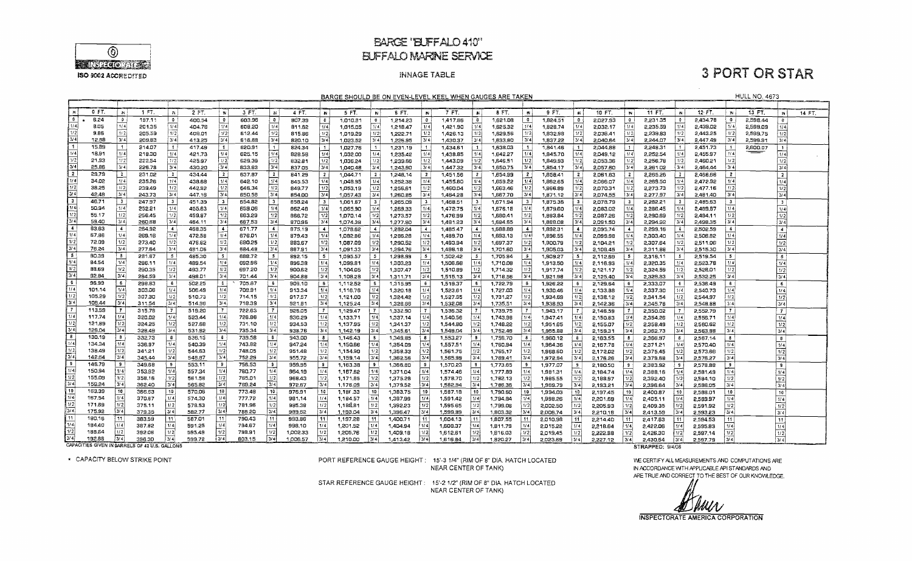

### **BARGE 'BUFFALO 410" EUFFALO MARINE SERVICE**

### **INNAGE TABLE**

## **3 PORT OR STAR**

**HULL NO. 4673** 

BARGE SHOULD BE ON EVEN-LEVEL KEEL WHEN GAUGES ARE TAKEN

|                                                                                                  |        |                  |        |                      |        |                         |        |                         |               |                  |          |                                |          |                     | <u>BARGE SHOULD BE ON EVEN-LEVEL KEEL WHEN GAUGES ARE TAKEN</u> |                          |              |                  |          |                  |          |                |                 |                        |          |                  | <b>HULL NU. 4673</b> |                         |        |
|--------------------------------------------------------------------------------------------------|--------|------------------|--------|----------------------|--------|-------------------------|--------|-------------------------|---------------|------------------|----------|--------------------------------|----------|---------------------|-----------------------------------------------------------------|--------------------------|--------------|------------------|----------|------------------|----------|----------------|-----------------|------------------------|----------|------------------|----------------------|-------------------------|--------|
|                                                                                                  |        |                  |        |                      |        |                         |        |                         |               |                  |          |                                |          |                     |                                                                 |                          |              |                  |          |                  |          |                |                 |                        |          |                  |                      |                         |        |
|                                                                                                  | 0 FT.  | - N              | 1 FT.  | 'N                   | 2 FT.  | $\mathbf{W}$            | 3 FT.  | ĩМ                      | 4 FT.         | -n i             | 5 FT.    | -N I                           | 6 FT.    | <b>BV</b>           | 7 FT.                                                           | $\mathbb{N}$             | <b>8 FT.</b> | <b>IN</b>        | 9 FT.    | W                | 10 FT.   | $\mathbf{N}$   | 11 FT.          | $\mathbb{N}$           | 12 FT.   | $\mathbf{N}$ :   | 13 FT.               | <b>IN</b>               | 14 FT. |
| 0                                                                                                | 6.24   | $\Omega$         | 197.11 | $\bullet$            | 400.54 | 0                       | 603.96 | ∣ o                     | 807.39        |                  |          |                                | 1,214.23 | $\circ$             | 1,417.66                                                        | $\overline{\phantom{a}}$ | 1,621.08     | $\bullet$        |          | $\mathbf{0}$     | 2.027.93 | $\overline{0}$ | 2,231.35        | $^{\circ}$             | 2,434.78 | $\mathbf{0}$     | 2,598.44             | $\mathbf{0}$            |        |
| 1/4                                                                                              |        | 1/4              |        | 1/4                  |        | $\sqrt{1/4}$            |        | 1/4                     |               | $\bullet$<br>1/4 | 1,010.81 | $\overline{\mathbf{0}}$<br>1/4 |          |                     |                                                                 | t 1/4                    |              | 1/4              | 1,824.51 | t/4              |          | 1/4            |                 | 1/4                    |          | 1/4              |                      |                         |        |
| 1/2                                                                                              | 8.05   |                  | 201.35 |                      | 404.78 |                         | 608.20 |                         | 811.62        |                  | 1,015,05 |                                | 1,218.47 | 1/4                 | 1,421.90                                                        |                          | 1,625.32     |                  | 1,828,74 |                  | 2,032.17 |                | 2.235.59        |                        | 2,439.02 |                  | 2,599.09             | 1/4                     |        |
|                                                                                                  | 9.86   | 1/2              | 205.59 | 1/2                  | 409.01 | 1/2                     | 612.44 | 1/2                     | 815.86        | 1/2              | 1.019.29 | 1/2                            | 1,222.71 | $\lceil 1/2 \rceil$ | 1,426.13                                                        | 1/2                      | 1.629.56     | 1/2              | 1,832.98 | 1/2              | 2.036.41 | 1/2            | 2,239.83        | 1/2                    | 2,443.25 | 1/2              | 2,599,75             | 1/2                     |        |
| 3/4                                                                                              | 12.88  | 3/4              | 209.83 | 3/4                  | 413.25 | 3/4                     | 616.68 | 3/4                     | 820.10        | 3/4              | 1,023.52 | 3/4                            | 1,226.95 | 3/4                 | 1,430.37                                                        | 3/4                      | 1,633,80     | 3/4              | 1,837.22 | 3/4              | 2,040.64 | 3/4            | 2,244.07        | 3/4                    | 2.447.49 | 3/4              | 2,599.91             | 3/4                     |        |
| $\vert$ 1                                                                                        | 15.89  | $\mathbf{f}$     | 214.07 | $\vert$ 1            | 417.49 | $\vert$ 1               | 620.91 | $\overline{1}$          | 824.34        | $\blacksquare$   | 1,027.76 | $\vert$ 1                      | 1,231.19 | $\blacksquare$      | 1,434.61                                                        | $\mathbf{1}$             | 1,638.03     |                  | 1,841.46 | $\mathbf{1}$     | 2,044.88 |                | 2,248.31        |                        | 2451.73  |                  | 2,600.07             | $\ddot{\phantom{1}}$    |        |
| 1/4                                                                                              | 18.91  | 1/4              | 218.30 | 1/4                  | 421,73 | 1/4                     | 625.15 | 1/ 4                    | 828.58        | 1/4              | 1,032.00 | 1/4                            | 1,235.42 | 1/4                 | 1,438.85                                                        | 1/41                     | 1,642.27     | 1/4              | 1,845.70 | 1/4              | 2,049.12 | 1/4            | 2.252.54        | 1/4                    | 2,455.97 | 1/4              |                      | 1/4                     |        |
| 1/2                                                                                              | 21,93  | 1/2              | 222.54 | 1/2                  | 425.97 | $\overline{u}$          | 629.39 | 1/2                     | 832.81        | 1/2              | 1,036.24 | 1/2                            | 1,239.66 | 1/2                 | 1,443.09                                                        | $\sqrt{1/2}$             | 1.646.51     | 1/2              | 1,849.93 | 1/2              | 2,053.36 | 1/2            | 2,256.78        | 1/2                    | 2,460.21 | 1/2              |                      | 1/2                     |        |
| 3/4                                                                                              | 25.86  | 3/4              | 226.78 | 3/4                  | 430.20 | 3/4                     | 633.63 | 3/4                     | 837.05        | 3/4              | 1,040.48 | 3/4                            | 1.243.90 | 3/4                 | 1.447.32                                                        | 3/4                      | 1.650.75     | 3/4              | 1.854.17 | $\overline{374}$ | 2,057.60 | 3/4            | 2,261.02        | 3/4                    | 2,464.44 | 3/4              |                      | 3/4                     |        |
| $\sqrt{2}$                                                                                       | 29.79  | $\overline{2}$   | 231.02 | $\overline{2}$       | 434.44 | $\overline{2}$          | 637.87 | $\overline{\mathbf{2}}$ | 841.29        | $\overline{2}$   | 1.044.71 | $\overline{2}$                 | 1,248,14 | 2                   | 1,451,56                                                        | $\mathbf{z}$             | 1.654.99     | $\mathbf{2}$     | 1,858.41 | 2 <sup>1</sup>   | 2,051.83 | $\mathbf{z}$   | 2,265.26        | - 21                   | 2.468.68 | 2 <sup>1</sup>   |                      | $\overline{2}$          |        |
| l 1/41                                                                                           | 34.02  | 1/4              | 235.26 | 7/4                  | 438.68 | 1/4                     | 642.10 | 1/4                     | 845.53        | 1/4              | 1,048.95 | 1/4                            | 1.252.38 | 1/4                 | 1,455.80                                                        | 1/4                      | 1.659.22     | 1/4              | 1,862.65 | 1/4              | 2,066.07 | 1/4            | 2.269.50        | 1/4                    | 2.472.92 | 1/4              |                      | 1/4                     |        |
| $\sqrt{1/2}$                                                                                     | 38.25  | $\overline{1/2}$ | 239.49 | 1/2                  | 442.92 | 1/2                     | 646.34 | 1/2                     | 849,77        | 1/2              | 1.053.19 | 1/2                            | 1,256.61 | 1/2                 | 1,460.04                                                        | 1/2                      | 1,663.46     | 1/2              | 1,866.89 | 1/2              | 2.070.31 | 1/2            | 2,273.73        | 1/2                    | 2.477.16 | 1/2              |                      | 1/2                     |        |
| 3/4                                                                                              | 42,48  | 3/4              | 243.73 | 3/4                  | 447.16 | 3/4                     | 650.58 | $3/\overline{4}$        |               | 3/4              |          | 3/4                            |          | 3/4                 |                                                                 | 3/4                      | 1,667.70     | 3/4              |          | 3/4              |          | 3/4            | 2,277.97        | 3/4                    | 2.481.40 | 3/4              |                      | 3/4                     |        |
|                                                                                                  |        |                  |        |                      |        |                         |        |                         | 854.00        |                  | 1,057.43 |                                | 1,260.85 |                     | 1,464.28                                                        |                          |              |                  | 1,871.12 |                  | 2,074.55 |                |                 |                        |          |                  |                      |                         |        |
| $\frac{3}{2}$<br>1/4                                                                             | 46.71  | 3                | 247.97 | 3                    | 451.39 | $\overline{\mathbf{3}}$ | 654.82 | $\overline{\mathbf{3}}$ | 858.24        | 3 <sup>1</sup>   | 1,061.67 | 3                              | 1,265.09 | $\mathbf{3}$        | 1,468.51                                                        | 3                        | 1,671.94     | $\mathbf{3}$     | 1,875.36 | -31              | 2,078.79 | <b>3</b>       | 2,282.21        | 3 <sup>1</sup>         | 2,485.63 | $\mathbf{3}$     |                      | $\overline{\mathbf{3}}$ |        |
|                                                                                                  | 50.94  | 1/4              | 252.21 | 1/4                  | 455.63 | 1/4                     | 659.06 | 1/4                     | 862.48        | 1/4              | 1,065,90 | 1/4                            | 1,269.33 | 1/4                 | 1,472.75                                                        | 1/4                      | 1,576.18     | 1/4              | 1,879.60 | 1/4              | 2.083.02 | 1/4            | 2,286,45        | /4                     | 2,489.87 | 1/4              |                      | 1/4                     |        |
| 1/2                                                                                              | 55.17  | 1/2              | 256.45 | 1/2                  | 459.87 | 1/2                     | 663.29 | 1/2                     | 866.72        | 1/2              | 1,070.14 | 1/2                            | 1,273.57 | 1/2                 | 1,476.99                                                        | 1/2                      | 1,680.41     | 1/2              | 1,883.84 | 1/2              | 2,087.26 | 1/2            | 2,290.69        | 1/2                    | 2,494.11 | 1/2              |                      | $\overline{1/2}$        |        |
| $\sqrt{3/4}$                                                                                     | 59.40  | 3/4              | 260.68 | 3/4                  | 464.11 | 3/4                     | 667.53 | 3/4                     | 870.96        | 3/4              | 1.074.38 | 3/4                            | 1,277.80 | 3/4                 | 1,481.23                                                        | 3/4                      | 1,684.65     | 3/4              | 1.888.08 | 3/4              | 2,091.50 | 3/4            | 2.294.92        | 3/4                    | 2.498.35 | $\overline{3/4}$ |                      | 3/4                     |        |
| $\overline{4}$                                                                                   | E3.E3  | $\overline{4}$   | 264.92 | $\blacktriangleleft$ | 468.35 | $\ddot{\phantom{1}}$    | 671.77 | $\overline{4}$          | 875.19        | $\overline{4}$   | 1,078.62 | $\sim$                         | 1,282.04 |                     | 1,485.47                                                        | $\sim$                   | 1,688.89     | $\overline{4}$   | 1,892.31 | -41              | 2,095.74 | $\sim$         | 2,299.16        | $\left  \cdot \right $ | 2,502.59 | $\sim$           |                      | $\overline{4}$          |        |
| 1/4.                                                                                             | 67.66  | 1/4              | 269.16 | $ 1/\overline{4} $   | 472.58 | 1/4                     | 676.01 | 1/4                     | 87943         | 1/4              | 1,082.86 | 1/4                            | 1,266.28 | 1/4                 | 1,489.70                                                        | 1/4                      | 1,693.13     | 1/4              | 1,896.55 | 1/4              | 2,099.98 | 1/4            | 2,303.40        | 1/4                    | 2,506.82 | 14               |                      | 1/4                     |        |
| 1/2                                                                                              | 72.09  | 1/2              | 273,40 | 1/2                  | 476.82 | 1/2                     | 680.25 | 1/2                     | BB3.67        | 1/2              | 1,087.09 | $\sqrt{1/2}$                   | 1,290.52 | 1/2                 | 1,493.94                                                        | 1/2                      | 1,697.37     | 1/2              | 1,900.79 | 1/2              | 2.104.21 | 1/2            | 2,307.64        | 1/2                    | 2,511.06 | 1/2              |                      | 1/2                     |        |
| 3/4                                                                                              | 76.24  | 3/4              | 277.64 | 3/4                  | 481.D6 | 3/4                     | 684.48 | 3/4                     | 887.91        | 3/4              | 1.091.33 | 3/4                            | 1,294.76 | 3/4                 | 1,498.18                                                        | 3/41                     | 1,701.60     | 3/4              | 1,905.03 | 3/4              | 2.108.45 | 3/4            | 2,311.88        | 3/4                    | 2,515.30 | 3/4              |                      | 3/4                     |        |
| । ड                                                                                              | 80.39  | Γ5.              | 231.67 | -5                   | 485.30 | 5 <sub>1</sub>          | 688.72 | $5^{\circ}$             | 892.15        | 5 <sub>5</sub>   | 1,095.57 | $\sim$                         | 1,298.99 | -5                  | 1,502.42                                                        | 5 <sub>1</sub>           | 1,705.84     | - 5 -            | 1,909.27 | $\sim$           | 2,112.69 | - 5            | 2,316.11        | $\vert 5 \vert$        | 2,519.54 | - 5 1            |                      | $\overline{5}$          |        |
| $\sqrt{1/4}$                                                                                     | 84.54  | 1/4              | 286.11 | 1/4                  | 489.54 | 1/4                     | 882.96 | 1/4                     | 896.38        | 1/4              | 1,099.81 | 1/4                            | 1,303.23 | 1/4                 | 1,506.66                                                        | 1/4                      | 1,710.08     | 1/4              | 1,913.50 | 1/4              | 2.116.93 | 1/4            | 2,320.35        | 1/4                    | 2,523.78 | 1/4              |                      | 1/4                     |        |
| 1/2                                                                                              | 88.69  | 1/2              |        | 1/2                  |        | 1/2                     | 697.20 | $\sqrt{1/2}$            |               | 1/2              |          | 1/2                            |          | 1/2                 |                                                                 | 1/2                      |              | 1/2              |          | 1/2              |          | 1/2            |                 | 1/2                    |          | 1/2              |                      |                         |        |
| 3/4                                                                                              | 92.84  | 3/4              | 290.35 | 3/4                  | 493.77 | 3/4                     |        | 3/4                     | <b>Sa.008</b> |                  | 1.104.05 |                                | 1.307.47 | $\sqrt{3/4}$        | 1,510,89                                                        | 3/4                      | 1.714.32     | 3/4              | 1,917,74 | 3/4              | 2,121.17 | 3/4            | 2,324.59        | 3/4                    | 2,528.01 | 3/4              |                      | 1/2                     |        |
| ाड                                                                                               |        |                  | 294.59 |                      | 498.01 |                         | 701.44 |                         | 904.86        | 3/4              | 1,108.28 | 3/4                            | 1.311.71 |                     | 1.515.13                                                        |                          | 1,718.56     |                  | 1,921.98 |                  | 2.125.40 |                | 2,328,83        |                        | 2,532.25 |                  |                      | 3/4                     |        |
| $\sqrt{1/4}$                                                                                     | 96.99  | - 6              | 298.83 | 6                    | 502.25 | 6                       | 705.67 | $6\overline{6}$         | 909.10        | - 6 1            | 1,112.52 |                                | 1,315.95 |                     | 1519.37                                                         |                          | 1,722.79     |                  | 1,926.22 | 6                | 2,129.64 | 6              | 2,333,07        | $6 \frac{1}{2}$        | 2.536.49 | 6 <sub>1</sub>   |                      | -6                      |        |
|                                                                                                  | 101.14 | 1/4              | 303.06 | 1/ 4                 | 506.49 | 1/4                     | 709.91 | $1/\sqrt{4}$            | 913.34        | 1/4              | 1,116.76 | 1/4                            | 1,320.18 | 1/4                 | 1,523,61                                                        | 1/4                      | 1,727.03     | 1/4              | 1,930.46 | 1/4              | 2,133,88 | 1/4            | 2.337.30        | 1/4                    | 2,540.73 | 1/4              |                      | 1/4                     |        |
| $\sqrt{1/2}$                                                                                     | 105.29 | 1/2              | 307.30 | 1/2                  | 510.73 | 1/2                     | 714.15 | 1/2                     | 917.57        | 1/2              | 1,121.00 | 1/2                            | 1,324.42 | 1/2                 | 1,527.85                                                        | 1/2                      | 1,731.27     | 1/2              | 1,934.69 | 1/2              | 2,138.12 | 1/2            | 2,341.54        | 1/2                    | 2,544.97 | 1/2              |                      | 1/2                     |        |
| $\frac{3/4}{7}$                                                                                  | 109.44 | $\sqrt{3/4}$     | 311.54 | $\sqrt{3/4}$         | 514.96 | 3/4                     | 718.39 | 3/4                     | 921.81        | 3/4              | 1,125.24 | 3/4                            | 1,328.66 | 3/4                 | 1,532.08                                                        | 3/4                      | 1,735.51     | 3/4              | 1,938.93 | 3/4              | 2,142.36 | 3/4            | 2,345.78        | 3/4                    | 2,548.88 | 3/4              |                      | 3/4                     |        |
|                                                                                                  | 113.59 | $\mathbf{7}$     | 315.78 | 7 <sup>1</sup>       | 519,20 | $\mathbf{7}$            | 722.63 | $\overline{7}$          | 926.05        | 7 <sup>1</sup>   | 1,129.47 | $\overline{7}$                 | 1,332.90 | $\mathbf{7}$        | 1,536.32                                                        | -71                      | 1,739,75     |                  | 1,943.17 | -71              | 2,146.59 |                | 2,350.02        |                        | 2,552.79 | $\mathbf{7}$     |                      | $\overline{7}$          |        |
| $\sqrt{1/4}$                                                                                     | 117.74 | 1/4              | 320.02 | 1/4                  | 523.44 | 1/4                     | 726.86 | 1/4                     | 930.29        | 1/4              | 1,133.71 | 1/4                            | 1,337.14 | 1/4                 | 1,540,56                                                        | 1/4                      | 1,743.98     | 1/4              | 1,947.41 | 1/4              | 2,150.83 | 1/4            | 2,354.26        | 1/4                    | 2,556.71 | 1/4              |                      | 1/4                     |        |
|                                                                                                  | 121.89 | 1/2              | 324.25 | $\lceil$ 1/2         | 527.68 | 1/2                     | 731.10 | 1/2                     | 934.53        | 1/2              | 1.137.95 | 1/2                            | 1,341.37 | 1/2                 | 1,544.80                                                        | 1/2                      | 1.748.22     | 1/2              | 1.951.65 | 1/2              | 2,155.07 | 1/2            | 2,358.49        | 1/2                    | 2.560.62 | 1/2              |                      | 1/2                     |        |
|                                                                                                  | 126.04 | 3/4              | 328.49 | 3/4                  | 531.92 | 3/4                     | 735.34 | 3/4                     | 938.76        | 3/4              | 1,142.19 | 3/4                            | 1,345.61 | 3/4                 | 1,549.04                                                        | 3/4                      | 1,752.46     | $\overline{3}/4$ | 1.955.88 | 3/4              | 2,159.31 | 3/4            | 2,362.73        | 3/4                    | 2.563.88 | 3/4              |                      | $\overline{3/4}$        |        |
| $\begin{array}{r} 1/2 \\ 3/4 \\ 8 \\ 1/4 \\ 1/2 \\ 3/4 \\ 9 \\ 1/4 \\ 1/2 \\ 3/4 \\ \end{array}$ | 130.19 | -8               | 332.73 | 8                    | 536.15 | -8                      | 739.58 | 8                       | 943.00        | $\mathbf{8}$     | 1,146.43 | В.                             | 1,349,85 | -8                  | 1,553.27                                                        | $\bullet$                | 1,756,70     | 8                | 1,960.12 | 81               | 2.163.55 |                | 2,366.97        | 8                      | 2,567.14 | $\mathbf{8}$     |                      | $\mathbf{8}$            |        |
|                                                                                                  | 134.34 | 1/4              | 336.97 | 1/4                  | 540.39 | 1/4                     | 743.82 | 1/4                     | 947.24        | 1/4              | 1,150.66 | 1/4                            | 1,354.09 | 1/4                 | 1,557.51                                                        | [1/4]                    | 1,760.94     | 1/4              | 1,964.36 | 1/4              | 2.167.78 | 1/4            | 2,371.21        | 1/4                    | 2,570,40 | 1/4              |                      | 1/4                     |        |
|                                                                                                  | 138.49 | 1/2              | 341.21 | 1/2                  | 544.63 | 1/2                     | 748.05 | 1/2                     | 951.48        | 1/2              | 1,154.90 | $1/2$                          | 1,358.33 | 1/2                 | 1,561.75                                                        | 1/2                      | 1,765,17     | 1/2              | 1,968.60 | 1/2              | 2,172.02 | 1/2            | 2,375.45        | 1/2                    | 2,573.66 | 1/2              |                      | $\sqrt{1/2}$            |        |
|                                                                                                  | 142.64 | 3/4              | 345.44 | 3/4                  | 548.87 | 3/4                     | 752.29 | 3/4                     | 955.72        | 3/4              | 1,159,14 | 3/4                            | 1,362.56 | 3/4                 | 1,565.99                                                        | 3/4                      | 1,769.41     | 3/4              | 1,972.84 | 3/4              | 2,176.26 | 3/4            | 2,379.68        | 3/4                    | 2,576.27 | 3/4              |                      | 3/4                     |        |
|                                                                                                  | 146.79 | $\overline{9}$   | 349.68 | 9                    | 553.11 | 9                       | 756.53 |                         |               |                  |          |                                |          |                     |                                                                 |                          |              |                  |          |                  |          |                |                 |                        |          | 9.               |                      |                         |        |
|                                                                                                  | 150.94 | 1/4              |        |                      |        | 1/4                     |        | 9 <sup>1</sup><br>1/4   | 959.95        | 9                | 1,163.38 | $\bullet$                      | 1,366.80 | 9                   | 1,570.23                                                        | -91                      | 1,773.65     | ا و              | 1.977.07 | 9 <sup>1</sup>   | 2,180.50 | 9 <sup>1</sup> | 2,383.92        | -91                    | 2,578.88 |                  |                      | $\overline{9}$          |        |
|                                                                                                  |        |                  | 353.92 | 1/4                  | 557.34 |                         | 760.77 |                         | 964.19        | 1/4              | 1,167.62 | 1/4                            | 1.371.04 | 1/4                 | 1.574.46                                                        | 1/4                      | 1.777.89     | 1/4              | 1,981.31 | 1/4              | 2,184.74 | 1/4            | 2,388.16        | 1/4                    | 2,581.49 | 1/4              |                      | 1/4                     |        |
|                                                                                                  | 155,09 | 1/2              | 358.16 | 1/2                  | 561.58 | $1/2$                   | 765.01 | 1/2                     | 968.43        | 1/2              | 1,171.85 | 1/2                            | 1,375.28 | 1/2                 | 1,578.70                                                        | 1/2                      | 1,782.13     | 1/2              | 1,985.55 | 1/2              | 2,188.97 | 1/2            | 2,392.40        | 1/2                    | 2,584.10 | 1/2              |                      | $\sqrt{1/2}$            |        |
|                                                                                                  | 159.24 | 3/4              | 362.40 | $\sqrt{3/4}$         | 565.82 | $\overline{3}/4$        | 769.24 | 3/4                     | 972.67        | 3/4              | 1.176.09 | 3/4                            | 1.379.52 | 3/4                 | 1,582.94                                                        | 3/4                      | 1,786.36     | 3/4              | 1,989.79 | 3/4              | 2,193.21 | 3/4            | 2,396.64        | 3/4                    | 2,586.05 | 3/4              |                      | $\sqrt{3/4}$            |        |
| $\frac{10}{1/4}$                                                                                 | 163.39 | 10               | 366,63 | 10                   | 570,06 | 10                      | 773.48 | 10                      | 976.91        | 10 <sup>1</sup>  | 1,180.33 | 10 <sub>1</sub>                | 1,383.75 | 10                  | 1,587.18                                                        | 10                       | 1,790.60     | 10               | 1,994.03 | 10               | 2,197.45 | 10             | 2,400.87        | 10 <sup>1</sup>        | 2,588.01 | 10               |                      | 10                      |        |
|                                                                                                  | 167.54 | ا 174            | 370.67 | [1/4]                | 574.30 | 1/4                     | 777.72 | 1/4                     | 981.14        | 1/4              | 1,184.57 | 1/4                            | 1,387.99 | 1/4                 | 1,591.42                                                        | 1/4                      | 1,794.84     | 1/4              | 1,998.26 | 1/4              | 2,201.69 | 1/4            | 2,405.11        | 1/4                    | 2,569.97 | 1/4              |                      | 1/4                     |        |
| $\overline{1/2}$                                                                                 | 171.59 | 1/2              | 375.11 | 1/2                  | 578.53 | 1/2                     | 781.96 | 1/2                     | 985.38        | 1/2              | 1.189,81 | 1/2                            | 1,392.23 | 1/2                 | 1,595.65                                                        | 1/2                      | 1,799.08     | 1/2              | 5,005.50 | 1/2              | 2,205.93 | 1/2            | 2,409.35        | 1/2                    | 2,591.92 | 1/2              |                      | $\overline{1/2}$        |        |
| 3/4                                                                                              | 175.92 | 3/4              | 379.35 | 3/4                  | 582.77 | 3/4                     | 786.20 | 3/4                     | 989.62        | 3/4              | 1.193.04 | 3/4                            | 1,396.47 | 3/4                 | 1,599.89                                                        | $\overline{3/4}$         | 1,803.32     | 3/4              | 2,006.74 | 3/4              | 2,210.16 | 3/4            | 2.413.59        | 3/4                    | 2.593.23 | $\overline{3/4}$ |                      | 3/4                     |        |
| $\overline{11}$                                                                                  | 180.16 | i 11             | 383.59 | 11                   | 587.01 | 11                      | 790.43 | $11 -$                  | 993.86        | 11               | 1,197.28 | 11                             | 1,400.71 | 11                  | 1,604.13                                                        | 11                       | 1,807.55     |                  | 2,010.98 | 11               | 2.214.40 |                | 2.417.83        | 11                     | 2,594.53 | 11               |                      | 11                      |        |
| 1/4                                                                                              | 184.40 | 1/4              | 387.82 | 1/4                  | 591.25 | 1/4                     | 794.67 | 1/4                     | 998,10        | 1/4              | 1,201.52 | 1/4                            | 1,404.94 |                     | 1,608.37                                                        | 1/4                      | 1,811.79     | 1/4              | 2,015.22 | $\overline{1/4}$ | 2,218.64 | 1/4            | 2.422.06        | 1/4                    | 2,595.83 | 1/4              |                      |                         |        |
| $\overline{1/2}$                                                                                 | 188.54 | 1/2              | 392.06 | 1/2                  | 595.49 | 1/2                     | 798.91 | 1/2                     | 1,002.33      | 1/2              | 1,205,76 | 1/2                            | 1,409.18 | 1/2                 | 1,612.61                                                        | 1/2                      | 1,816.03     | 1/2              | 2.019.45 | 1/2              | 2.222.88 | 1/2            | 2.426.30        | 1/2                    | 2.597.14 | 1/2              |                      | $\frac{1/4}{1/2}$       |        |
| 3/4                                                                                              | 192.88 | $\sqrt{3/4}$     | 396.30 | 3/4                  | 599.72 | 3/4                     | B03.15 | 3/4                     | 100657        | 3/4              | 121000   | 3/4                            | 141342   | 3/41                | 161684                                                          | 3/4                      | 192027       | 3/4              | D DOR ER | أعتدا            | 222712   | 314            | <b>2.430 FA</b> | المتعا                 | 250770   | $\overline{314}$ |                      | $\overline{\mathbf{a}}$ |        |

CAPACITIES GIVEN IN BARRELS OF 42 U.S. GALLONS

\* CAPACITY BELOW STRIKE POINT

PORT REFERENCE GAUGE HEIGHT: 15'-3 1/4" (RIM OF 8" DIA. HATCH LOCATED NEAR CENTER OF TANK)

STAR REFERENCE GAUGE HEIGHT: 15'-2 1/2" (RIM OF 8" DIA. HATCH LOCATED NEAR CENTER OF TANK)

STRAPPED: 9/4/08

WE CERTIFY ALL MEASUREMENTS AND COMPUTATIONS ARE IN ACCORDANCE WITH APPLICABLE API STANDARDS AND ARE TRUE AND CORRECT TO THE BEST OF OUR KNOWLEDGE.

MUV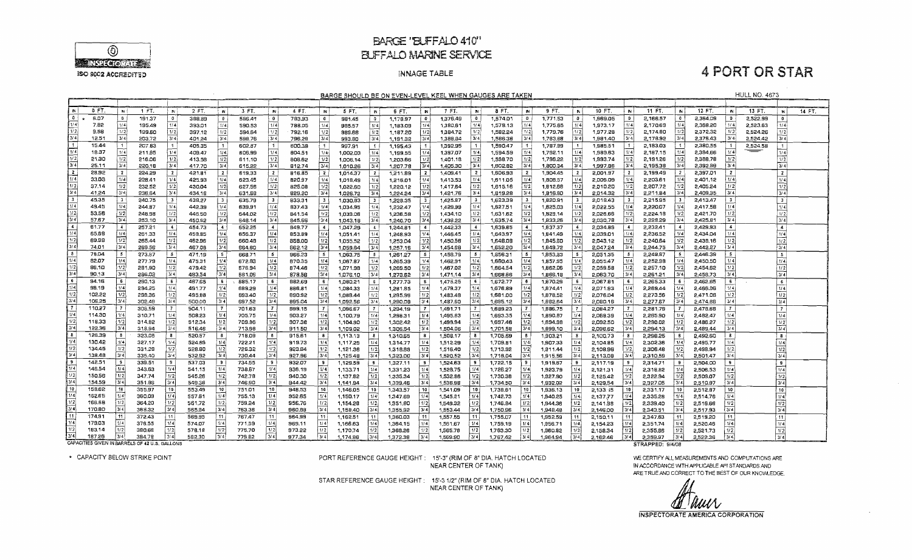

### BARGE 'BLFFALO 410" **BUFFALO MARINE SERVICE**

#### INNAGE TABLE

**4 PORT OR STAR** 

**HULL NO. 4673** 

| BARGE SHOULD BE ON EVEN-LEVEL KEEL WHEN GAUGES ARE TAKEN |  |  |
|----------------------------------------------------------|--|--|
|                                                          |  |  |

|                                  | BARGE SHOULD BE ON EVEN-LEVEL KEEL WHEN GAUGES ARE TAKEN<br><b>MULL NU. 4573</b> |                         |                                                |                         |        |                  |               |                |        |                         |          |                       |          |                 |          |                         |          |                         |          |                 |          |                |                  |                    |          |                      |          |                                      |        |
|----------------------------------|----------------------------------------------------------------------------------|-------------------------|------------------------------------------------|-------------------------|--------|------------------|---------------|----------------|--------|-------------------------|----------|-----------------------|----------|-----------------|----------|-------------------------|----------|-------------------------|----------|-----------------|----------|----------------|------------------|--------------------|----------|----------------------|----------|--------------------------------------|--------|
|                                  |                                                                                  |                         |                                                |                         |        |                  |               |                |        |                         |          |                       |          |                 |          |                         |          |                         |          |                 |          |                |                  |                    |          |                      |          |                                      |        |
| N.                               | 0 FT                                                                             | <b>IN</b>               | 1 FT.                                          | $\mathbf{N}$            | 2 FT.  | $\mathbb{N}$     | 3 FT.         | ${\bf N}$      | 4 FT.  | <b>IN</b>               | 5 FT.    | -W.                   | 6 FT.    | $\mathbb{N}$    | 7 FT.    | IN I                    | 8 FT.    | <b>IN</b>               | 9 FT.    | W.              | 10 FT.   | $\sim$         | 11 FT.           | w l                | 12 FT.   | W.                   | 13 FT    | 'N                                   | 14 FT. |
| 0 <sub>1</sub>                   | 6.07                                                                             | $\mathbf{0}$            | 191.37                                         | $\mathbf{0}$            | 388.89 | $\bullet$        | 586.41        | $\bullet$      | 783.93 | $\bullet$               | 981.45   | $\bullet$             | 1,178.97 | $\bullet$       | 1,376.49 | $\bullet$               | 1,574.01 | $\mathbf{0}$            | 1,771.53 | $\bullet$       | 1,969.05 | $\mathbf{0}$   | 2,166.57         | 0 <sup>1</sup>     | 2.364.09 | $\mathbf{0}$         | 2,522.99 | $\bullet$                            |        |
| 1/4                              | 7.82                                                                             | 1/4                     | 195.49                                         | 1/4                     | 393.01 | 1/4              | 590.53        | 1/4            | 788.05 | 1/4                     |          | 1/4                   | 1,183.09 | 1/4             | 1,380.61 | 1/4                     | 1,578.13 | 1/4                     | 1,775.65 | 1/4             | 1,973.17 | 1/4            | 2,170.69         | 1/4                | 2,369.20 | 1/4                  | 2,523.63 | 1/4                                  |        |
| 1/2                              | 9.58                                                                             | 1/2                     | 199.60                                         | $\sqrt{1/2}$            | 397.12 | 1/2              | 594.64        | 1/2            | 792.16 | 1/2                     | 985.57   | 1/2                   |          | 1/2             | 1,384.72 | 1/2                     | 1,582.24 | 1/2                     | 1,779.76 | 1/2             | 1,977.28 | 1/2            | 2,174.80         | 1/2                | 2,372.32 | 1/2                  | 2,524.26 | 1/2                                  |        |
| 3/4                              | $12.5^{\circ}$                                                                   | 3/4                     |                                                | 3/4                     |        | 3/4              |               | 13/4           |        | 3/4                     | 989.68   |                       | 1,187.20 | 3/4             |          | 3/4                     |          | 3/4                     |          | 3/4             |          | 3/4            |                  | 3/4                | 2.376.43 | 3/4                  |          | 3/4                                  |        |
| It.                              |                                                                                  |                         | 203.72                                         |                         | 401.24 |                  | 598.76        |                | 796.28 |                         | 993.80   | 3/4                   | 1,191.32 |                 | 1,388.84 |                         | 1,586.36 |                         | 1,783,88 |                 | 1,981.40 |                | 2,178.92         |                    |          |                      | 2,524.42 |                                      |        |
| $\sqrt{1/4}$                     | 15.44                                                                            |                         | 207.83                                         | $\vert$ 1               | 405.35 | 1                | 602.87        | $\overline{1}$ | 600.39 | $\mathbf{1}$            | 997.91   | $\lceil \cdot \rceil$ | 1,195.43 |                 | 1,392.95 | $\frac{1}{2}$           | 1,590.47 | $\mathbf{1}$            | 1.787.99 |                 | 1,985.51 |                | 2,183.03         | $\mathbf{1}$       | 2,380.55 |                      | 2,524.58 | $\overline{1}$                       |        |
|                                  | 18.37                                                                            | 1/4                     | 211.95                                         | 114ع                    | 409.47 | 1/4              | 606,99        | 1/4            | 804.51 | 1/4                     | 1,002.03 | 1/4                   | 1,199.55 |                 | 1,397.07 | 1/4                     | 1,594.59 | 1/4                     | 1,792.11 | 1/4             | 1,989.63 | 1/4            | 2.187.15         | 1/4                | 2,384,66 | 1/4                  |          | 1/4                                  |        |
| 1/2                              | 21.30                                                                            | 1/2                     | 216.06                                         | 1/2                     | 413.58 | 1/2              | 611.10        | 1/2            | 808.62 | 1/2                     | 1,006.14 | 1/2                   | 1,203.66 |                 | 1,401.18 | 1/2                     | 1,598.70 | 1/2                     | 1796.22  | 1/2             | 1,993.74 | 1/2            | 2,191.26         | 1/2                | 2,388,78 | 1/2                  |          | $\overline{112}$                     |        |
| $\sqrt{3/4}$                     | 25.11                                                                            | 3/4                     | 220.18                                         | 3/4                     | 417.70 | 3/4              | 615.22        | 3/4            | 812.74 | 3/4                     | 1,010.26 | 3/4                   | 1,207.78 | 3/4             | 1,405.30 | 3/4                     | 1,602.82 | 3/4                     | 1,800.34 | 3/4             | 1,997.86 | 3/4            | 2,195.38         | 3/4                | 2,392.89 | 3/4                  |          | $\overline{3}/4$                     |        |
| 2 <sup>1</sup>                   | 28.92                                                                            | $\mathbf{z}$            | 224.29                                         | $\overline{2}$          | 421.81 | $\overline{2}$   | 619.33        | $\mathbf{z}$   | 816.85 | $\mathbf{z}$            | 1.014.37 | $\overline{2}$        | 1.211.89 |                 | 1,409.41 | $\overline{2}$          | 1,606.93 | $\mathbf{z}$            | 1,904.45 | $\overline{2}$  | 2.001.97 | $\overline{2}$ | 2.199.49         | $\overline{2}$     | 2.397.01 | 2 <sup>1</sup>       |          | $\overline{2}$                       |        |
| 1/4                              | 33.03                                                                            | 1/4                     | 228.41                                         | ا 1/4                   | 425.93 | 1/4              | 623.45        | i 1/41         | 820.97 | 1/4                     | 1,018.49 | 1/4                   | 1,216.01 | 114             | 1,413.53 | 1/4                     | 1,611.05 | 1/4                     | 1,808.57 | 1/4             | 2,006.09 | 1/4            | 2,203.61         | 1/4                | 2,401.12 | 1/4                  |          | 1/4                                  |        |
| 1/2                              | 37.14                                                                            | 1/2                     | 232.52                                         | 1/2                     | 430.04 | 1/2              | 627.56        | 1/2            | 825.08 | 1/2                     | 1,022.60 | 1/2                   | 1,220.12 | 1/2             | 1,417.64 | 1/2                     | 1,615.16 | 1/2                     | 1,812.68 | 1/2             | 2,010.20 | 1/2            | 2,207.72         | 1/2                | 2,405.24 | 1/2                  |          | 1/2                                  |        |
| I 3/ 4                           | 41.24                                                                            | $\sqrt{3/4}$            | 236.64                                         | 3/4                     | 434.16 | $\sqrt{3/4}$     | 631.68        | 3/4            | 829.20 | 3/4                     | 1,026.72 | 3/4                   | 1,224.24 | 3/4             | 1.421.76 | 3/4                     | 1.619.28 | 3/4                     | 1816.80  | 3/4             | 2.014.32 | 3/4            | 2.211.84         | 3/4                | 2.409.35 | 3/4                  |          | 3/4                                  |        |
| łз                               | 45.35                                                                            | $\overline{\mathbf{3}}$ | 240.75                                         | $\overline{\mathbf{3}}$ | 438,27 | 3                | 635.79        | $\mathbf{3}$   | 833.31 | $\overline{\mathbf{3}}$ | 1.030.83 | $\mathbf{3}$          | 1,228.35 |                 | 1,425.87 | $\overline{\mathbf{3}}$ | 1,623,39 | $\overline{\mathbf{3}}$ | 1,820.91 | 3 <sup>1</sup>  | 2,018.43 | -3             | 2,215.95         | 3 <sub>1</sub>     | 2.413.47 | 3 <sup>1</sup>       |          | -31                                  |        |
| 1/4                              | 49.45                                                                            | 1/4                     | 244.87                                         | 1/4                     | 442,39 | 1/4              | 639.91        | 1/4            | 837.43 | 1/4                     | 1,034.95 | 1/4                   | 1.232.47 |                 | 1,429.99 | 1/4                     | 1,627.51 | 1/4                     | 1,825.03 | 1/4             | 2,022.55 | 1/4            | 2,220.07         | 1/4                | 2,417.58 | 1/4                  |          | 1/4                                  |        |
| 1/12                             | 53.56                                                                            | 1/2                     | 248.98                                         | 1/2                     | 446.50 | 1/2              | 644.02        | 1/2            | 841.54 | 1/2                     |          | 1/2                   |          | 1/2             | 1,434.10 | 1/2                     | 1,631.62 | 1/2                     | 1,829.14 | 1/2             | 2,026,66 | 1/2            | 2,224.18         | 1/2                | 2,421.70 | 1/2                  |          | 1/2                                  |        |
| 3/4                              | 57.67                                                                            | 3/4                     | 253.10                                         | 3/4                     |        | 3/4              |               | $\sqrt{3/4}$   |        | 3/4                     | 1,039.06 | 3/4                   | 1,236,58 | 3/4             |          | 3/4                     |          | 3/4                     |          | 3/4             |          | 3/4            | 2,228.29         | 3/4                | 2.425.81 | 3/4                  |          | 3/4                                  |        |
| 14                               |                                                                                  |                         |                                                |                         | 450.62 |                  | 648.14        |                | 845.66 |                         | 1,043.18 |                       | 1,240.70 |                 | 1,438.22 |                         | 1,635.74 |                         | 1,833.26 |                 | 2,030.78 |                |                  |                    |          |                      |          |                                      |        |
| $\overline{1/4}$                 | 61.77                                                                            | $\overline{4}$          | 257.21                                         | $\overline{4}$          | 454.73 | $\overline{4}$   | 652.25        | $\overline{4}$ | 849.77 | $\overline{4}$          | 1.047.29 |                       | 1.244.81 |                 | 1.442.33 | $\overline{4}$          | 1,639.85 | $\overline{4}$          | 1,837.37 | $\sim$          | 2,034.89 | $\overline{4}$ | 2,232.41         | $\left  4 \right $ | 2,429.93 | $\blacktriangleleft$ |          | $\overline{\mathbf{4}}$              |        |
|                                  | 65.88                                                                            | 1/4                     | 261.33                                         | 1/4                     | 458.85 | 1/4              | 656.37        | i 1/4 i        | 853.89 | 1/4                     | 1.051.41 | 1/4                   | 1.248.93 | 1/4             | 1,446.45 | 1/4                     | 1.643.97 | 1/4                     | 1,841.49 | 1/4             | 2,039.01 | (14)           | 2.236.52         | 1/4                | 2.434.04 | 1/4                  |          | 1/4                                  |        |
| $\overline{1112}$                | 69.98                                                                            | $\sqrt{1/2}$            | 265.44                                         | 1/2                     | 462.96 | 1/2              | 660.48        | 1/2            | 858,00 | 1/2                     | 1,055.52 | 1/2                   | 1,253.04 | 1/2             | 1,450.56 | 1/2                     | 1,648.08 | 1/2                     | 1,845.60 | 1/2             | 2,043.12 | 1/2            | 2,240.64         | 1/2                | 2,438.16 | 1/2                  |          | 1/2                                  |        |
| 3/4                              | 74.01                                                                            | 3/4                     | 269.56                                         | 3/4                     | 467.08 | 3/4              | 664.60        | 3/4            | 862.12 | 3/4                     | 1.059.64 | 3/4                   | 1,257.16 | 3/4             | 1,454.68 | 3/4                     | 1,652.20 | 3/4                     | 1,849.72 | 3/4             | 2.047.24 | 3/4            | 2,244.75         | 3/4                | 2.442.27 | 3/4                  |          | $\sqrt{3/4}$                         |        |
| 5                                | 78.04                                                                            | 5                       | 273.87                                         | 5                       | 471.19 | 5                | 668.71        | 5 <sub>1</sub> | 966.23 | $\mathbf{s}$            | 1,063.75 | -5                    | 1,261.27 | $5 -$           | 1,458.79 | - 5 i                   | 1,656.31 | 5 <sub>1</sub>          | 1,853.83 | 5 <sup>1</sup>  | 2,051.35 | 5 <sub>1</sub> | 2.248.87         | 5 <sup>1</sup>     | 2.446.39 | 5 <sub>1</sub>       |          | 5                                    |        |
| 1/4                              | 82.07                                                                            | $\frac{1}{4}$           | 277.79                                         | 1/4                     | 475.31 | 1/4              | 672.83        | 1/4            | 870.35 | 1/4                     | 1,067.87 | 1/4                   | 1,265.39 | 1/4             | 1,462.91 | 1/4                     | 1,660.43 | 1/4                     | 1,857.95 | 1/4             | 2,055.47 | 1/4            | 2,252.98         | 1/4                | 2,450.50 | 1/4                  |          | $1/\overline{4}$                     |        |
| $ w_2 $                          | 86.10                                                                            | 1/2                     | 281,90                                         | 1/2                     | 479.42 | 1/2              | 676.94        | 1/2            | 874.46 | 1/2                     | 1,071.98 | 1/2                   | 1,269.50 | 1/2             | 1,467.02 | 1/2                     | 1,664.54 | 1/2                     | 1,862,06 | 1/2             | 2,059.58 | 1/2            | 2,257.10         | 1/2                | 2,454.62 | 1/2                  |          | 1/2                                  |        |
| 3/4                              | 90.13                                                                            | 3/4                     | 286.02                                         | 3/4                     | 483.54 | 3/4              | <b>661.06</b> | 3/4            | 878.58 | 3/4                     | 1,076.10 | 13/4                  | 1,273.62 | 3/4             | 1,471.14 | 3/4                     | 1,668.66 | 3/4                     | 1,866,18 | 3/4             | 2,063.70 | 3/4            | 2,261.21         | 3/4                | 2,458.73 | 3/4                  |          | 3/4                                  |        |
| ∫ G                              | 94.16                                                                            | 6                       | 290.13                                         | 6                       | 487.65 | 6 <sub>1</sub>   | 685.17        | 6              | 882.69 | 6                       | 1,080.21 | 6                     | 1,277.73 | -6              | 1,475.25 | -6                      | 1,672.77 | - 6                     | 1,870.29 | 6 <sub>1</sub>  | 2,067.81 | -6             | 2,265.33         | $6 \frac{1}{2}$    | 2,462.85 | - 6 H                |          | $\overline{6}$                       |        |
| $\overline{11/4}$                | 98.19                                                                            | 1/4                     | 294.25                                         | 1/4                     | 491.77 | 1/4              | 689.29        | 1/4            | 886.81 | ا14 ا                   | 1.084.33 | 1/4                   | 1,281.85 | 1/4             | 1,479.37 | 1/4                     | 1,676.89 | 1/4                     | 1,874,41 | 14              | 2.071.93 | 1/4            | 2,269,44         | 1/4                | 2,466.96 | 1/4                  |          | 1/4                                  |        |
| 1/2                              | 102.22                                                                           | 1/2                     | 298.36                                         | $1/\overline{2}$        | 495.88 | 1/2              | 693.40        | 1/2            | 890.92 | 1/2                     | 1,088.44 | 1/2                   | 1,285.95 | 1/2             | 1,483.48 | 1/2                     | 1,681.00 | 1/2                     | 1,878,52 | 1/2             | 2,076.04 | 1/2            | 2,273.56         | $\overline{1/2}$   | 2,471.08 | 1/2                  |          | 1/2                                  |        |
| 3/4                              | 106.25                                                                           | 3/4                     | 302.48                                         | 3/4                     | 500.00 | 3/4              | 697.52        | 3/4            | 895.04 | 3/4                     | 1,092.56 | 3/4                   | 1,290.08 | 3/4             | 1,487.60 | 3/4                     | 1,685.12 | 3/4                     | 1,882.64 | 3/4             | 2,080.16 | 3/4            | 2.277.67         | 3/4                | 2.474.68 | 3/4                  |          | 3/4                                  |        |
| $\overline{\tau}$                | 110.27                                                                           | - 7                     |                                                |                         |        | $\overline{7}$   |               | $\overline{7}$ |        | $\mathbf{7}$            |          |                       |          |                 |          |                         |          |                         |          |                 |          |                |                  |                    |          | $\mathbf{7}$         |          |                                      |        |
| $\sqrt{1/4}$                     |                                                                                  | 1/4                     | 306,59                                         | $\overline{7}$          | 504.11 |                  | 701.63        |                | 899.15 |                         | 1,096.67 | $\overline{7}$        | 1,294.19 |                 | 1,491.71 | $\mathbf{7}$            | 1,689.23 |                         | 1,886.75 | 7 <sup>1</sup>  | 2,084.27 |                | 2.281.79         |                    | 2.478.68 | 1/4                  |          | $7^{-}$                              |        |
|                                  | 114.30                                                                           |                         | 310.71                                         | 11/4                    | 508.23 | 1/4              | 705.75        | 1/4            | 903.27 | 1/4                     | 1,100.79 | 1/4                   | 1,298.31 | 1/4             | 1,495.83 | 1/4                     | 1,693.35 | (14)                    | 1,890.87 | 1/4             | 2,088.39 | 1/4            | 2,285.90         | 1/4                | 2,482.47 |                      |          | $1/\sqrt{4}$                         |        |
| $\overline{1/2}$<br>$\sqrt{3/4}$ | 118.33                                                                           | 1/2                     | 314.82                                         | 1/2                     | 512.34 | 1/2              | 709.86        | 1/2            | 907.38 | 1/2                     | 1,104.90 | 1/2                   | 1,302.42 | 1/2             | 1,499.94 | 1/2                     | 1,697.46 | 1/2                     | 1,894.98 | 1/2             | 2,092.50 | 1/2            | 2,290.02         | 1/2                | 2,486.27 | 1/2                  |          | 1/2                                  |        |
|                                  | 122.36                                                                           | 3/4                     | 318.94                                         | 3/4                     | 516.46 | 3/4              | 713.98        | 3/4            | 911.50 | 3/4                     | 1,109.02 | 3/4                   | 1,306.54 | 3/4             | 1,504.06 | 3/4                     | 1.701.58 | 3/4                     | 1,899.10 | 3/4             | 2,096.62 | 3/4            | 2,294.13         | 3/4                | 2.489.44 | 3/4                  |          | $\sqrt{3/4}$                         |        |
| $\sqrt{8}$                       | 126.39                                                                           | $\mathbf{B}$            | 323.05                                         | $\overline{\mathbf{g}}$ | 520.57 | $\mathbf{B}$     | 718.09        | $\vert$ 8      | 915.61 | -8                      | 1,113.13 | 8                     | 1,310,65 |                 | 1,508.17 | $\mathbf{B}$            | 1,705.69 | -8                      | 1,903.21 | 8               | 2,100.73 | -81            | 2,298.25         | $\mathbf{B}$       | 2,492.60 | 8                    |          | $\overline{B}$                       |        |
| 1/4                              | 130.42                                                                           | 1/4                     | 327.17                                         | 1/4                     | 524.69 | 1/4              | 722.21        | 1/4            | 919.73 | 1/4                     | 1.117.25 | 1/4                   | 1.314.77 | 1/4             | 1.512.29 | 1/4                     | 1,709,81 | 1/4                     | 1,907.33 | 1/4             | 2,104.85 | 1/4            | 2.302.36         | 1/4                | 2.495.77 | 1/4                  |          | 1/4                                  |        |
| $\sqrt{1/2}$                     | 134.45                                                                           | 1/2                     | 331.28                                         | 1/2                     | 528.80 | 1/2              | 726.32        | 1/2            | 923.84 | 1/2                     | 1,121.36 | 1/2                   | 1,318.88 | 1/2             | 1,516.40 | 1/2                     | 1,713.92 | 1/2                     | 1,911.44 | 1/2             | 2,108.96 |                | 2,306.48         | 1/2                | 2,498.94 | 1/2                  |          | 1/2                                  |        |
| 3/4                              | 138.48                                                                           | 3/4                     | 335.40                                         | 3/4                     | 532.92 | 3/4              | 730.44        | 3/4            | 927.96 | 3/4                     | 1,125.48 | 3/4                   | 1,323.00 | 3/4             | 1,520.52 | 3/4                     | 1,718.04 | 3/4                     | 1,915.56 | $\sqrt{3/4}$    | 2,113.08 | 3/4            | 2,310.59         | 3/4                | 2,501.47 | 3/4                  |          | 3/4                                  |        |
| Γ9                               | 142.51                                                                           | I S                     | 339.51                                         | -9                      | 537.03 | -9               | 734.55        | 9              | 932.07 | -9                      | 1,129.59 | 9                     | 1,327.11 | -9              | 1,524,63 | -91                     | 1,722.15 |                         | 1.919.67 | 9               | 2,117.19 |                | 2,314.71         | 9                  | 2.504.00 | 9.                   |          | $9-$                                 |        |
| 1/4                              | 146.54                                                                           | i 1/4                   | 343.63                                         | 1/4                     | 541.15 | 1/4              | 738.67        | 1/4            | 936.19 | 1/4                     | 1.133.71 | 1/4                   | 1,331.23 | 1/4             | 1,528.75 | 1/4                     | 1,726.27 | 1/4                     | 1,923.79 | 1/4             | 2,121.31 | 1/4            | 2,318.82         | 1/4                | 2,506.53 | 1/4 I                |          | 1/4                                  |        |
| 1/2                              | 150.56                                                                           | 1/2                     | 347.74                                         | 1/2                     | 545.26 | 1/2              | 742.7B        | 1/2            | 940.30 | 1/2                     | 1,137.82 | 1/2                   | 1,335.34 | 1/2             | 1,532.86 | 1/2                     | 1,730.38 | 1/2                     | 1,927.90 | 1/2             | 2,125.42 | 1/2            | 2,322.94         | 1/2                | 2,509.07 | $\overline{1/2}$     |          | 1/2                                  |        |
| $\sqrt{3/4}$                     | 154.59                                                                           | 3/4                     | 351.86                                         | 3/4                     | 549.38 | 3/4              | 746.90        | 3/4            | 944.42 | $3/4$                   | 1,141.94 | 3/4                   | 1,339.46 | 3/4             | 1,536.98 | 3/4                     | 1,734.50 | 3/4                     | 1,932.02 | 3/4             | 2.129.54 | 3/4            | 2,327.05         | 3/4                | 2,510.97 | 3/4                  |          | 3/4                                  |        |
| $\sqrt{10}$                      | 158.62                                                                           | 10                      | 355.97                                         | 10                      | 553.49 | 10               | 751.01        | 10             | 948.53 | 10                      | 1.146.05 | 10 <sup>1</sup>       | 1,343.57 | 10 <sub>1</sub> | 1,541.09 | 10 <sub>1</sub>         | 1,738.61 | 10 <sub>1</sub>         | 1,936.13 | 10 <sup>1</sup> | 2,133.35 | 10             | 2,331.17         | 10 <sub>1</sub>    | 2,512.87 | 10                   |          | 10                                   |        |
| $\overline{1/4}$                 | 162.65                                                                           | 1/4                     | 360.09                                         | 174                     | 557.61 | 1/4              | 755.13        | 1/4            | 952.65 | 1/4                     | 1,150.17 | 1/4                   | 1,347.69 | 1/4             | 1,545.21 | 1/4                     | 1.742.73 | 1/4                     | 1,940.25 | 1/4             |          | 1/4            | 2,335.28         | 1/4                | 2,514.76 | 1/4                  |          | 1/4                                  |        |
| $\overline{1/2}$                 | 166.68                                                                           | 1/2                     | 364.20                                         | 1/2                     |        | 1/2              |               | 1/2            |        | 1/2                     |          |                       |          |                 |          | 1/2                     |          | 1/2                     |          | 1/2             | 2,137.77 |                |                  | 1/2                |          |                      |          |                                      |        |
| 3/4                              | 170.80                                                                           | 3/4                     |                                                | 3/4                     | 561.72 | i 3/4 l          | 759.24        | 3/4            | 956,76 | 3/4                     | 1.154.28 | 1/2 <br>3/4           | 1,351.80 | 1/2<br>3/4      | 1.549.32 |                         | 1.746.84 | 3/4                     | 1.944.36 |                 | 2,141.88 | 1/2<br>3/4     | 2,339.40         | 3/4                | 2.516.66 | 1/2<br>3/4           |          | $\overline{1/2}$<br>$\overline{3/4}$ |        |
| দি                               |                                                                                  |                         | 368.32                                         |                         | 565.84 |                  | 763.36        |                | 960,88 |                         | 1,158.40 |                       | 1,355.92 |                 | 1,553.44 | 3/4                     | 1,750.96 |                         | 1,948.48 | 3/4             | 2.146.00 |                | 2,343.51         |                    | 2,517.93 |                      |          |                                      |        |
| 1/4                              | 174.9 <sup>°</sup>                                                               | 11                      | 372.43                                         | 11                      | 569.95 | 11               | 767,47        | -11            | 964,99 | 11                      | 1,162.51 | 11                    | 1,360.03 | 11              | 1,557.55 | -11                     | 1,755.07 | 11.1                    | 1,952.59 | 11              | 2,150,11 | 11             | 2,347.63         | 11                 | 2,519.20 | $\overline{11}$      |          | 11                                   |        |
|                                  | 179.03                                                                           | 1/4                     | 376.55                                         | 1/4                     | 574.07 | 1/4              | 771.59        | 1/4            | 969.11 | 1/4                     | 1,166.63 | 1/4                   | 1,364,15 | 1/4             | 1,561.67 | 1/4                     | 1,759.19 | 1/4                     | 1,956.71 | 1/4)            | 2,154.23 |                | 2,351.74         | 1/4                | 2,520.46 | 1/4                  |          | $\overline{1/4}$                     |        |
| 112                              | 183.14                                                                           | 1/2                     | 380.66                                         | 1/2                     | 578.18 | 1/2              | 775.70        | 1/2            | 973.22 | 1/2                     | 1,170.74 | 1/2                   | 1,368.26 | 1/2             | 1,565.78 | 1/2                     | 1.763.30 | 1/2                     | 1,960.82 | 1/2             | 2,158.34 | 1/2            | 2,355.86         | 1/2                | 2,521.73 | 1/2                  |          | 1/2                                  |        |
| l 3/4 l                          | 187.26                                                                           | 3/4                     | 384.78                                         | 3/4                     | 582.30 | $\overline{3}/4$ | 779.82        | 3/4            | 977.34 | 3/4                     | 1,174.86 | 3/4                   | 1,372.38 | 3/4             | 1,569.90 | 3/4                     | 1,767.42 | 314                     | 1964.94  |                 | 2.162.46 | 3/4            | 2.359.97         | 3/4                | 2,522.36 | 3/4                  |          | 3/4                                  |        |
|                                  |                                                                                  |                         | CAPACITIES GIVEN IN BARRELS OF 42 U.S. GALLONS |                         |        |                  |               |                |        |                         |          |                       |          |                 |          |                         |          |                         |          |                 |          |                | STRAPPED: 9/4/08 |                    |          |                      |          |                                      |        |

\* CAPACITY BELOW STRIKE POINT

#### PORT REFERENCE GAUGE HEIGHT : 15'-3" (RIM OF 8" DIA. HATCH LOCATED NEAR CENTER OF TANK)

STAR REFERENCE GAUGE HEIGHT: 15'-3 1/2" (RIM OF 8" DIA. HATCH LOCATED NEAR CENTER OF TANK)

STRAPPED: 9/4/08

WE CERTIFY ALL MEASUREMENTS AND COMPUTATIONS ARE IN ACCORDANCE WITH APPLICABLE API STANDARDS AND ARE TRUE AND CORRECT TO THE BEST OF OUR KNOWLEDGE.

MUN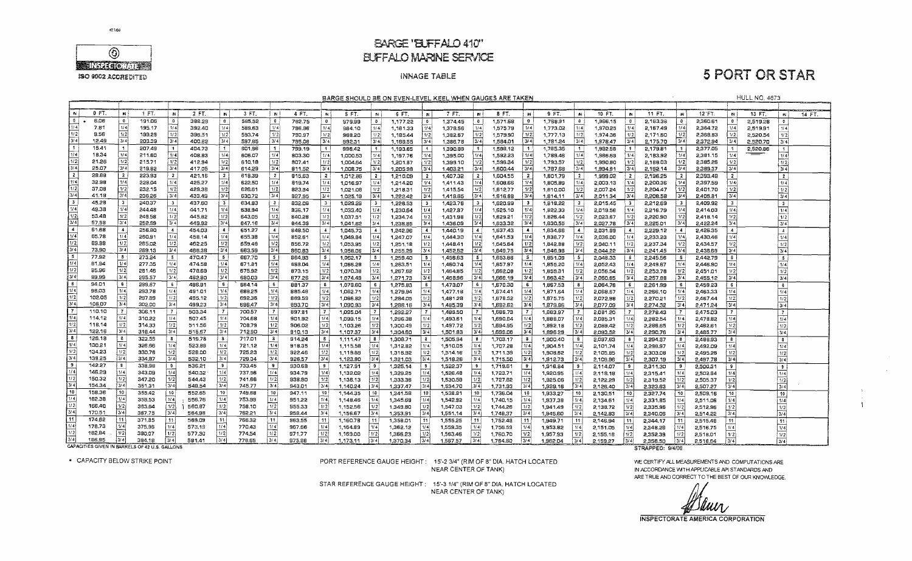

### **BARGE 'BLFFALO 410" ELIFFALO MARINE SERVICE**

### **INNAGE TABLE**

## **5 PORT OR STAR**

**HULL NO. 4673** 

 $\mathbf{A}$ 

BARGE SHOULD BE ON EVEN-LEVEL KEEL WHEN GAUGES ARE TAKEN

| . EN                        | 0 FT.                                          | . IN                    | 1 FT.  | <b>IN</b>      | 2 FT.  | <b>IN</b>                | 3 FT.  | <b>IN</b>        | 4 FT.  | <b>AV</b>        | 5 FT.    | <b>IN</b>       | 6 FT.    | $\mathbf{N}$   | 7 FT.    | .N.              | 8 FT.    | w              | 9 FT.    | $\sim$           | 10 FT.   | <b>IN</b>               | 11 FT.           | W                       | 12 FT.   | tN i                     | 13 FT.   |                         | 14 FT |
|-----------------------------|------------------------------------------------|-------------------------|--------|----------------|--------|--------------------------|--------|------------------|--------|------------------|----------|-----------------|----------|----------------|----------|------------------|----------|----------------|----------|------------------|----------|-------------------------|------------------|-------------------------|----------|--------------------------|----------|-------------------------|-------|
| $^{\circ}$                  | 6.06                                           | $^{\circ}$              | 191.06 | $\overline{0}$ | 388.29 | $\bullet$                | 585,52 | $\bullet$        | 782.75 | $\bullet$        | 979.99   | <b>O</b>        | 1,177.22 | $\bullet$      | 1.374.45 | $\mathbf{D}$     | 1571.68  | $\theta$       | 1,758.91 | $\mathbf{0}$     | 1,966.15 | $\overline{\mathbf{0}}$ | 2,163.38         | $\mathbf{0}$            | 2,360.61 | $\mathbf{0}$             | 2,519.28 | $\bullet$               |       |
| 1/4                         | 7.81                                           | 1/4                     | 195.17 | 1/4            | 392.40 | 1/4                      | 589.63 | 1/4              | 786.36 | 1/4              | 984.10   | 1/4             | 1,181.33 | 1/4            | 1,378.56 | 1/4              | 1,575.79 | 1/4            | 1.773.02 | 1/4              | 1,970.25 | 1/4                     | 2,167.49         | 1/4                     | 2,364.72 | 1/4                      | 2,519.91 | 114                     |       |
| 1/2                         | 9.56                                           | 1/2                     | 199.28 | 1/2            | 396.51 | 1/2                      | 593.74 | 1/2              | 790,97 | 1/2              | 988.20   | 1/2             | 1 185.44 | 1/2            | 1.382.67 | 1/2              | 1,579.90 | 1/2            | 1,777.13 | 1/2              | 1,974.36 | 1/2                     | 2,171.60         | 1/2                     | 2,368.83 | 1/2                      | 2,520.54 | 1/2                     |       |
| 3/4                         | 12.49                                          | 3/4                     | 203.39 | 3/4            | 400.62 | $\lceil 3/4 \rceil$      | 597.85 | 3/4              | 795.08 | $3/\overline{4}$ | 992.31   | 3/4             | 1,189.55 | 3/4            | 1,386.78 | l 3/4 l          | 1,584.01 | 3/4            | 1,781.24 | 3/4              | 1,978.47 | 3/4                     | 2,175.70         | 3/4                     | 2,372.94 | 3/4                      | 2,520.70 | 3/4                     |       |
| $\overline{1}$              | 15.41                                          | $\overline{\mathbf{1}}$ | 207.49 | $\mathbf{1}$   | 404.73 | $\mathbf{f}$             | 601.96 | l 1              | 799.19 | $\vert$ 1        | 996.42   | $\uparrow$      | 1,193.65 |                | 1,390.89 | $\mathbf{1}$     | 1,588,12 |                | 1,785.35 | $\mathbf{1}$     | 1,982.58 |                         | 2,179.81         |                         | 2,377.05 |                          | 2,520.86 | $\overline{1}$          |       |
| I 1/4 I                     | 18.34                                          | 1/4                     | 211.60 | 1/4            | 408.83 | 1/4                      | 606.07 | $1/\overline{4}$ | 803.30 | 1774             | 1.000.53 | 1/4             | 1.197.76 | 1/4            | 1.395.00 | 1/4              | 1,592.23 | 1/4            | 1,789.46 | 1/4              | 1,986.69 | 1/4                     | 2 183,92         | 1/4                     | 2,381.15 | 1/4                      |          | $1/\overline{4}$        |       |
| 1/2                         | 21.26                                          | 1/2                     | 215.71 | 1/2            | 412.94 | 1/2                      | 610.18 | 1/2              | 807.41 | 1/2              | 1,004.64 | 1/2             | 1.201.87 | 1/2            | 1,399.10 | 1/2              | 1,596,34 | 1/2            | 1,793.57 | 1/2              | 1,990.80 | 1/2                     | 2,188.03         | 1/2                     | 2,385.26 | 1/2                      |          | 1/2                     |       |
| 3/ 4                        | 25.07                                          | 3/4                     | 219.82 | 3/4            | 417.05 | 3/4                      | 614.29 | 3/4              | 811.52 | 3/4              | 1,008.75 | 3/4             | 1,205.98 | 3/4            | 1,403.21 | ∮3/4 l           | 1,600.44 | 3/4            | 1,797.68 | 3/4              | 1,994.91 | 13/41                   | 2,192.14         | 3/4                     | 2,389.37 | 3/4                      |          | 3/4                     |       |
| $\sqrt{2}$                  | 28.88                                          | $\overline{2}$          | 223.93 |                | 421.16 | -2                       | 618.39 | $\mathbf{2}$     | 815.63 | $\overline{2}$   | 1.012.86 | $\mathbf{z}$    | 1,210.09 | $\overline{2}$ | 1,407.32 | $\mathbf{2}$     | 1.604.55 | $\overline{z}$ | 1,801.79 | $\overline{2}$   | 1,999.02 |                         | 2.196.25         | 2 <sup>1</sup>          | 2.393.48 | -2                       |          | $\overline{2}$          |       |
| $\lceil \frac{1}{4} \rceil$ | 32.98                                          | 1/4                     | 228.04 | 1/4            | 425.27 | 1/4                      | 622.50 | 1/4              | 819.74 | 1/4              | 1,016.97 | 1/4             | 1,214.20 | 1/4            | 1.411.43 | 1/4              | 1,608.66 | 1/4            | 1,805,89 | 1/4              | 2.003.13 | 1/4                     | 2.200.36         | 1/4                     | 2,397.59 | 1/4                      |          | 1/4                     |       |
| $\overline{1/2}$            | 37.08                                          | 1/2                     | 232.15 | 1/2            | 429.38 | 1/2                      | 626.61 | 1/2              | 823.84 | 1/2              | 1,021.08 | 1/2             | 1,218.31 | 1/2            | 1,415.54 | 1/2              | 1,612.77 | 1/2            | 1,810.00 | 1/2              | 2,007.24 | 1/2                     | 2,204.47         | 1/2                     | 2,401.70 | 1/2                      |          | 1/2                     |       |
| 3/4                         | 41.19                                          | 3/4                     | 236.26 | 3/4            | 433.49 | 3/4                      | 630.72 | 3/4              | 827.95 | 3/4              | 1.025.19 | 3/4             | 1.222.42 | 3/4            | 1.419.65 | 4 /3             | 1,616,88 | 3/4            | 1,814.11 | 3/4              | 2.011.34 | 3/4                     | 2,208.58         | 3/4                     | 2.405.81 | 3/4                      |          | 3/4                     |       |
| <b>3</b>                    | 45.28                                          | $\overline{\mathbf{3}}$ | 240.37 | $\mathbf{3}$   | 437.60 | $\overline{\mathbf{3}}$  | 634.83 | 3                | 832.06 | $\mathbf{3}$     | 1.029.29 | $\mathbf{3}$    | 1,226.53 | ∣ 3 ∶          | 1,423.76 | - 3              | 1,620.99 | $\mathbf{3}$   | 1.818.22 | -3               | 2.015.45 |                         | 2.212.69         | $\overline{\mathbf{3}}$ | 2.409.92 | $\overline{\mathbf{3}}$  |          | $\mathbf{3}$            |       |
| 1/4                         | 49.38                                          | 1/4                     | 244.48 | 1/4            | 441.71 | 1/4                      | 638.94 | 1/4              | 836.17 | 1/4              | 1,033.40 | 1/4             | 1,230.64 | l 1/4          | 1,427.87 | 11/4             | 1,625.10 | 1/4            | 1,822.33 | 1/4              | 2,019.56 | 1/4                     | 2,216.79         | 1/4                     | 2.414.03 | 1/4                      |          | 1/4                     |       |
| 1/2                         | 53.48                                          | 1/2                     | 248.58 | 1/2            | 445.82 | 1/2                      | 643.05 | 1/2              | 840,28 | 1/2              | 1,037.51 | 1/2             | 1,234.74 | 1/2            | 1,431.98 | 1/2              | 1,629.21 | 1/2            | 1,826.44 | 1/2              | 2,023.67 | 1/2                     | 2,220.90         | 1/2                     | 2,418.14 | 1/2                      |          | 1/2                     |       |
| 3/4                         | 57.58                                          | 3/4                     | 252.59 | 3/4            | 449.92 | 3/4                      | 647.16 | 3/4              | 844.39 | 3/4              | 1.041.62 | l 3/4 l         | 1,238.85 | 3/4            | 1,436.09 |                  | 1.633.32 | 3/4            | 1,830,55 | 3/4              | 2,027.78 | 3/4                     | 2,225.01         | 3/4                     | 2.422.24 | 3/4                      |          | 3/4                     |       |
| 14                          | 61.68                                          | $\overline{4}$          | 256,80 | $\overline{A}$ | 454.03 | $\overline{4}$           | 651.27 | $\overline{4}$   | 848.50 | $\overline{4}$   | 1.045.73 | $\overline{4}$  | 1.242.96 | $\overline{4}$ | 1,440.19 | $\overline{4}$   | 1,637.43 | -41            | 1,834.66 | $\blacktriangle$ | 2,031.89 |                         | 2,229.12         | $\overline{4}$          | 2.426.35 | $\blacktriangleleft$     |          | $\overline{4}$          |       |
| 1/4                         | 65.78                                          | 1/4                     | 250.91 | 1/4            | 458.14 | 1/4                      | 655.38 | 1/4              | 852.61 | 1/4              | 1.049.84 | 1/4             | 1.247.07 | 1/4            | 1,444.30 | 1/4              | 1.641.53 | 1/4            | 1,838.77 | 1/4              | 2.036.00 | 1/4                     | 2,233.23         | 1/4                     | 2,430.46 | 1/4                      |          | 1/4                     |       |
| 1/2                         | 69.88                                          | 1/2                     | 265.02 | 1/2            | 462,25 | 1/2                      | 659.48 | 1/2              | 856.72 | 1/2              | 1,053.95 | 1/2             | 1,251,18 | 1/2            | 1,448.41 | 1/2              | 1,645.64 | 1/2            | 1,842.88 | 1/2              | 2,040.11 | 1/2                     | 2,237.34         | 1/2                     | 2,434.57 | 1/2                      |          | 1/2                     |       |
| 3/4                         | 73.90                                          | 3/4                     | 269.13 | 3/4            | 466.36 | 3/4                      | 663.59 | 3/4              | 860.83 | 3/4              | 1.058.06 | 3/4             | 1,255,29 |                | 1,452.52 | 3/4              | 1,649.75 | 3/4            | 1,846,98 | 3/4              | 2,044.22 | 3/4                     | 2,241.45         | 3/4                     | 2,438.68 | 3/4                      |          | 3/4                     |       |
| 5                           | 77.92                                          | 5                       | 273.24 | 5              | 470.47 | $\overline{\phantom{a}}$ | 667.70 | $5^{\circ}$      | 864.93 | 5                | 1,062.17 | - 5             | 1,259.40 |                | 1,456.63 | -5               | 1,653.86 | -5             | 1,851.09 | -5               | 2,048.33 |                         | 2,245.56         | -5                      | 2,442.79 | -51                      |          | 5 <sub>1</sub>          |       |
| 1/4                         | 81.94                                          | 1/4                     | 277.35 | 1/4            | 474.58 | 1/4                      | 671.81 | 1/4              | 663.04 | 1/4              | 1,066.28 | 1/4             | 1.263.51 |                | 1,460.74 | 1/4              | 1.657.97 | 1/4            | 1,855,20 | 1/4              | 2,052,43 | 1/4                     | 2,249.67         | 1/4                     | 2,446.90 | 1/4                      |          | 1/4                     |       |
| 1/2                         | 85.96                                          | 1/2                     | 281.46 | $\frac{1}{2}$  | 478.69 | 1/2                      | 675.92 | 1/2              | 873.15 | 1/2              | 1,070.38 | 1/2!            | 1,267.62 |                | 1,464.85 | 1/2              | 1.662.08 | 1/2            | 1,859.31 | 1/2              | 2,056.54 | 1/2                     | 2,253.78         | 1/2                     | 2,451.01 | 1/2                      |          | $1/\overline{2}$        |       |
| 374                         | 89.99                                          | 3/4                     | 285.57 | 3/4            | 482.80 | 3/4                      | 680.03 | 3/4              | 877.26 | 3/4              | 1.074.49 | 3/4             | 1,271.73 |                | 1.468.96 | 3/4              | 1,666.19 | 3/4            | 1.863.42 | 3/4              | 2.060.65 | 3/4                     | 2.257.88         | 3/4                     | 2.455.12 | 3/4                      |          | 3/4                     |       |
| 8                           | 94.01                                          | 6                       | 239,67 | $-6$           | 486.91 | 6                        | 684.14 | -6               | 881.37 | 6                | 1,078.60 | -6              | 1,275.83 |                | 1,473.07 | 6 <sub>1</sub>   | 1,670.30 | -61            | 1,867.53 | 8                | 2,064.76 | $6-1$                   | 2,261.99         | 6 <sup>1</sup>          | 2,459.23 | -61                      |          | -6                      |       |
| 1/4                         | 98.03                                          | 1/4                     | 293.78 | 1/4            | 491.01 | 1/4                      | 688.25 | 1/4              | 885.48 | 1/4              | 1,082.71 |                 | 1.279.94 |                | 1,477.1B | 1/4              | 1,674.41 | 1/4            | 1,871.64 | 1/4              | 2.068.87 | 1/4                     | 2,266.10         | 1/4                     | 2,463,33 | 1/4                      |          | 1/4                     |       |
| 1/2                         | 102.05                                         | 1/2                     | 297.89 | 1/2            | 495.12 | 1/2                      | 692.36 | 1/2              | 889.59 | 1/2              | 1,086.82 | 1/2             | 1,284.05 |                | 1,481.28 | 1/2              | 1,678.52 | $\sqrt{2}$     | 1,875.75 | 1/2              | 2,072.98 | 1/2                     | 2.270.21         | 1/2                     | 2.467.44 | 1/2                      |          | 1/2                     |       |
| 3/4                         | 106.07                                         | $\sqrt{3/4}$            | 302.00 | 3/4            | 499.23 | 3/4                      | 696.47 | 3/4              | 893.70 | 3/4              | 1,090.93 | 3/4             | 1,288.16 | 3/4            | 1,485.39 | 3/4              | 1,682.62 | 3/4            | 1,879.86 | 3/4              | 2,077.09 | 3/4                     | 2,274.32         | 3/4                     | 2,471.24 | 3/4                      |          | $\overline{3/4}$        |       |
| $\overline{7}$              | 110.10                                         | $\vert$ 7               | 306.11 | $\overline{7}$ | 503.34 | $\overline{7}$           | 700.57 | $\overline{7}$   | 897.81 | $\overline{7}$   | 1,095.04 |                 | 1,292.27 | 7              | 1,489.50 | $\overline{7}$   | 1,686.73 |                | 1,883.97 |                  | 2,081.20 |                         | 2,278.43         |                         | 2,475.03 |                          |          | $\overline{7}$          |       |
| $1/\sqrt{4}$                | 114.12                                         | 114                     | 310.22 | 1/4            | 507.45 | 1/4                      | 704.68 | 1/4              | 901.92 | i 1/4l           | 1.099.15 | 1/4             | 1,296.38 | 1/4            | 1,493.61 | 1/4              | 1,690,84 | 1/4            | 1,888.07 | 1/4              | 2,085.31 | 1/4                     | 2,282.54         | 1/4                     | 2,478.82 | 1/4                      |          | 1/4                     |       |
| $\sqrt{1/2}$                | 118.14                                         | 1/2                     | 314.33 | 1/2            | 511.56 | 1/2                      | 708.79 | 1/2              | 906.02 | 1/2              | 1,103.26 | 1/2             | 1,300.49 | 1/2            | 1,497.72 | 1/2              | 1,694.95 | 1/2            | 1,892.18 | 1/2              | 2,089.42 | 1/2                     | 2,286,65         | 1/2                     | 2,482.61 | 1/2                      |          | 1/2                     |       |
| $\overline{3/4}$            | 122.16                                         | 4 لا (                  | 318.44 | 3/4            | 515.67 | 3/4                      | 712.90 | 3/4              | 910.13 | 3/4              | 1,107.37 | 3/4             | 1,304.60 | 3/4            | 1,501.83 | 3/4              | 1,699.06 | 3/4            | 1,896.29 | 3/4 l            | 2.093.52 | 3/4                     | 2,290.76         | 3/4                     | 2,485.77 | 3/4                      |          | 3/4                     |       |
| B                           | 126.18                                         | <b>B</b>                | 322.55 | $\mathbf{z}$   | 519.78 | - 8                      | 717.01 | a                | 914.24 | - 8              | 1.111.47 | в.              | 1,308.71 |                | 1.505.94 | $\mathbf{g}$     | 1.703.17 | -8             | 1,900.40 | 8                | 2,097.63 | 8                       | 2,294.87         | 8                       | 2,488.93 | $\mathbf{8}$             |          | $\overline{\mathbf{B}}$ |       |
| 114                         | 130.21                                         | 114 أ                   | 326.66 | 1/4            | 523.89 | 1/4                      | 721.12 | $+1/4$           | 918.35 | 1/4              | 1.115.58 | 1/4             | 1,312.82 | 1/4            | 1,510,05 | 1/4              | 1,707.28 | 1/4            | 1,904.51 | 1/4              | 2,101.74 | 1/4                     | 2,298,97         | 1/4                     | 2,492.09 | 1/4                      |          | 1/4                     |       |
| 11/2                        | 134.23                                         | 1/2                     | 330.76 | 1/2            | 528.00 | 1/2                      | 725.23 | 1/2              | 922.46 | 1/2              | 1,119.69 | 1/2             | 1,316.92 | 1/2            | 1,514.16 | $1/\overline{2}$ | 1.711.39 | 1/2            | 1,908.62 | 1/2              | 2,105.85 | 1/2                     | 2.303.08         | 1/2                     | 2,495.26 | 1/2                      |          | 1/2                     |       |
| 4 3/ 4                      | 138.25                                         | 3/4                     | 334 87 | 3/4            | 532.10 | 3/4                      | 729.34 | 3/4              | 926.57 | 3/4              | 1,123.80 | 3/4             | 1,321.03 | 3/4            | 1,518.26 | 3/4              | 1,715.50 | 3/4            | 1,912.73 | 3/4              | 2,109.96 | 3/4                     | 2,307.19         | 3/4                     | 2.497.78 | 3/4                      |          | 3/4                     |       |
| l 9                         | 142.27                                         | - 9                     | 338.98 | 9 <sup>1</sup> | 536.21 | -9                       | 733.45 | 9                | 930.68 | -9               | 1,127.91 | 9               | 1,325,14 | -9             | 1,522.37 | 9                | 1.719.61 | -9             | 1,916.84 | $\mathbf{9}$     | 2,114.07 | -9                      | 2,311.30         | -91                     | 2,500,31 | 9 <sup>1</sup>           |          | $\overline{\mathbf{3}}$ |       |
| 11/4                        | 146.29                                         | l 1/4.                  | 343.09 | 1/4            | 540.32 | 1/4                      | 737.56 | 1/4              | 934.79 | 1/4              | 1,132.02 | l 1/4 l         | 1,329.25 | 1/4            | 1,526.48 | 1/4              | 1.723.71 | 1/4            | 1,920.95 | 1/4              | 2,118.18 | 1/4                     | 2,315.41         | 1/4                     | 2,502.84 | 1/4                      |          | 1/4                     |       |
| $\sqrt{1/2}$                | 150.32                                         | 1/2                     | 347.20 | 1/2            | 544.43 | 1/2                      | 741.66 | 1/2              | 938.90 | 1/2              | 1,136.13 | 1/2             | 1 333.36 | 1/2            | 1,530.59 | 1/2              | 1,727.82 | 1/2            | 1,925.06 | $\overline{1/2}$ | 2,122.29 | 1/2                     | 2,319.52         | 1/2                     | 2,505.37 | 1/2                      |          | 1/2                     |       |
| 3/4                         | 154.34                                         | 3/4                     | 351.31 | 3/4            | 548.54 | 3/4                      | 745.77 | 3/4              | 943.01 | 3/4              | 1,140.24 | 3/4             | 1,337.47 | 3/4            | 1.534.70 | .3/4             | 1,731.93 | 3/4            | 1,929.16 | 3/4              | 2,126.40 | 3/4                     | 2,323.63         | 3/4                     | 2,507.27 | 3/4                      |          | 3/4                     |       |
| J 10                        | 158.36                                         | 10                      | 355.42 | 10             | 552.65 | 10                       | 749.88 | 10               | 947.11 | 10               | 1.144.35 | 10 <sup>1</sup> | 1,341.58 | 10             | 1,538.81 | 10               | 1,736.04 | 10             | 1,933.27 | 10               | 2.130.51 | 10 l                    | 2.327.74         | 10                      | 2,509.16 | 10                       |          | 10                      |       |
| 1/4                         | 162.38                                         | 114                     | 359.53 | 1/4            | 556.76 | i 1/41                   | 753.99 | 1/4              | 951.22 | 1/4              | 1.148.46 | 1/4             | 1,345.69 | 1/4            | 1.542.92 | 1/4              | 1,740.15 | 1/4            | 1,937.38 | 1/4              | 2,134.61 | 1/4                     | 2,331.85         | 114                     | 2,511.06 | 1/4                      |          | 1/4                     |       |
| 172                         | 166.40                                         | 1/2                     | 363.64 | 1/2            | 560.87 | 1/2                      | 758.10 | 1/2              | 955.33 | 1/2              | 1,152.56 | 1/2             | 1.349.80 | 1/2            | 1,547.03 | 1/2              | 1,744.26 | 1/2            | 1.941.49 | 1/2              | 2,138.72 | 1/2                     | 2,335.96         | $\sqrt{2}$              | 2,512,96 | 1/2                      |          | 1/2                     |       |
| 3/4                         | 170.51                                         | 3/4                     | 367.75 | 3/4            | 564.98 | 3/4                      | 762.21 | 3/4              | 959.44 | 3/4              | 1,156.67 | 3/4             | 1,353.91 | 3/4            | 1,551.14 | 3/4              | 1,748.37 | 3/4            | 1,945.60 | 3/4              | 2.142.83 | 3/4                     | 2,340.06         | 3/4                     | 2,514.22 | $\overline{\frac{3}{4}}$ |          | 3/4                     |       |
| 11                          | 174.62                                         | i 11.                   | 371.85 | l 11           | 569.09 | 11 <sup>1</sup>          | 766.32 | 11               | 963.55 | 11 <sub>1</sub>  | 1,160.78 | 11              | 1,358.01 | 11             | 1,555.25 | 11               | 1,752.48 | 11             | 1,949.71 | 11               | 2,146.94 | 11                      | 2,344.17         | 11                      | 2,515.48 | 11                       |          | 11                      |       |
| 1/4                         | 178.73                                         | 1/4                     | 375.96 | 11/4           | 573.19 | 1/4                      | 770.43 | 1/4              | 967.66 | 1/4              | 1,164.89 | 1/4             | 1,362.12 | 1/4            | 1,559.35 | 1/4              | 1,756.59 | 1/4 i          | 1,953.82 | 1/4              | 2.151.05 |                         | 2.348.28         | 1/4l                    | 2.516.75 | 1/4                      |          | 1/4                     |       |
| 1/2                         | 182.84                                         | 1/2                     | 380.07 | 1/2            | 577.30 | 1/2                      | 774.54 | 1/2              | 971.77 | 1/2              | 1,169.00 | 1/2             | 1,366.23 | 1/2            | 1,563.46 | 1/2              | 1.760.70 | 1/2            | 1,957.93 | 1/2              | 2.155.16 |                         | 2.352.39         | 1/2                     | 2.518.01 | 1/2                      |          | 1/2                     |       |
| 3/4                         | 186,95                                         | 3/4                     | 384.18 | i 3/4 l        | 581.41 | 3741                     | 778.65 | 3/4              | 975.88 | 3/4              | 1,173.11 | 3/4             | 1,370.34 | 3/4            | 1,567.57 | 3/4              | 1,764.80 | 3/4            | 1,962.04 | 3/4              | 2,159.27 | 3/4                     | 2,356.50         | 3/4                     | 2,518.64 | 3/4                      |          | 3/4                     |       |
|                             | CAPACITIES GIVEN IN BARRELS OF 42 U.S. GALLONS |                         |        |                |        |                          |        |                  |        |                  |          |                 |          |                |          |                  |          |                |          |                  |          |                         | STRAPPED: 9/4/08 |                         |          |                          |          |                         |       |

\* CAPACITY BELOW STRIKE POINT

PORT REFERENCE GAUGE HEIGHT: 15'-2 3/4" (RIM OF 8" DIA. HATCH LOCATED NEAR CENTER OF TANK)

WE CERTIFY ALL MEASUREMENTS AND COMPUTATIONS ARE IN ACCORDANCE WITH APPLICABLE APISTANDARDS AND ARE TRUE AND CORRECT TO THE BEST OF OUR KNOWLEDGE.

**WWW** 

INSPECTORATE AMERICA CORPORATION

STAR REFERENCE GAUGE HEIGHT: 15'-3 1/4" (RIM OF 8" DIA. HATCH LOCATED NEAR CENTER OF TANK)